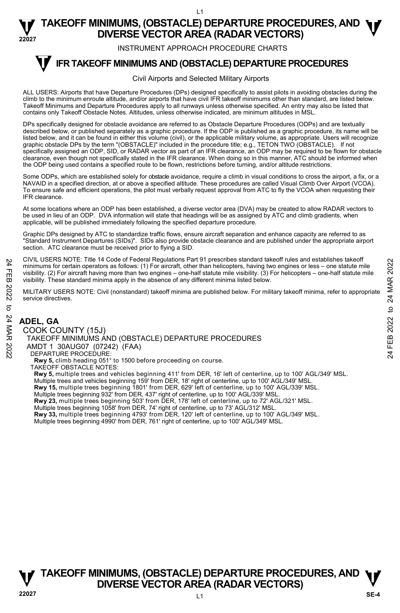INSTRUMENT APPROACH PROCEDURE CHARTS

#### **IFR TAKEOFF MINIMUMS AND (OBSTACLE) DEPARTURE PROCEDURES T**

#### Civil Airports and Selected Military Airports

ALL USERS: Airports that have Departure Procedures (DPs) designed specifically to assist pilots in avoiding obstacles during the climb to the minimum enroute altitude, and/or airports that have civil IFR takeoff minimums other than standard, are listed below. Takeoff Minimums and Departure Procedures apply to all runways unless otherwise specified. An entry may also be listed that contains only Takeoff Obstacle Notes. Altitudes, unless otherwise indicated, are minimum altitudes in MSL.

DPs specifically designed for obstacle avoidance are referred to as Obstacle Departure Procedures (ODPs) and are textually described below, or published separately as a graphic procedure. If the ODP is published as a graphic procedure, its name will be listed below, and it can be found in either this volume (civil), or the applicable military volume, as appropriate. Users will recognize graphic obstacle DPs by the term "(OBSTACLE)" included in the procedure title; e.g., TETON TWO (OBSTACLE). If not specifically assigned an ODP, SID, or RADAR vector as part of an IFR clearance, an ODP may be required to be flown for obstacle clearance, even though not specifically stated in the IFR clearance. When doing so in this manner, ATC should be informed when the ODP being used contains a specified route to be flown, restrictions before turning, and/or altitude restrictions.

Some ODPs, which are established solely for obstacle avoidance, require a climb in visual conditions to cross the airport, a fix, or a NAVAID in a specified direction, at or above a specified altitude. These procedures are called Visual Climb Over Airport (VCOA). To ensure safe and efficient operations, the pilot must verbally request approval from ATC to fly the VCOA when requesting their IFR clearance.

At some locations where an ODP has been established, a diverse vector area (DVA) may be created to allow RADAR vectors to be used in lieu of an ODP. DVA information will state that headings will be as assigned by ATC and climb gradients, when applicable, will be published immediately following the specified departure procedure.

Graphic DPs designed by ATC to standardize traffic flows, ensure aircraft separation and enhance capacity are referred to as "Standard Instrument Departures (SIDs)". SIDs also provide obstacle clearance and are published under the appropriate airport section. ATC clearance must be received prior to flying a SID.

CIVIL USERS NOTE: Title 14 Code of Federal Regulations Part 91 prescribes standard takeoff rules and establishes takeoff minimums for certain operators as follows: (1) For aircraft, other than helicopters, having two engines or less – one statute mile visibility. (2) For aircraft having more than two engines – one-half statute mile visibility. (3) For helicopters – one-half statute mile visibility. These standard minima apply in the absence of any different minima listed below. 24 FEB 2022 TANG AND THE STATURE PROCEDURES<br>
24 FEB 2022 TANG AND TO SERVER AND (OBSTACLE) DEPARTURE PROCEDURES<br>
24 **ADEL, GA**<br>
24 COOK COUNTY (15J)<br>
24 **ADEL, GA**<br>
24 COOK COUNTY (15J)<br>
24 COOK COUNTY (15J)<br>
24 FEB 2022

MILITARY USERS NOTE: Civil (nonstandard) takeoff minima are published below. For military takeoff minima, refer to appropriate service directives.

### **ADEL, GA**

COOK COUNTY (15J) TAKEOFF MINIMUMS AND (OBSTACLE) DEPARTURE PROCEDURES AMDT 1 30AUG07 (07242) (FAA) DEPARTURE PROCEDURE: **Rwy 5,** climb heading 051° to 1500 before proceeding on course. TAKEOFF OBSTACLE NOTES: **Rwy 5,** multiple trees and vehicles beginning 411' from DER, 16' left of centerline, up to 100' AGL/349' MSL. Multiple trees and vehicles beginning 159' from DER, 18' right of centerline, up to 100' AGL/349' MSL.

**Rwy 15,** multiple trees beginning 1801' from DER, 629' left of centerline, up to 100' AGL/339' MSL.<br>Multiple trees beginning 932' from DER, 437' right of centerline, up to 100' AGL/339' MSL.

**Rwy 23,** multiple trees beginning 503' from DER, 178' left of centerline, up to 72' AGL/321' MSL.

Multiple trees beginning 1058' from DER, 74' right of centerline, up to 73' AGL/312' MSL.<br>**Rwy 33,** multiple trees beginning 4793' from DER, 120' left of centerline, up to 100' AGL/349' MSL.

Multiple trees beginning 4990' from DER, 761' right of centerline, up to 100' AGL/349' MSL.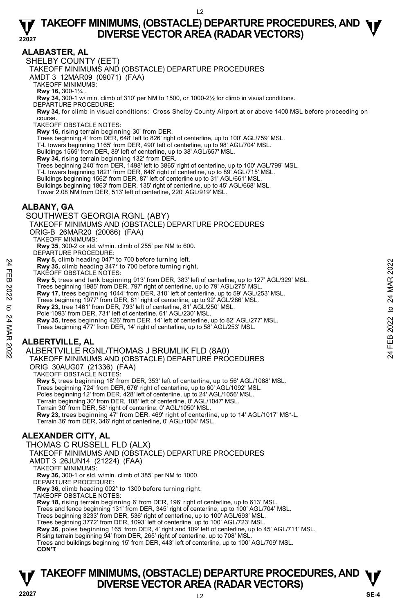#### **ALABASTER, AL**

SHELBY COUNTY (EET)

TAKEOFF MINIMUMS AND (OBSTACLE) DEPARTURE PROCEDURES

AMDT 3 12MAR09 (09071) (FAA)

TAKEOFF MINIMUMS:

**Rwy 16,** 300-1¼ .<br>**Rwy 34,** 300-1 w/ min. climb of 310' per NM to 1500, or 1000-2½ for climb in visual conditions.

DEPARTURE PROCEDURE:

**Rwy 34,** for climb in visual conditions: Cross Shelby County Airport at or above 1400 MSL before proceeding on course.

TAKEOFF OBSTACLE NOTES:

**Rwy 16,** rising terrain beginning 30' from DER.

Trees beginning 4' from DER, 648' left to 826' right of centerline, up to 100' AGL/759' MSL.

T-L towers beginning 1165' from DER, 490' left of centerline, up to 98' AGL/704' MSL.

Buildings 1569' from DER, 89' left of centerline, up to 38' AGL/657' MSL.

**Rwy 34,** rising terrain beginning 132' from DER.<br>Trees beginning 240' from DER, 1498' left to 3865' right of centerline, up to 100' AGL/799' MSL.

T-L towers beginning 1821' from DER, 646' right of centerline, up to 89' AGL/715' MSL.

Buildings beginning 1562' from DER, 87' left of centerline up to 31' AGL/661' MSL.

Buildings beginning 1863' from DER, 135' right of centerline, up to 45' AGL/668' MSL. Tower 2.08 NM from DER, 513' left of centerline, 220' AGL/919' MSL.

#### **ALBANY, GA**

SOUTHWEST GEORGIA RGNL (ABY)

TAKEOFF MINIMUMS AND (OBSTACLE) DEPARTURE PROCEDURES

ORIG-B 26MAR20 (20086) (FAA)

TAKEOFF MINIMUMS:

**Rwy 35**, 300-2 or std. w/min. climb of 255' per NM to 600.

DEPARTURE PROCEDURE

**Rwy 5,** climb heading 047° to 700 before turning left.

**Rwy 35,** climb heading 347° to 700 before turning right.

TAKEOFF OBSTACLE NOTES:

**Rwy 5,** trees and tank beginning 913' from DER, 383' left of centerline, up to 127' AGL/329' MSL. **EVALUATE 2022**<br> **EVALUATE 2022**<br> **EVALUATE 2022 TO A FORTAL CONDITION AND AND CONDUCT CONDUCT CONDUCT CONDUCT CONDUCT THAT TAKE OFF OBSTACLE NOTES:<br>
<b>EVALUATE 2022** from DER, 797 right of centerline, up to 79' AGL/275' M

Trees beginning 1985' from DER, 797' right of centerline, up to 79' AGL/275' MSL.

**Rwy 17,** trees beginning 1044' from DER, 310' left of centerline, up to 59' AGL/253' MSL.

Trees beginning 1977' from DER, 81' right of centerline, up to 92' AGL/286' MSL.<br>**Rwy 23,** tree 1461' from DER, 793' left of centerline, 81' AGL/250' MSL.

Pole 1093' from DER, 731' left of centerline, 61' AGL/230' MSL.

**Rwy 35,** trees beginning 426' from DER, 14' left of centerline, up to 82' AGL/277' MSL. Trees beginning 477' from DER, 14' right of centerline, up to 58' AGL/253' MSL.

**ALBERTVILLE, AL** 

ALBERTVILLE RGNL/THOMAS J BRUMLIK FLD (8A0)

TAKEOFF MINIMUMS AND (OBSTACLE) DEPARTURE PROCEDURES

ORIG 30AUG07 (21336) (FAA)

TAKEOFF OBSTACLE NOTES:

**Rwy 5,** trees beginning 18' from DER, 353' left of centerline, up to 56' AGL/1088' MSL. Trees beginning 724' from DER, 676' right of centerline, up to 60' AGL/1092' MSL. Poles beginning 12' from DER, 428' left of centerline, up to 24' AGL/1056' MSL. Terrain beginning 30' from DER, 108' left of centerline, 0' AGL/1047' MSL. Terrain 30' from DER, 58' right of centerline, 0' AGL/1050' MSL. **Rwy 23,** trees beginning 47' from DER, 469' right of centerline, up to 14' AGL/1017' MS\*-L.<br>Terrain 36' from DER, 346' right of centerline, 0' AGL/1004' MSL.

#### **ALEXANDER CITY, AL**

THOMAS C RUSSELL FLD (ALX)

TAKEOFF MINIMUMS AND (OBSTACLE) DEPARTURE PROCEDURES

AMDT 3 26JUN14 (21224) (FAA)

TAKEOFF MINIMUMS:

**Rwy 36,** 300-1 or std. w/min. climb of 385' per NM to 1000.

DEPARTURE PROCEDURE:

**Rwy 36,** climb heading 002° to 1300 before turning right.

TAKEOFF OBSTACLE NOTES:

**Rwy 18,** rising terrain beginning 6' from DER, 196' right of centerline, up to 613' MSL.

Trees and fence beginning 131' from DER, 345' right of centerline, up to 100' AGL/704' MSL.

Trees beginning 3233' from DER, 536' right of centerline, up to 100' AGL/693' MSL.

Trees beginning 3772' from DER, 1093' left of centerline, up to 100' AGL/723' MSL.

**Rwy 36**, poles beginning 165' from DER, 4' right and 109' left of centerline, up to 45' AGL/711' MSL.<br>Rising terrain beginning 94' from DER, 265' right of centerline, up to 708' MSL.

Trees and buildings beginning 15' from DER, 443' left of centerline, up to 100' AGL/709' MSL. **CON'T**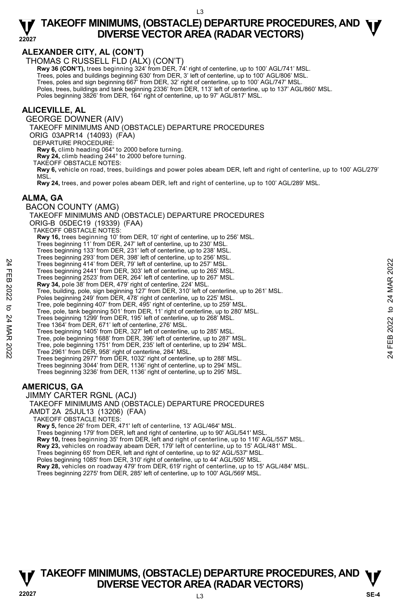#### **ALEXANDER CITY, AL (CON'T)**

THOMAS C RUSSELL FLD (ALX) (CON'T)

**Rwy 36 (CON'T),** trees beginning 324' from DER, 74' right of centerline, up to 100' AGL/741' MSL.

Trees, poles and buildings beginning 630' from DER, 3' left of centerline, up to 100' AGL/806' MSL.

Trees, poles and sign beginning 667' from DER, 32' right of centerline, up to 100' AGL/747' MSL.

Poles, trees, buildings and tank beginning 2336' from DER, 113' left of centerline, up to 137' AGL/860' MSL.

Poles beginning 3826' from DER, 164' right of centerline, up to 97' AGL/817' MSL.

#### **ALICEVILLE, AL**

GEORGE DOWNER (AIV)

TAKEOFF MINIMUMS AND (OBSTACLE) DEPARTURE PROCEDURES

ORIG 03APR14 (14093) (FAA)

DEPARTURE PROCEDURE

**Rwy 6,** climb heading 064° to 2000 before turning.

**Rwy 24,** climb heading 244° to 2000 before turning.

TAKEOFF OBSTACLE NOTES:

**Rwy 6,** vehicle on road, trees, buildings and power poles abeam DER, left and right of centerline, up to 100' AGL/279' MSL.

**Rwy 24,** trees, and power poles abeam DER, left and right of centerline, up to 100' AGL/289' MSL.

#### **ALMA, GA**

BACON COUNTY (AMG) TAKEOFF MINIMUMS AND (OBSTACLE) DEPARTURE PROCEDURES ORIG-B 05DEC19 (19339) (FAA) TAKEOFF OBSTACLE NOTES: **Rwy 16,** trees beginning 10' from DER, 10' right of centerline, up to 256' MSL. Trees beginning 11' from DER, 247' left of centerline, up to 230' MSL. Trees beginning 133' from DER, 231' left of centerline, up to 238' MSL. Trees beginning 293' from DER, 398' left of centerline, up to 256' MSL. Trees beginning 414' from DER, 79' left of centerline, up to 257' MSL. Trees beginning 2441' from DER, 303' left of centerline, up to 265' MSL. Trees beginning 2523' from DER, 264' left of centerline, up to 267' MSL.<br>**Rwy 34,** pole 38' from DER, 479' right of centerline, 224' MSL. Tree, building, pole, sign beginning 127' from DER, 310' left of centerline, up to 261' MSL. Poles beginning 249' from DER, 478' right of centerline, up to 225' MSI Tree, pole beginning 407' from DER, 495' right of centerline, up to 259' MSL. Tree, pole, tank beginning 501' from DER, 11' right of centerline, up to 280' MSL. Trees beginning 1299' from DER, 195' left of centerline, up to 268' MSL. Tree 1364' from DER, 671' left of centerline, 276' MSL. Trees beginning 1405' from DER, 327' left of centerline, up to 285' MSL. Tree, pole beginning 1688' from DER, 396' left of centerline, up to 287' MSL. Tree, pole beginning 1751' from DER, 235' left of centerline, up to 294' MSL. Tree 2961' from DER, 958' right of centerline, 284' MSL. Trees beginning 2977' from DER, 1032' right of centerline, up to 288' MSL. Trees beginning 3044' from DER, 1136' right of centerline, up to 294' MSL. Trees beginning 3236' from DER, 1136' right of centerline, up to 295' MSL. Trees beginning 414 from DER, 30° left of centerline, up to 257 MSL.<br>
Trees beginning 2441 from DER, 30° left of centerline, up to 267 MSL.<br>
Trees beginning 2523' from DER, 203' left of centerline, up to 267 MSL.<br> **Rwy 34** 

#### **AMERICUS, GA**

JIMMY CARTER RGNL (ACJ)

TAKEOFF MINIMUMS AND (OBSTACLE) DEPARTURE PROCEDURES

AMDT 2A 25JUL13 (13206) (FAA)

TAKEOFF OBSTACLE NOTES:

**Rwy 5,** fence 26' from DER, 471' left of centerline, 13' AGL/464' MSL.

Trees beginning 179' from DER, left and right of centerline, up to 90' AGL/541' MSL.

**Rwy 10,** trees beginning 35' from DER, left and right of centerline, up to 116' AGL/557' MSL. **Rwy 23,** vehicles on roadway abeam DER, 179' left of centerline, up to 15' AGL/481' MSL.

Trees beginning 65' from DER, left and right of centerline, up to 92' AGL/537' MSL.

Poles beginning 1085' from DER, 310' right of centerline, up to 44' AGL/505' MSL.

**Rwy 28,** vehicles on roadway 479' from DER, 619' right of centerline, up to 15' AGL/484' MSL.

Trees beginning 2275' from DER, 285' left of centerline, up to 100' AGL/569' MSL.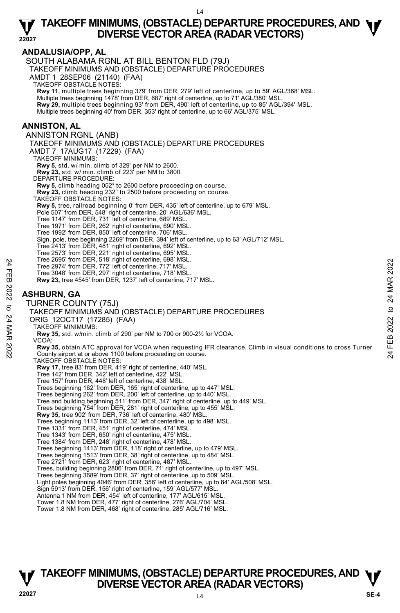#### **ANDALUSIA/OPP, AL**  SOUTH ALABAMA RGNL AT BILL BENTON FLD (79J) TAKEOFF MINIMUMS AND (OBSTACLE) DEPARTURE PROCEDURES AMDT 1 28SEP06 (21140) (FAA) TAKEOFF OBSTACLE NOTES: **Rwy 11**, multiple trees beginning 379' from DER, 279' left of centerline, up to 59' AGL/368' MSL. Multiple trees beginning 1478' from DER, 687' right of centerline, up to 71' AGL/380' MSL. **Rwy 29,** multiple trees beginning 93' from DER, 490' left of centerline, up to 85' AGL/394' MSL. Multiple trees beginning 40' from DER, 353' right of centerline, up to 66' AGL/375' MSL. **ANNISTON, AL**  ANNISTON RGNL (ANB) TAKEOFF MINIMUMS AND (OBSTACLE) DEPARTURE PROCEDURES AMDT 7 17AUG17 (17229) (FAA) TAKEOFF MINIMUMS: **Rwy 5,** std. w/ min. climb of 329' per NM to 2600. **Rwy 23,** std. w/ min. climb of 223' per NM to 3800. DEPARTURE PROCEDURE: **Rwy 5,** climb heading 052° to 2600 before proceeding on course. **Rwy 23,** climb heading 232° to 2500 before proceeding on course. TAKEOFF OBSTACLE NOTES: **Rwy 5,** tree, railroad beginning 0' from DER, 435' left of centerline, up to 679' MSL. Pole 507' from DER, 548' right of centerline, 20' AGL/636' MSL. Tree 1147' from DER, 731' left of centerline, 689' MSL. Tree 1971' from DER, 262' right of centerline, 690' MSL. Tree 1992' from DER, 850' left of centerline, 706' MSL. Sign, pole, tree beginning 2269' from DER, 394' left of centerline, up to 63' AGL/712' MSL. Tree 2413' from DER, 481' right of centerline, 692' MSL. Tree 2573' from DER, 221' right of centerline, 695' MSL. Tree 2695' from DER, 518' right of centerline, 698' MSL. Tree 2974' from DER, 772' left of centerline, 717' MSL. Tree 3048' from DER, 297' right of centerline, 718' MSL. **Rwy 23,** tree 4545' from DER, 1237' left of centerline, 717' MSL. **ASHBURN, GA**  TURNER COUNTY (75J) TAKEOFF MINIMUMS AND (OBSTACLE) DEPARTURE PROCEDURES ORIG 12OCT17 (17285) (FAA) TAKEOFF MINIMUMS: **Rwy 35,** std. w/min. climb of 290' per NM to 700 or 900-2½ for VCOA. VCOA: **Rwy 35,** obtain ATC approval for VCOA when requesting IFR clearance. Climb in visual conditions to cross Turner County airport at or above 1100 before proceeding on course. TAKEOFF OBSTACLE NOTES: **Rwy 17,** tree 83' from DER, 419' right of centerline, 440' MSL. Tree 142' from DER, 342' left of centerline, 422' MSL. Tree 157' from DER, 448' left of centerline, 438' MSL. Trees beginning 162' from DER, 165' right of centerline, up to 447' MSL. Trees beginning 262' from DER, 200' left of centerline, up to 440' MSL. Tree and building beginning 511' from DER, 347' right of centerline, up to 449' MSL. Trees beginning 754' from DER, 281' right of centerline, up to 455' MSL. **Rwy 35,** tree 902' from DER, 736' left of centerline, 480' MSL. Trees beginning 1113' from DER, 32' left of centerline, up to 498' MSL. Tree 1331' from DER, 451' right of centerline, 474' MSL. Tree 1343' from DER, 650' right of centerline, 475' MSL. Tree 1384' from DER, 248' right of centerline, 478' MSL. Trees beginning 1413' from DER, 118' right of centerline, up to 479' MSL. Trees beginning 1513' from DER, 38' right of centerline, up to 484' MSL. Tree 2721' from DER, 623' right of centerline, 487' MSL. Trees, building beginning 2806' from DER, 71' right of centerline, up to 497' MSL. Trees beginning 3689' from DER, 37' right of centerline, up to 509' MSL. Light poles beginning 4046' from DER, 356' left of centerline, up to 84' AGL/508' MSL. Sign 5913' from DER, 156' right of centerline, 159' AGL/577' MSL. Antenna 1 NM from DER, 454' left of centerline, 177' AGL/615' MSL. Tower 1.8 NM from DER, 477' right of centerline, 276' AGL/704' MSL. Tower 1.8 NM from DER, 468' right of centerline, 285' AGL/716' MSL. Tree 2994' from DER, 772' left of centerline, 898' MSL.<br>
Tree 2974' from DER, 772' left of centerline, 717' MSL.<br>
Tree 3048' from DER, 297' right of centerline, 718' MSL.<br> **ASHBURN, GA<br>
TURNER COUNTY (75J)**<br> **ASHBURN, GA**<br>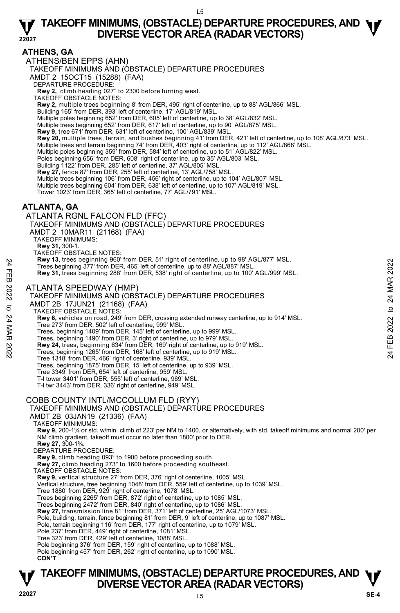#### **ATHENS, GA**

ATHENS/BEN EPPS (AHN) TAKEOFF MINIMUMS AND (OBSTACLE) DEPARTURE PROCEDURES AMDT 2 15OCT15 (15288) (FAA) DEPARTURE PROCEDURE: **Rwy 2,** climb heading 027° to 2300 before turning west. TAKEOFF OBSTACLE NOTES: **Rwy 2,** multiple trees beginning 8' from DER, 495' right of centerline, up to 88' AGL/866' MSL. Building 165' from DER, 393' left of centerline, 17' AGL/819' MSL. Multiple poles beginning 652' from DER, 605' left of centerline, up to 38' AGL/832' MSL. Multiple trees beginning 652' from DER, 617' left of centerline, up to 90' AGL/875' MSL. **Rwy 9,** tree 671' from DER, 631' left of centerline, 100' AGL/839' MSL. **Rwy 20,** multiple trees, terrain, and bushes beginning 41' from DER, 421' left of centerline, up to 108' AGL/873' MSL. Multiple trees and terrain beginning 74' from DER, 403' right of centerline, up to 112' AGL/868' MSL. Multiple poles beginning 359' from DER, 584' left of centerline, up to 51' AGL/822' MSL. Poles beginning 656' from DER, 608' right of centerline, up to 35' AGL/803' MSL. Building 1122' from DER, 285' left of centerline, 37' AGL/805' MSL. **Rwy 27,** fence 87' from DER, 255' left of centerline, 13' AGL/758' MSL. Multiple trees beginning 106' from DER, 456' right of centerline, up to 104' AGL/807' MSL. Multiple trees beginning 604' from DER, 638' left of centerline, up to 107' AGL/819' MSL. Tower 1023' from DER, 365' left of centerline, 77' AGL/791' MSL. **ATLANTA, GA**  ATLANTA RGNL FALCON FLD (FFC) TAKEOFF MINIMUMS AND (OBSTACLE) DEPARTURE PROCEDURES AMDT 2 10MAR11 (21168) (FAA) TAKEOFF MINIMUMS: **Rwy 31,** 300-1. TAKEOFF OBSTACLE NOTES: **Rwy 13,** trees beginning 960' from DER, 51' right of centerline, up to 98' AGL/877' MSL. Trees beginning 377' from DER, 465' left of centerline, up to 88' AGL/887' MSL. **Rwy 31,** trees beginning 288' from DER, 538' right of centerline, up to 100' AGL/999' MSL. ATLANTA SPEEDWAY (HMP) TAKEOFF MINIMUMS AND (OBSTACLE) DEPARTURE PROCEDURES AMDT 2B 17JUN21 (21168) (FAA) TAKEOFF OBSTACLE NOTES: **Rwy 6,** vehicles on road, 249' from DER, crossing extended runway centerline, up to 914' MSL. Tree 273' from DER, 502' left of centerline, 999' MSL. Trees, beginning 1409' from DER, 145' left of centerline, up to 999' MSL. Trees, beginning 1490' from DER, 3' right of centerline, up to 979' MSL. **Rwy 24,** trees, beginning 634' from DER, 169' right of centerline, up to 919' MSL. Trees, beginning 1265' from DER, 168' left of centerline, up to 919' MSL. Tree 1318' from DER, 466' right of centerline, 939' MSL. Trees, beginning 1875' from DER, 15' left of centerline, up to 939' MSL. Tree 3349' from DER, 654' left of centerline, 959' MSL. T-l tower 3401' from DER, 555' left of centerline, 969' MSL. T-l twr 3443' from DER, 336' right of centerline, 949' MSL. COBB COUNTY INTL/MCCOLLUM FLD (RYY) TAKEOFF MINIMUMS AND (OBSTACLE) DEPARTURE PROCEDURES AMDT 2B 03JAN19 (21336) (FAA) TAKEOFF MINIMUMS: **Rwy 9,** 200-1¾ or std. w/min. climb of 223' per NM to 1400, or alternatively, with std. takeoff minimums and normal 200' per NM climb gradient, takeoff must occur no later than 1800' prior to DER. **Rwy 27,** 300-1¾. DEPARTURE PROCEDURE: **Rwy 9,** climb heading 093° to 1900 before proceeding south. **Rwy 27,** climb heading 273° to 1600 before proceeding southeast. TAKEOFF OBSTACLE NOTES: **Rwy 9,** vertical structure 27' from DER, 376' right of centerline, 1005' MSL. Vertical structure, tree beginning 1048' from DER, 559' left of centerline, up to 1039' MSL. Tree 1880' from DER, 929' right of centerline, 1078' MSL. Trees beginning 2265' from DER, 872' right of centerline, up to 1085' MSL. Trees beginning 2472' from DER, 840' right of centerline, up to 1086' MSL.<br>**Rwy 27,** transmission line 81' from DER, 371' left of centerline, 25' AGL/1073' MSL.<br>Pole, building, terrain, fence beginning 81' from DER, 9' lef Pole, terrain beginning 116' from DER, 177' right of centerline, up to 1079' MSL. Pole 237' from DER, 449' right of centerline, 1081' MSL. Tree 323' from DER, 429' left of centerline, 1088' MSL. Pole beginning 376' from DER, 159' right of centerline, up to 1088' MSL. Pole beginning 457' from DER, 262' right of centerline, up to 1090' MSL. **CON'T**  Trees beginning 900 rom DER, 48<sup>2</sup> into the Callerine, up to 38' AGL/887' MSL.<br>
Trees beginning 377' from DER, 485' left of centerline, up to 38' AGL/897' MSL.<br> **ATLANTA SPEEDWAY (HMP)**<br>
ATLANTA SPEEDWAY (HMP)<br>
TAKEOFF MIN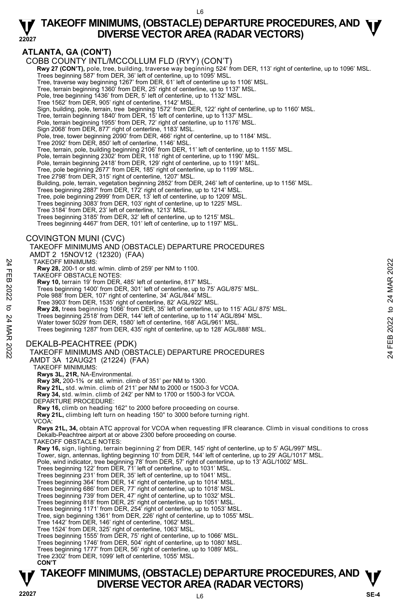#### **22027 TAKEOFF MINIMUMS, (OBSTACLE) DEPARTURE PROCEDURES, AND**  $\Psi$ **<br>DIVERSE VECTOR AREA (RADAR VECTORS) DIVERSE VECTOR AREA (RADAR VECTORS)**

#### **ATLANTA, GA (CON'T)**

COBB COUNTY INTL/MCCOLLUM FLD (RYY) (CON'T)

**Rwy 27 (CON'T),** pole, tree, building, traverse way beginning 524' from DER, 113' right of centerline, up to 1096' MSL.<br>Trees beginning 587' from DER, 36' left of centerline, up to 1095' MSL.

Tree, traverse way beginning 1267' from DER, 61' left of centerline up to 1106' MSL.

Tree, terrain beginning 1360' from DER, 25' right of centerline, up to 1137' MSL. Pole, tree beginning 1436' from DER, 5' left of centerline, up to 1132' MSL.

- 
- Tree 1562' from DER, 905' right of centerline, 1142' MSL.

Sign, building, pole, terrain, tree beginning 1572' from DER, 122' right of centerline, up to 1160' MSL.

Tree, terrain beginning 1840' from DER, 15' left of centerline, up to 1137' MSL. Pole, terrain beginning 1955' from DER, 72' right of centerline, up to 1176' MSL.

Sign 2068' from DER, 877' right of centerline, 1183' MSL.

Pole, tree, tower beginning 2090' from DER, 466' right of centerline, up to 1184' MSL. Tree 2092' from DER, 850' left of centerline, 1146' MSL.

Tree, terrain, pole, building beginning 2106' from DER, 11' left of centerline, up to 1155' MSL.

Pole, terrain beginning 2302' from DER, 118' right of centerline, up to 1190' MSL.

Pole, terrain beginning 2418' from DER, 129' right of centerline, up to 1191' MSL. Tree, pole beginning 2677' from DER, 185' right of centerline, up to 1199' MSL.

Tree 2798' from DER, 315' right of centerline, 1207' MSL.

Building, pole, terrain, vegetation beginning 2852' from DER, 246' left of centerline, up to 1156' MSL.<br>Trees beginning 2887' from DER, 172' right of centerline, up to 1214' MSL.

Tree, pole beginning 2999' from DER, 13' left of centerline, up to 1209' MSL.

Trees beginning 3083' from DER, 103' right of centerline, up to 1225' MSL.

Tree 3184' from DER, 23' left of centerline, 1213' MSL.

Trees beginning 3185' from DER, 32' left of centerline, up to 1215' MSL.

Trees beginning 4467' from DER, 101' left of centerline, up to 1197' MSL.

#### COVINGTON MUNI (CVC)

TAKEOFF MINIMUMS AND (OBSTACLE) DEPARTURE PROCEDURES

AMDT 2 15NOV12 (12320) (FAA)

TAKEOFF MINIMUMS:

**Rwy 28,** 200-1 or std. w/min. climb of 259' per NM to 1100.

- TAKEOFF OBSTACLE NOTES:
- **Rwy 10,** terrain 19' from DER, 485' left of centerline, 817' MSL.
- Trees beginning 1400' from DER, 301' left of centerline, up to 75' AGL/875' MSL.
- Pole 988' from DER, 107' right of centerline, 34' AGL/844' MSL.
- 
- Tree 3903' from DER, 1535' right of centerline, 82' AGL/922' MSL.<br>**Rwy 28,** trees beginning 1066' from DER, 35' left of centerline, up to 115' AGL/ 875' MSL.

Trees beginning 2518' from DER, 144' left of centerline, up to 114' AGL/894' MSL.

Water tower 5029' from DER, 1580' left of centerline, 168' AGL/961' MSI

Trees beginning 1287' from DER, 435' right of centerline, up to 128' AGL/888' MSL.

#### DEKALB-PEACHTREE (PDK)

# TAKEOFF MINIMUMS AND (OBSTACLE) DEPARTURE PROCEDURES TAKEOFF MINIMUMS:<br>
THE WAVER, 200-1 or std. Wmin. climb of 259' per NM to 1100.<br>
TAKEOFF OBSTACLE NOTES:<br>
Rwy 10, terrain 19' from DER, 485' left of centerline, up to 75' AGL/875' MSL.<br>
Trees beginning 1400' from DER, 102

AMDT 3A 12AUG21 (21224) (FAA)

TAKEOFF MINIMUMS: **Rwys 3L, 21R,** NA-Environmental.

**Rwy 3R,** 200-1⅜ or std. w/min. climb of 351' per NM to 1300.

**Rwy 21L,** std. w/min. climb of 211' per NM to 2000 or 1500-3 for VCOA.

 **Rwy 34,** std. w/min. climb of 242' per NM to 1700 or 1500-3 for VCOA.

DEPARTURE PROCEDURE:

**Rwy 16,** climb on heading 162° to 2000 before proceeding on course.

**Rwy 21L,** climbing left turn on heading 150° to 3000 before turning right.

VCOA:

**Rwys 21L, 34,** obtain ATC approval for VCOA when requesting IFR clearance. Climb in visual conditions to cross Dekalb-Peachtree airport at or above 2300 before proceeding on course.

TAKEOFF OBSTACLE NOTES:

**Rwy 16,** sign, lighting, terrain beginning 2' from DER, 145' right of centerline, up to 5' AGL/997' MSL.

Tower, sign, antennas, lighting beginning 10' from DER, 144' left of centerline, up to 29' AGL/1017' MSL.

Pole, wind indicator, tree beginning 78' from DER, 57' right of centerline, up to 13' AGL/1002' MSL.<br>Trees beginning 122' from DER, 71' left of centerline, up to 1031' MSL.

Trees beginning 231' from DER, 35' left of centerline, up to 1041' MSL.

Trees beginning 364' from DER, 14' right of centerline, up to 1014' MSL. Trees beginning 686' from DER, 77' right of centerline, up to 1018' MSL.

Trees beginning 739' from DER, 47' right of centerline, up to 1032' MSL.

Trees beginning 818' from DER, 25' right of centerline, up to 1051' MSL. Trees beginning 1171' from DER, 254' right of centerline, up to 1053' MSL.

Tree, sign beginning 1361' from DER, 226' right of centerline, up to 1055' MSL.

Tree 1442' from DER, 146' right of centerline, 1062' MSL.

Tree 1524' from DER, 325' right of centerline, 1063' MSL.<br>Trees beginning 1555' from DER, 75' right of centerline, up to 1066' MSL.<br>Trees beginning 1746' from DER, 504' right of centerline, up to 1080' MSL.

Trees beginning 1777' from DER, 56' right of centerline, up to 1089' MSL. Tree 2302' from DER, 1099' left of centerline, 1055' MSL.

**CON'T**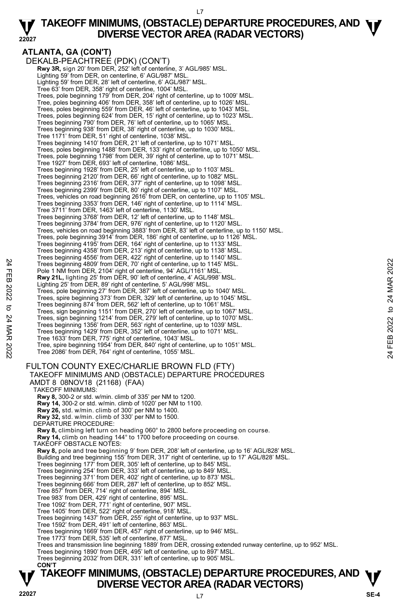#### **22027 TAKEOFF MINIMUMS, (OBSTACLE) DEPARTURE PROCEDURES, AND**  $\Psi$ **<br>DIVERSE VECTOR AREA (RADAR VECTORS) DIVERSE VECTOR AREA (RADAR VECTORS)**

**ATLANTA, GA (CON'T)**  DEKALB-PEACHTREE (PDK) (CON'T)  **Rwy 3R,** sign 20' from DER, 252' left of centerline, 3' AGL/985' MSL. Lighting 59' from DER, on centerline, 6' AGL/987' MSL. Lighting 59' from DER, 28' left of centerline, 6' AGL/987' MSL. Tree 63' from DER, 358' right of centerline, 1004' MSL. Trees, pole beginning 179' from DER, 204' right of centerline, up to 1009' MSL. Tree, poles beginning 406' from DER, 358' left of centerline, up to 1026' MSL. Trees, poles beginning 559' from DER, 46' left of centerline, up to 1043' MSL. Trees, poles beginning 624' from DER, 15' right of centerline, up to 1023' MSL.<br>Trees beginning 790' from DER, 76' left of centerline, up to 1065' MSL.<br>Trees beginning 938' from DER, 38' right of centerline, up to 1030' MS Tree 1171' from DER, 51' right of centerline, 1038' MSL. Trees beginning 1410' from DER, 21' left of centerline, up to 1071' MSL. Trees, poles beginning 1488' from DER, 133' right of centerline, up to 1050' MSL. Trees, pole beginning 1798' from DER, 39' right of centerline, up to 1071' MSL. Tree 1927' from DER, 693' left of centerline, 1086' MSL. Trees beginning 1928' from DER, 25' left of centerline, up to 1103' MSL. Trees beginning 2120' from DER, 66' right of centerline, up to 1082' MSL. Trees beginning 2316' from DER, 377' right of centerline, up to 1098' MSL. Trees beginning 2399' from DER, 80' right of centerline, up to 1107' MSL. Trees, vehicles on road beginning 2616' from DER, on centerline, up to 1105' MSL. Trees beginning 3353' from DER, 146' right of centerline, up to 1114' MSL. Tree 3711' from DER, 1463' left of centerline, 1130' MSL. Trees beginning 3768' from DER, 12' left of centerline, up to 1148' MSL. Trees beginning 3784' from DER, 976' right of centerline, up to 1120' MSL. Trees, vehicles on road beginning 3883' from DER, 83' left of centerline, up to 1150' MSL.<br>Trees, pole beginning 3914' from DER, 186' right of centerline, up to 1126' MSL.<br>Trees beginning 4195' from DER, 164' right of cent Trees beginning 4358' from DER, 213' right of centerline, up to 1138' MSL. Trees beginning 4556' from DER, 422' right of centerline, up to 1140' MSL. Trees beginning 4809' from DER, 70' right of centerline, up to 1145' MSL. Pole 1 NM from DER, 2104' right of centerline, 94' AGL/1161' MSL. **Rwy 21L,** lighting 25' from DER, 90' left of centerline, 4' AGL/998' MSL.<br>Lighting 25' from DER, 89' right of centerline, 5' AGL/998' MSL. Trees, pole beginning 27' from DER, 387' left of centerline, up to 1040' MSL. Trees, spire beginning 373' from DER, 329' left of centerline, up to 1045' MSL. Trees beginning 874' from DER, 562' left of centerline, up to 1061' MSL. Trees, sign beginning 1151' from DER, 270' left of centerline, up to 1067' MSL. Trees, sign beginning 1214' from DER, 279' left of centerline, up to 1070' MSL. Trees beginning 1356' from DER, 563' right of centerline, up to 1039' MSL. Trees beginning 1429' from DER, 352' left of centerline, up to 1071' MSL. Tree 1633' from DER, 775' right of centerline, 1043' MSL. Tree, spire beginning 1954' from DER, 840' right of centerline, up to 1051' MSL. Tree 2086' from DER, 764' right of centerline, 1055' MSL. FULTON COUNTY EXEC/CHARLIE BROWN FLD (FTY) TAKEOFF MINIMUMS AND (OBSTACLE) DEPARTURE PROCEDURES AMDT 8 08NOV18 (21168) (FAA) TAKEOFF MINIMUMS: **Rwy 8,** 300-2 or std. w/min. climb of 335' per NM to 1200. **Rwy 14,** 300-2 or std. w/min. climb of 1020' per NM to 1100. **Rwy 26,** std. w/min. climb of 300' per NM to 1400. **Rwy 32,** std. w/min. climb of 330' per NM to 1500. DEPARTURE PROCEDURE: **Rwy 8,** climbing left turn on heading 060° to 2800 before proceeding on course. **Rwy 14,** climb on heading 144° to 1700 before proceeding on course. TAKEOFF OBSTACLE NOTES: **Rwy 8,** pole and tree beginning 9' from DER, 208' left of centerline, up to 16' AGL/828' MSL. Building and tree beginning 155' from DER, 317' right of centerline, up to 17' AGL/828' MSL. Trees beginning 177' from DER, 305' left of centerline, up to 845' MSL. Trees beginning 254' from DER, 333' left of centerline, up to 849' MSL. Trees beginning 371' from DER, 402' right of centerline, up to 873' MSL. Trees beginning 666' from DER, 287' left of centerline, up to 852' MSL. Tree 857' from DER, 714' right of centerline, 894' MSL. Tree 983' from DER, 429' right of centerline, 895' MSL. Tree 1092' from DER, 771' right of centerline, 907' MSL. Tree 1405' from DER, 522' right of centerline, 918' MSL. Trees beginning 1437' from DER, 255' right of centerline, up to 937' MSL. Tree 1592' from DER, 491' left of centerline, 863' MSL. Trees beginning 1669' from DER, 457' right of centerline, up to 946' MSL. Tree 1773' from DER, 535' left of centerline, 877' MSL. Trees and transmission line beginning 1889' from DER, crossing extended runway centerline, up to 952' MSL. Trees beginning 1890' from DER, 495' left of centerline, up to 897' MSL. Trees beginning 2032' from DER, 331' left of centerline, up to 905' MSL. **CON'T** Trees beginning 4809 from DER, 70' right of centerline, up to 1145 MSL.<br>
The 1 NM from DER, 2104' right of centerline, 4' AGL/998' MSL.<br> **Pole 1 NM from DER, 2104' right of centerline, 4' AGL/998' MSL.**<br> **Rwy 21L**, lightin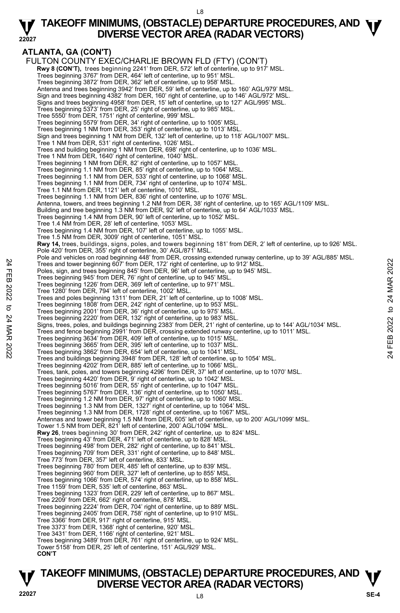#### **22027 TAKEOFF MINIMUMS, (OBSTACLE) DEPARTURE PROCEDURES, AND**  $\Psi$ **<br>DIVERSE VECTOR AREA (RADAR VECTORS) DIVERSE VECTOR AREA (RADAR VECTORS)**

## **ATLANTA, GA (CON'T)**

FULTON COUNTY EXEC/CHARLIE BROWN FLD (FTY) (CON'T) **Rwy 8 (CON'T),** trees beginning 2241' from DER, 572' left of centerline, up to 917' MSL.<br>Trees beginning 3767' from DER, 464' left of centerline, up to 951' MSL. Trees beginning 3872' from DER, 362' left of centerline, up to 958' MSL. Antenna and trees beginning 3942' from DER, 59' left of centerline, up to 160' AGL/979' MSL. Sign and trees beginning 4382' from DER, 160' right of centerline, up to 146' AGL/972' MSL. Signs and trees beginning 4958' from DER, 15' left of centerline, up to 127' AGL/995' MSL. Trees beginning 5373' from DER, 25' right of centerline, up to 985' MSL. Tree 5550' from DER, 1751' right of centerline, 999' MSL. Trees beginning 5579' from DER, 34' right of centerline, up to 1005' MSL. Trees beginning 1 NM from DER, 353' right of centerline, up to 1013' MSL. Sign and trees beginning 1 NM from DER, 132' left of centerline, up to 118' AGL/1007' MSL. Tree 1 NM from DER, 531' right of centerline, 1026' MSL. Trees and building beginning 1 NM from DER, 698' right of centerline, up to 1036' MSL. Tree 1 NM from DER, 1640' right of centerline, 1040' MSL. Trees beginning 1 NM from DER, 82' right of centerline, up to 1057' MSL Trees beginning 1.1 NM from DER, 85' right of centerline, up to 1064' MSL. Trees beginning 1.1 NM from DER, 533' right of centerline, up to 1068' MSL. Trees beginning 1.1 NM from DER, 734' right of centerline, up to 1074' MSL. Tree 1.1 NM from DER, 1121' left of centerline, 1010' MSL. Trees beginning 1.1 NM from DER, 836' right of centerline, up to 1076' MSL. Antenna, towers, and trees beginning 1.2 NM from DER, 38' right of centerline, up to 165' AGL/1109' MSL. Building and tree beginning 1.3 NM from DER, 92' left of centerline, up to 64' AGL/1033' MSL. Trees beginning 1.4 NM from DER, 90' left of centerline, up to 1052' MSL. Tree 1.4 NM from DER, 28' left of centerline, 1053' MSL. Trees beginning 1.4 NM from DER, 107' left of centerline, up to 1055' MSL. Tree 1.5 NM from DER, 3009' right of centerline, 1051' MSL. **Rwy 14,** trees, buildings, signs, poles, and towers beginning 181' from DER, 2' left of centerline, up to 926' MSL. Pole 420' from DER, 355' right of centerline, 30' AGL/871' MSL. Pole and vehicles on road beginning 448' from DER, crossing extended runway centerline, up to 39' AGL/885' MSL. Trees and tower beginning 607' from DER, 172' right of centerline, up to 912' MSL. Poles, sign, and trees beginning 845' from DER, 96' left of centerline, up to 945' MSL. Trees beginning 945' from DER, 76' right of centerline, up to 945' MSL. Trees beginning 1226' from DER, 369' left of centerline, up to 971' MSL. Tree 1280' from DER, 794' left of centerline, 1002' MSL. Trees and poles beginning 1311' from DER, 21' left of centerline, up to 1008' MSL. Trees beginning 1808' from DER, 242' right of centerline, up to 953' MSL. Trees beginning 2001' from DER, 36' right of centerline, up to 975' MSL. Trees beginning 2220' from DER, 132' right of centerline, up to 983' MSL. Signs, trees, poles, and buildings beginning 2383' from DER, 21' right of centerline, up to 144' AGL/1034' MSL. Trees and fence beginning 2991' from DER, crossing extended runway centerline, up to 1011' MSL. Trees beginning 3634' from DER, 409' left of centerline, up to 1015' MSL. Trees beginning 3665' from DER, 395' left of centerline, up to 1037' MSL. Trees beginning 3862' from DER, 654' left of centerline, up to 1041' MSL. Trees and buildings beginning 3948' from DER, 128' left of centerline, up to 1054' MSL. Trees beginning 4202' from DER, 885' left of centerline, up to 1066' MSL. Trees, tank, poles, and towers beginning 4296' from DER, 37' left of centerline, up to 1070' MSL. Trees beginning 4420' from DER, 9' right of centerline, up to 1042' MSL. Trees beginning 5016' from DER, 55' right of centerline, up to 1047' MSL. Trees beginning 5767' from DER, 136' right of centerline, up to 1050' MSL. Trees beginning 1.2 NM from DER, 97' right of centerline, up to 1060' MSL. Trees beginning 1.3 NM from DER, 1327' right of centerline, up to 1064' MSL. Trees beginning 1.3 NM from DER, 1728' right of centerline, up to 1067' MSL. Antennas and tower beginning 1.5 NM from DER, 605' left of centerline, up to 200' AGL/1099' MSL. Tower 1.5 NM from DER, 821' left of centerline, 200' AGL/1094' MSL. **Rwy 26**, trees beginning 30' from DER, 242' right of centerline, up to 824' MSL. Trees beginning 43' from DER, 471' left of centerline, up to 828' MSL. Trees beginning 498' from DER, 282' right of centerline, up to 841' MSL. Trees beginning 709' from DER, 331' right of centerline, up to 848' MSL. Tree 773' from DER, 357' left of centerline, 833' MSL. Trees beginning 780' from DER, 485' left of centerline, up to 839' MSL. Trees beginning 960' from DER, 327' left of centerline, up to 855' MSL. Trees beginning 1066' from DER, 574' right of centerline, up to 858' MSL. Tree 1159' from DER, 535' left of centerline, 863' MSL. Trees beginning 1323' from DER, 229' left of centerline, up to 867' MSL. Tree 2209' from DER, 662' right of centerline, 878' MSL. Trees beginning 2224' from DER, 704' right of centerline, up to 889' MSL. Trees beginning 2405' from DER, 758' right of centerline, up to 910' MSL. Tree 3366' from DER, 917' right of centerline, 915' MSL. Tree 3373' from DER, 1368' right of centerline, 920' MSL. Tree 3431' from DER, 1166' right of centerline, 921' MSL. Trees beginning 3489' from DER, 761' right of centerline, up to 924' MSL. Tower 5158' from DER, 25' left of centerline, 151' AGL/929' MSL.  **CON'T**  Trees and tower beginning 807' from DER, 172' right of centerline, up to 912' MSL.<br>
The Saign, and trees beginning 845' from DER, 172' right of centerline, up to 912' MSL.<br>
Trees beginning 945' from DER, 76' right of cente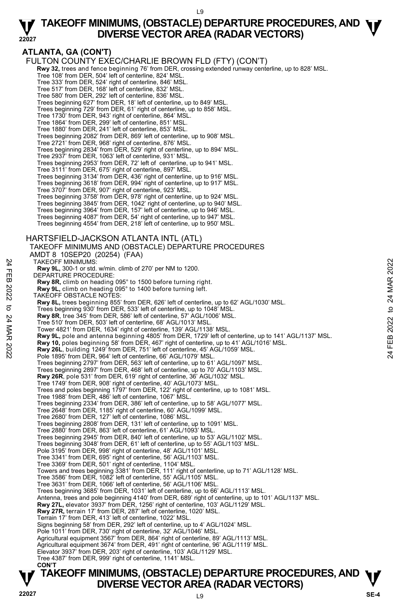#### **ATLANTA, GA (CON'T)**

FULTON COUNTY EXEC/CHARLIE BROWN FLD (FTY) (CON'T) **Rwy 32,** trees and fence beginning 76' from DER, crossing extended runway centerline, up to 828' MSL. Tree 108' from DER, 504' left of centerline, 824' MSL. Tree 333' from DER, 524' right of centerline, 846' MSL. Tree 517' from DER, 168' left of centerline, 832' MSL. Tree 580' from DER, 292' left of centerline, 836' MSL. Trees beginning 627' from DER, 18' left of centerline, up to 849' MSL. Trees beginning 729' from DER, 61' right of centerline, up to 858' MSL. Tree 1730' from DER, 943' right of centerline, 864' MSL. Tree 1864' from DER, 299' left of centerline, 851' MSL. Tree 1880' from DER, 241' left of centerline, 853' MSL. Trees beginning 2082' from DER, 869' left of centerline, up to 908' MSL. Tree 2721' from DER, 968' right of centerline, 876' MSL. Trees beginning 2834' from DER, 529' right of centerline, up to 894' MSL. Tree 2937' from DER, 1063' left of centerline, 931' MSL. Trees beginning 2953' from DER, 72' left of centerline, up to 941' MSL. Tree 3111' from DER, 675' right of centerline, 897' MSL. Trees beginning 3134' from DER, 436' right of centerline, up to 916' MSL. Trees beginning 3618' from DER, 994' right of centerline, up to 917' MSL. Tree 3707' from DER, 907' right of centerline, 923' MSL. Trees beginning 3758' from DER, 978' right of centerline, up to 924' MSL.<br>Trees beginning 3845' from DER, 1042' right of centerline, up to 940' MSL.<br>Trees beginning 3964' from DER, 157' left of centerline, up to 946' MSL. Trees beginning 4087' from DER, 54' right of centerline, up to 947' MSL. Trees beginning 4554' from DER, 218' left of centerline, up to 950' MSL. HARTSFIELD-JACKSON ATLANTA INTL (ATL) TAKEOFF MINIMUMS AND (OBSTACLE) DEPARTURE PROCEDURES AMDT 8 10SEP20 (20254) (FAA) TAKEOFF MINIMUMS: **Rwy 9L,** 300-1 or std. w/min. climb of 270' per NM to 1200. DEPARTURE PROCEDURE: **Rwy 8R,** climb on heading 095° to 1500 before turning right. **Rwy 9L,** climb on heading 095° to 1400 before turning left. TAKEOFF OBSTACLE NOTES: **Rwy 8L,** trees beginning 855' from DER, 626' left of centerline, up to 62' AGL/1030' MSL.<br>Trees beginning 930' from DER, 533' left of centerline, up to 1048' MSL. **Rwy 8R**, tree 345' from DER, 586' left of centerline, 57' AGL/1006' MSL. Tree 510' from DER, 503' left of centerline, 68' AGL/1013' MSL. Tower 4821' from DER, 1634' right of centerline, 139' AGL/1138' MSL. **Rwy 9L,** pole and antenna beginning 4805' from DER, 1729' left of centerline, up to 141' AGL/1137' MSL. **Rwy 10,** poles beginning 58' from DER, 467' right of centerline, up to 41' AGL/1016' MSL. **Rwy 26L**, building 1249' from DER, 751' left of centerline, 45' AGL/1059' MSL. Pole 1895' from DER, 964' left of centerline, 66' AGL/1079' MSL. Trees beginning 2797' from DER, 563' left of centerline, up to 61' AGL/1097' MSL. Trees beginning 2897' from DER, 468' left of centerline, up to 70' AGL/1103' MSL. **Rwy 26R**, pole 531' from DER, 619' right of centerline, 36' AGL/1032' MSL. Tree 1749' from DER, 908' right of centerline, 40' AGL/1073' MSL. Trees and poles beginning 1797' from DER, 122' right of centerline, up to 1081' MSL. Tree 1988' from DER, 486' left of centerline, 1067' MSL. Trees beginning 2334' from DER, 386' left of centerline, up to 58' AGL/1077' MSL. Tree 2648' from DER, 1185' right of centerline, 60' AGL/1099' MSL. Tree 2680' from DER, 127' left of centerline, 1086' MSL. Trees beginning 2808' from DER, 131' left of centerline, up to 1091' MSL. Tree 2880' from DER, 863' left of centerline, 61' AGL/1093' MSL. Trees beginning 2945' from DER, 840' left of centerline, up to 53' AGL/1102' MSL. Trees beginning 3048' from DER, 61' left of centerline, up to 55' AGL/1103' MSL. Pole 3195' from DER, 998' right of centerline, 48' AGL/1101' MSL. Tree 3341' from DER, 695' right of centerline, 56' AGL/1103' MSL. Tree 3369' from DER, 501' right of centerline, 1104' MSL. Towers and trees beginning 3381' from DER, 111' right of centerline, up to 71' AGL/1128' MSL. Tree 3586' from DER, 1082' left of centerline, 55' AGL/1105' MSL. Tree 3631' from DER, 1066' left of centerline, 56' AGL/1106' MSL. Trees beginning 3685' from DER, 1031' left of centerline, up to 66' AGL/1113' MSL. Antenna, trees and pole beginning 4140' from DER, 689' right of centerline, up to 101' AGL/1137' MSL. **Rwy 27L,** elevator 3937' from DER, 1256' right of centerline, 103' AGL/1129' MSL. **Rwy 27R,** terrain 17' from DER, 287' left of centerline, 1020' MSL. Terrain 17' from DER, 413' left of centerline, 1022' MSL. Signs beginning 58' from DER, 292' left of centerline, up to 4' AGL/1024' MSL. Pole 1011' from DER, 730' right of centerline, 32' AGL/1046' MSL. Agricultural equipment 3567' from DER, 864' right of centerline, 89' AGL/1113' MSL. Agricultural equipment 3674' from DER, 491' right of centerline, 96' AGL/1119' MSL. Elevator 3937' from DER, 203' right of centerline, 103' AGL/1129' MSL. Tree 4387' from DER, 999' right of centerline, 1141' MSL. TAKEOFF MINIMUMS:<br>
THE WY 9L, 300-1 or std. w/min. climb of 270' per NM to 1200.<br>
Ruy 8R, climb on heading 095° to 1500 before turning right.<br>
Ruy 8R, climb on heading 095° to 1500 before turning right.<br>
RWY 9L, these begi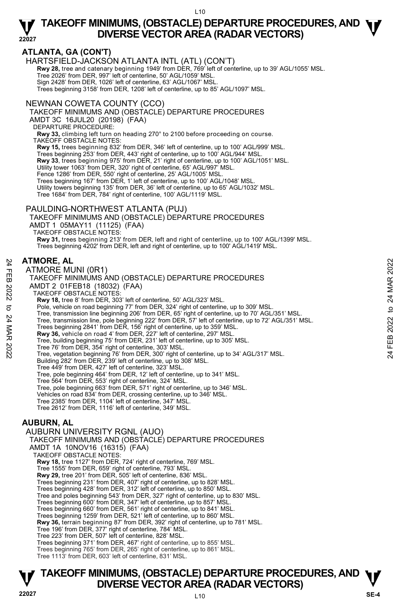#### **ATLANTA, GA (CON'T)**

HARTSFIELD-JACKSON ATLANTA INTL (ATL) (CON'T)

**Rwy 28,** tree and catenary beginning 1949' from DER, 769' left of centerline, up to 39' AGL/1055' MSL.<br>Tree 2026' from DER, 997' left of centerline, 50' AGL/1059' MSL.

Sign 2428' from DER, 1026' left of centerline, 63' AGL/1067' MSL.

Trees beginning 3158' from DER, 1208' left of centerline, up to 85' AGL/1097' MSL.

NEWNAN COWETA COUNTY (CCO)

TAKEOFF MINIMUMS AND (OBSTACLE) DEPARTURE PROCEDURES

AMDT 3C 16JUL20 (20198) (FAA)

DEPARTURE PROCEDURE:

**Rwy 33,** climbing left turn on heading 270° to 2100 before proceeding on course. TAKEOFF OBSTACLE NOTES:

**Rwy 15,** trees beginning 832' from DER, 346' left of centerline, up to 100' AGL/999' MSL.

Trees beginning 253' from DER, 443' right of centerline, up to 100' AGL/944' MSL.

**Rwy 33**, trees beginning 975' from DER, 21' right of centerline, up to 100' AGL/1051' MSL.

Utility tower 1063' from DER, 320' right of centerline, 65' AGL/997' MSL.

Fence 1286' from DER, 550' right of centerline, 25' AGL/1005' MSL.

Trees beginning 167' from DER, 1' left of centerline, up to 100' AGL/1048' MSL Utility towers beginning 135' from DER, 36' left of centerline, up to 65' AGL/1032' MSL. Tree 1684' from DER, 784' right of centerline, 100' AGL/1119' MSL.

#### PAULDING-NORTHWEST ATLANTA (PUJ)

TAKEOFF MINIMUMS AND (OBSTACLE) DEPARTURE PROCEDURES AMDT 1 05MAY11 (11125) (FAA)

TAKEOFF OBSTACLE NOTES:

**Rwy 31,** trees beginning 213' from DER, left and right of centerline, up to 100' AGL/1399' MSL. Trees beginning 4202' from DER, left and right of centerline, up to 100' AGL/1419' MSL.

#### **ATMORE, AL**

ATMORE MUNI (0R1) TAKEOFF MINIMUMS AND (OBSTACLE) DEPARTURE PROCEDURES AMDT 2 01FEB18 (18032) (FAA) TAKEOFF OBSTACLE NOTES: **Rwy 18,** tree 8' from DER, 303' left of centerline, 50' AGL/323' MSL. Pole, vehicle on road beginning 77' from DER, 324' right of centerline, up to 309' MSL. Tree, transmission line beginning 206' from DER, 65' right of centerline, up to 70' AGL/351' MSL. Tree, transmission line, pole beginning 222' from DER, 57' left of centerline, up to 72' AGL/351' MSL.<br>Trees beginning 2841' from DER, 156' right of centerline, up to 359' MSL. **Rwy 36,** vehicle on road 4' from DER, 227' left of centerline, 297' MSL. Tree, building beginning 75' from DER, 231' left of centerline, up to 305' MSL. ATMORE, AL<br>
TRIMORE MUNI (OR1)<br>
TAKEOFF MINIMUMS AND (OBSTACLE) DEPARTURE PROCEDURES<br>
AMDT 2 01FEB18 (18032) (FAA)<br>
TAKEOFF OBSTACLE NOTES:<br>
RW 18, tree 8' from DER, 30' right of centerline, up to 309' MSL.<br>
The that show Building 282' from DER, 239' left of centerline, up to 308' MSL. Tree 449' from DER, 427' left of centerline, 323' MSL. Tree, pole beginning 464' from DER, 12' left of centerline, up to 341' MSL. Tree 564' from DER, 553' right of centerline, 324' MSL. Tree, pole beginning 663' from DER, 571' right of centerline, up to 346' MSL. Vehicles on road 834' from DER, crossing centerline, up to 346' MSL. Tree 2385' from DER, 1104' left of centerline, 347' MSL. Tree 2612' from DER, 1116' left of centerline, 349' MSL. **AUBURN, AL**  AUBURN UNIVERSITY RGNL (AUO) TAKEOFF MINIMUMS AND (OBSTACLE) DEPARTURE PROCEDURES AMDT 1A 10NOV16 (16315) (FAA) TAKEOFF OBSTACLE NOTES:

**Rwy 18,** tree 1127' from DER, 724' right of centerline, 769' MSL.<br>Tree 1555' from DER, 659' right of centerline, 793' MSL. **Rwy 29,** tree 201' from DER, 505' left of centerline, 836' MSL. Trees beginning 231' from DER, 407' right of centerline, up to 828' MSL. Trees beginning 428' from DER, 312' left of centerline, up to 850' MSL.

Tree and poles beginning 543' from DER, 327' right of centerline, up to 830' MSL.

Trees beginning 600' from DER, 347' left of centerline, up to 857' MSL. Trees beginning 660' from DER, 561' right of centerline, up to 841' MSL.

Trees beginning 1259' from DER, 521' left of centerline, up to 860' MSL.

**Rwy 36,** terrain beginning 87' from DER, 392' right of centerline, up to 781' MSL.

Tree 196' from DER, 377' right of centerline, 784' MSL. Tree 223' from DER, 507' left of centerline, 828' MSL.

Trees beginning 371' from DER, 467' right of centerline, up to 855' MSL.

Trees beginning 765' from DER, 265' right of centerline, up to 861' MSL.

Tree 1113' from DER, 603' left of centerline, 831' MSL.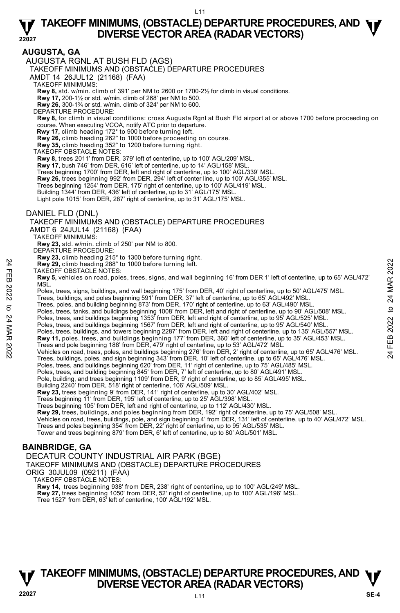#### **AUGUSTA, GA**

AUGUSTA RGNL AT BUSH FLD (AGS)

TAKEOFF MINIMUMS AND (OBSTACLE) DEPARTURE PROCEDURES

AMDT 14 26JUL12 (21168) (FAA)

TAKEOFF MINIMUMS:

**Rwy 8,** std. w/min. climb of 391' per NM to 2600 or 1700-2½ for climb in visual conditions.

**Rwy 17,** 200-1½ or std. w/min. climb of 268' per NM to 500. **Rwy 26,** 300-1¾ or std. w/min. climb of 324' per NM to 600.

DEPARTURE PROCEDURE:

**Rwy 8,** for climb in visual conditions: cross Augusta Rgnl at Bush Fld airport at or above 1700 before proceeding on course. When executing VCOA, notify ATC prior to departure.

**Rwy 17,** climb heading 172° to 900 before turning left.<br>**Rwy 26,** climb heading 262° to 1000 before proceeding on course.<br>**Rwy 35,** climb heading 352° to 1200 before turning right.

TAKEOFF OBSTACLE NOTES:

**Rwy 8,** trees 2011' from DER, 379' left of centerline, up to 100' AGL/209' MSL.

**Rwy 17,** bush 746' from DER, 616' left of centerline, up to 14' AGL/158' MSL.

Trees beginning 1700' from DER, left and right of centerline, up to 100' AGL/339' MSL.

**Rwy 26,** trees beginning 992' from DER, 294' left of center line, up to 100' AGL/355' MSL.

Trees beginning 1254' from DER, 175' right of centerline, up to 100' AGL/419' MSL. Building 1344' from DER, 436' left of centerline, up to 31' AGL/175' MSL.

Light pole 1015' from DER, 287' right of centerline, up to 31' AGL/175' MSL.

#### DANIEL FLD (DNL)

TAKEOFF MINIMUMS AND (OBSTACLE) DEPARTURE PROCEDURES

AMDT 6 24JUL14 (21168) (FAA)

TAKEOFF MINIMUMS:

**Rwy 23,** std. w/min. climb of 250' per NM to 800.

DEPARTURE PROCEDURE:

**Rwy 23,** climb heading 215° to 1300 before turning right. **Rwy 29,** climb heading 288° to 1000 before turning left.

TAKEOFF OBSTACLE NOTES:

**Rwy 5,** vehicles on road, poles, trees, signs, and wall beginning 16' from DER 1' left of centerline, up to 65' AGL/472'<br>MSL. 24 Febra Financial 288 for 1000 before turning left.<br>
22 Folds on road, poles, trees, signs, and wall beginning 16' from DER 1' left of centerline, up to 65' AGL/472'<br>
22 Folds, trees, buildings, and wall beginning 175' fr

Poles, trees, signs, buildings, and wall beginning 175' from DER, 40' right of centerline, up to 50' AGL/475' MSL.

Trees, buildings, and poles beginning 591' from DER, 37' left of centerline, up to 65' AGL/492' MSL. Trees, poles, and building beginning 873' from DER, 170' right of centerline, up to 63' AGL/490' MSL.

Poles, trees, tanks, and buildings beginning 1008' from DER, left and right of centerline, up to 90' AGL/508' MSL.

Poles, trees, and buildings beginning 1353' from DER, left and right of centerline, up to 95' AGL/525' MSL. Poles, trees, and buildings beginning 1567' from DER, left and right of centerline, up to 95' AGL/540' MSL.

Poles, trees, buildings, and towers beginning 2287' from DER, left and right of centerline, up to 135' AGL/557' MSL. **Rwy 11,** poles, trees, and buildings beginning 177' from DER, 360' left of centerline, up to 35' AGL/453' MSL.

Trees and pole beginning 188' from DER, 479' right of centerline, up to 53' AGL/472' MSL.

Vehicles on road, trees, poles, and buildings beginning 276' from DER, 2' right of centerline, up to 65' AGL/476' MSL. Trees, buildings, poles, and sign beginning 343' from DER, 10' left of centerline, up to 65' AGL/476' MSL.

Poles, trees, and buildings beginning 620' from DER, 11' right of centerline, up to 75' AGL/485' MSL.<br>Poles, trees, and building beginning 845' from DER, 7' left of centerline, up to 80' AGL/491' MSL.

Pole, building, and trees beginning 1109' from DER, 9' right of centerline, up to 85' AGL/495' MSL.

Building 2240' from DER, 518' right of centerline, 106' AGL/509' MSL.

**Rwy 23,** trees beginning 9' from DER, 141' right of centerline, up to 30' AGL/402' MSL.<br>Trees beginning 11' from DER, 195' left of centerline, up to 25' AGL/398' MSL.

Trees beginning 105' from DER, left and right of centerline, up to 112' AGL/430' MSL.

**Rwy 29,** trees, buildings, and poles beginning from DER, 192' right of centerline, up to 75' AGL/508' MSL.<br>Vehicles on road, trees, buildings, pole, and sign beginning 4' from DER, 131' left of centerline, up to 40' AGL/4

Trees and poles beginning 354' from DER, 22' right of centerline, up to 95' AGL/535' MSL.

Tower and trees beginning 879' from DER, 6' left of centerline, up to 80' AGL/501' MSL.

#### **BAINBRIDGE, GA**

DECATUR COUNTY INDUSTRIAL AIR PARK (BGE)

TAKEOFF MINIMUMS AND (OBSTACLE) DEPARTURE PROCEDURES

ORIG 30JUL09 (09211) (FAA) TAKEOFF OBSTACLE NOTES:

**Rwy 14,** trees beginning 938' from DER, 238' right of centerline, up to 100' AGL/249' MSL.<br>**Rwy 27,** trees beginning 1050' from DER, 52' right of centerline, up to 100' AGL/196' MSL.

Tree 1527' from DER, 63' left of centerline, 100' AGL/192' MSL.

## **TAKEOFF MINIMUMS, (OBSTACLE) DEPARTURE PROCEDURES, AND**  $\Psi$ **<br>DIVERSE VECTOR AREA (RADAR VECTORS) V** DIVERSE VECTOR AREA (RADAR VECTORS) V<br>22027 SE-4

 $111$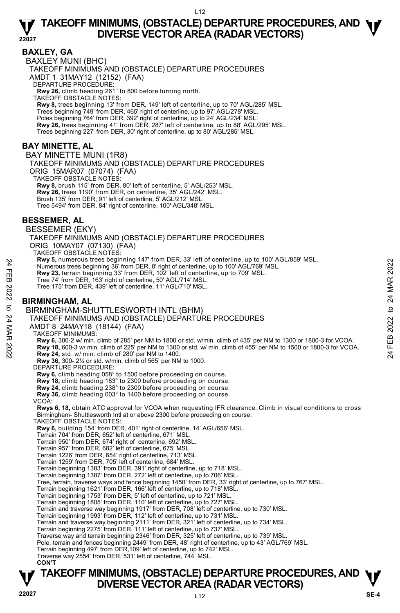#### **BAXLEY, GA**

BAXLEY MUNI (BHC) TAKEOFF MINIMUMS AND (OBSTACLE) DEPARTURE PROCEDURES AMDT 1 31MAY12 (12152) (FAA) DEPARTURE PROCEDURE: **Rwy 26,** climb heading 261° to 800 before turning north. TAKEOFF OBSTACLE NOTES: **Rwy 8,** trees beginning 13' from DER, 149' left of centerline, up to 70' AGL/285' MSL. Trees beginning 749' from DER, 465' right of centerline, up to 97' AGL/278' MSL. Poles beginning 764' from DER, 392' right of centerline, up to 24' AGL/234' MSL. **Rwy 26,** trees beginning 41' from DER, 287' left of centerline, up to 88' AGL/295' MSL. Trees beginning 227' from DER, 30' right of centerline, up to 80' AGL/285' MSL. **BAY MINETTE, AL** 

#### BAY MINETTE MUNI (1R8)

TAKEOFF MINIMUMS AND (OBSTACLE) DEPARTURE PROCEDURES ORIG 15MAR07 (07074) (FAA) TAKEOFF OBSTACLE NOTES:

**Rwy 8,** brush 115' from DER, 80' left of centerline, 5' AGL/253' MSL. **Rwy 26,** trees 1190' from DER, on centerline, 35' AGL/242' MSL. Brush 135' from DER, 91' left of centerline, 5' AGL/212' MSL. Tree 5494' from DER, 84' right of centerline, 100' AGL/348' MSL.

#### **BESSEMER, AL**

BESSEMER (EKY)

TAKEOFF MINIMUMS AND (OBSTACLE) DEPARTURE PROCEDURES ORIG 10MAY07 (07130) (FAA)

TAKEOFF OBSTACLE NOTES:

**Rwy 5,** numerous trees beginning 147' from DER, 33' left of centerline, up to 100' AGL/859' MSL.

Numerous trees beginning 36' from DER, 8' right of centerline, up to 100' AGL/769' MSL.

**Rwy 23,** terrain beginning 33' from DER, 102' left of centerline, up to 709' MSL.

Tree 74' from DER, 163' right of centerline, 50' AGL/714' MSL.

Tree 175' from DER, 439' left of centerline, 11' AGL/710' MSL.

#### **BIRMINGHAM, AL**

BIRMINGHAM-SHUTTLESWORTH INTL (BHM)

TAKEOFF MINIMUMS AND (OBSTACLE) DEPARTURE PROCEDURES

AMDT 8 24MAY18 (18144) (FAA)

TAKEOFF MINIMUMS:

**Rwy 6,** 300-2 w/ min. climb of 285' per NM to 1800 or std. w/min. climb of 435' per NM to 1300 or 1800-3 for VCOA. Numerous trees beginning 14' Trom DER, 8' right of centerline, up to 100' AGL/769' MSL.<br>
The 74' from DER, 163' right of centerline, up to 100' AGL/769' MSL.<br>
Tree 74' from DER, 163' right of centerline, 50' AGL/714' MSL.<br>

**Rwy 36,** 300- 2¼ or std. w/min. climb of 565' per NM to 1000.

DEPARTURE PROCEDURE:

**Rwy 6,** climb heading 058° to 1500 before proceeding on course.

**Rwy 18,** climb heading 183° to 2300 before proceeding on course. **Rwy 24,** climb heading 238° to 2300 before proceeding on course. **Rwy 36,** climb heading 003° to 1400 before proceeding on course.

VCOA:

**Rwys 6, 18,** obtain ATC approval for VCOA when requesting IFR clearance. Climb in visual conditions to cross Birmingham- Shuttlesworth Intl at or above 2300 before proceeding on course.

TAKEOFF OBSTACLE NOTES:

**Rwy 6,** building 154' from DER, 401' right of centerline, 14' AGL/656' MSL.

Terrain 704' from DER, 652' left of centerline, 671' MSL. Terrain 950' from DER, 674' right of centerline, 692' MSL.

Terrain 957' from DER, 682' left of centerline, 675' MSL.

Terrain 1226' from DER, 654' right of centerline, 713' MSL.

Terrain 1259' from DER, 705' left of centerline, 684' MSL.

Terrain beginning 1383' from DER, 391' right of centerline, up to 718' MSL.

Terrain beginning 1387' from DER, 272' left of centerline, up to 706' MSL.

Tree, terrain, traverse ways and fence beginning 1450' from DER, 33' right of centerline, up to 767' MSL.<br>Terrain beginning 1621' from DER, 166' left of centerline, up to 718' MSL.

Terrain beginning 1753' from DER, 5' left of centerline, up to 721' MSL.

Terrain beginning 1805' from DER, 110' left of centerline, up to 727' MSL. Terrain and traverse way beginning 1917' from DER, 708' left of centerline, up to 730' MSL.

Terrain beginning 1993' from DER, 112' left of centerline, up to 731' MSL.

Terrain and traverse way beginning 2111' from DER, 321' left of centerline, up to 734' MSL.

Terrain beginning 2275' from DER, 111' left of centerline, up to 737' MSL. Traverse way and terrain beginning 2346' from DER, 325' left of centerline, up to 739' MSL.

Pole, terrain and fences beginning 2449' from DER, 48' right of centerline, up to 43' AGL/769' MSL.

Terrain beginning 497' from DER,109' left of centerline, up to 742' MSL. Traverse way 2554' from DER, 531' left of centerline, 744' MSL.

#### **CON'T**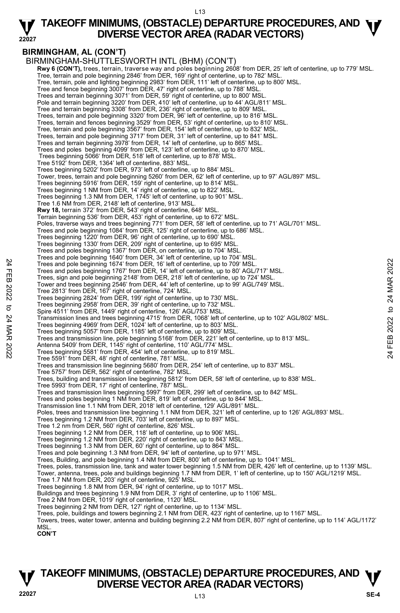#### **22027 TAKEOFF MINIMUMS, (OBSTACLE) DEPARTURE PROCEDURES, AND**  $\Psi$ **<br>DIVERSE VECTOR AREA (RADAR VECTORS) DIVERSE VECTOR AREA (RADAR VECTORS)**

#### **BIRMINGHAM, AL (CON'T)**

BIRMINGHAM-SHUTTLESWORTH INTL (BHM) (CON'T) **Rwy 6 (CON'T),** trees, terrain, traverse way and poles beginning 2608' from DER, 25' left of centerline, up to 779' MSL.<br>Tree, terrain and pole beginning 2846' from DER, 169' right of centerline, up to 782' MSL. Tree, terrain, pole and lighting beginning 2983' from DER, 111' left of centerline, up to 800' MSL.<br>Tree and fence beginning 3007' from DER, 47' right of centerline, up to 788' MSL. Trees and terrain beginning 3071' from DER, 59' right of centerline, up to 800' MSL. Pole and terrain beginning 3220' from DER, 410' left of centerline, up to 44' AGL/811' MSL. Tree and terrain beginning 3308' from DER, 236' right of centerline, up to 809' MSL. Trees, terrain and pole beginning 3320' from DER, 96' left of centerline, up to 816' MSL. Trees, terrain and fences beginning 3529' from DER, 53' right of centerline, up to 810' MSL. Tree, terrain and pole beginning 3567' from DER, 154' left of centerline, up to 832' MSL. Trees, terrain and pole beginning 3717' from DER, 31' left of centerline, up to 841' MSL. Trees and terrain beginning 3978' from DER, 14' left of centerline, up to 865' MSL. Trees and poles beginning 4099' from DER, 123' left of centerline, up to 870' MSL. Trees beginning 5066' from DER, 518' left of centerline, up to 878' MSL. Tree 5192' from DER, 1364' left of centerline, 883' MSL. Trees beginning 5202' from DER, 973' left of centerline, up to 884' MSL. Tower, trees, terrain and pole beginning 5260' from DER, 62' left of centerline, up to 97' AGL/897' MSL. Trees beginning 5916' from DER, 159' right of centerline, up to 814' MSL. Trees beginning 1 NM from DER, 14' right of centerline, up to 822' MSL. Trees beginning 1.3 NM from DER, 1745' left of centerline, up to 901' MSL. Tree 1.6 NM from DER, 2148' left of centerline, 913' MSL. **Rwy 18,** terrain 372' from DER, 543' right of centerline, 648' MSL. Terrain beginning 536' from DER, 453' right of centerline, up to 672' MSL. Poles, traverse ways and trees beginning 771' from DER, 58' left of centerline, up to 71' AGL/701' MSL. Trees and pole beginning 1084' from DER, 125' right of centerline, up to 686' MSL. Trees beginning 1220' from DER, 96' right of centerline, up to 690' MSL. Trees beginning 1330' from DER, 209' right of centerline, up to 695' MSL. Trees and poles beginning 1367' from DER, on centerline, up to 704' MSL. Trees and pole beginning 1640' from DER, 34' left of centerline, up to 704' MSL. Trees and pole beginning 1674' from DER, 16' left of centerline, up to 709' MSL. Trees and poles beginning 1767' from DER, 14' left of centerline, up to 80' AGL/717' MSL. Trees, sign and pole beginning 2148' from DER, 218' left of centerline, up to 724' MSL. Tower and trees beginning 2546' from DER, 44' left of centerline, up to 99' AGL/749' MSL. Tree 2813' from DER, 167' right of centerline, 724' MSL. Trees beginning 2824' from DER, 199' right of centerline, up to 730' MSL. Trees beginning 2958' from DER, 39' right of centerline, up to 732' MSL. Spire 4511' from DER, 1449' right of centerline, 126' AGL/753' MSL. Transmission lines and trees beginning 4715' from DER, 1068' left of centerline, up to 102' AGL/802' MSL.<br>Trees beginning 4969' from DER, 1024' left of centerline, up to 803' MSL. Trees beginning 5057' from DER, 1185' left of centerline, up to 809' MSL. Trees and transmission line, pole beginning 5168' from DER, 221' left of centerline, up to 813' MSL. Antenna 5409' from DER, 1145' right of centerline, 110' AGL/774' MSL. Trees beginning 5581' from DER, 454' left of centerline, up to 819' MSL. Tree 5591' from DER, 48' right of centerline, 781' MSL. Trees and transmission line beginning 5680' from DER, 254' left of centerline, up to 837' MSL. Tree 5757' from DER, 562' right of centerline, 782' MSL. Trees, building and transmission line beginning 5812' from DER, 58' left of centerline, up to 838' MSL. Tree 5993' from DER, 17' right of centerline, 787' MSL. Trees and transmission lines beginning 5997' from DER, 299' left of centerline, up to 842' MSL. Trees and poles beginning 1 NM from DER, 819' left of centerline, up to 844' MSL. Transmission line 1.1 NM from DER, 2018' left of centerline, 129' AGL/891' MSL. Poles, trees and transmission line beginning 1.1 NM from DER, 321' left of centerline, up to 126' AGL/893' MSL.<br>Trees beginning 1.2 NM from DER, 703' left of centerline, up to 897' MSL. Tree 1.2 nm from DER, 560' right of centerline, 826' MSL. Trees beginning 1.2 NM from DER, 118' left of centerline, up to 906' MSL. Trees beginning 1.2 NM from DER, 220' right of centerline, up to 843' MSL. Trees beginning 1.3 NM from DER, 60' right of centerline, up to 864' MSL. Trees and pole beginning 1.3 NM from DER, 94' left of centerline, up to 971' MSL. Trees, Building, and pole beginning 1.4 NM from DER, 800' left of centerline, up to 1041' MSL. Trees, poles, transmission line, tank and water tower beginning 1.5 NM from DER, 426' left of centerline, up to 1139' MSL. Tower, antenna, trees, pole and buildings beginning 1.7 NM from DER, 1' left of centerline, up to 150' AGL/1219' MSL. Tree 1.7 NM from DER, 203' right of centerline, 925' MSL. Trees beginning 1.8 NM from DER, 94' right of centerline, up to 1017' MSL. Buildings and trees beginning 1.9 NM from DER, 3' right of centerline, up to 1106' MSL. Tree 2 NM from DER, 1019' right of centerline, 1120' MSL. Trees beginning 2 NM from DER, 127' right of centerline, up to 1134' MSL. Trees, pole, buildings and towers beginning 2.1 NM from DER, 423' right of centerline, up to 1167' MSL. Trees and pole beginning 1674' from DER, 16' left of centerline, up to 709' MSL.<br>
Trees and pole beginning 1674' from DER, 16' left of centerline, up to 709' MSL.<br>
Trees and pole beginning 1767' from DER, 14' left of cente

Towers, trees, water tower, antenna and building beginning 2.2 NM from DER, 807' right of centerline, up to 114' AGL/1172' **MSL** 

**CON'T**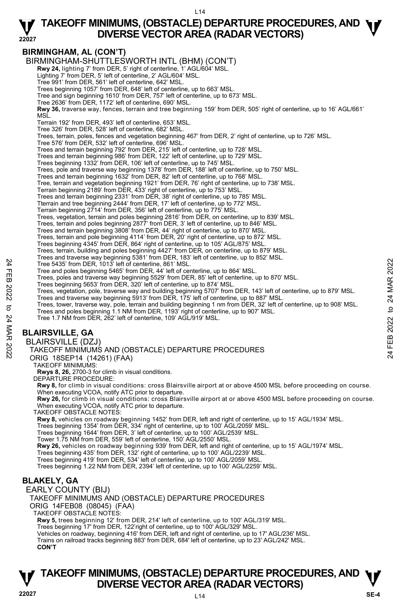#### **22027 TAKEOFF MINIMUMS, (OBSTACLE) DEPARTURE PROCEDURES, AND**  $\Psi$ **<br>DIVERSE VECTOR AREA (RADAR VECTORS) DIVERSE VECTOR AREA (RADAR VECTORS)**

#### **BIRMINGHAM, AL (CON'T)**

BIRMINGHAM-SHUTTLESWORTH INTL (BHM) (CON'T)

**Rwy 24,** lighting 7' from DER, 5' right of centerline, 1' AGL/604' MSL. Lighting 7' from DER, 5' left of centerline, 2' AGL/604' MSL.

Tree 991' from DER, 561' left of centerline, 642' MSL.

Trees beginning 1057' from DER, 648' left of centerline, up to 663' MSL. Tree and sign beginning 1610' from DER, 757' left of centerline, up to 673' MSL.

Tree 2636' from DER, 1172' left of centerline, 690' MSL.

**Rwy 36,** traverse way, fences, terrain and tree beginning 159' from DER, 505' right of centerline, up to 16' AGL/661' MSL.

Terrain 192' from DER, 493' left of centerline, 653' MSL.

Tree 326' from DER, 528' left of centerline, 682' MSL.

Trees, terrain, poles, fences and vegetation beginning 467' from DER, 2' right of centerline, up to 726' MSL.

Tree 576' from DER, 532' left of centerline, 696' MSL.

Trees and terrain beginning 792' from DER, 215' left of centerline, up to 728' MSL.

Trees and terrain beginning 986' from DER, 122' left of centerline, up to 729' MSL.

Trees beginning 1332' from DER, 106' left of centerline, up to 745' MSL.

Trees, pole and traverse way beginning 1378' from DER, 188' left of centerline, up to 750' MSL.

Trees and terrain beginning 1632' from DER, 82' left of centerline, up to 768' MSL.

Tree, terrain and vegetation beginning 1921' from DER, 76' right of centerline, up to 738' MSL. Terrain beginning 2189' from DER, 433' right of centerline, up to 753' MSL.

Trees and terrain beginning 2331' from DER, 38' right of centerline, up to 785' MSL.

Tterrain and tree beginning 2444' from DER, 17' left of centerline, up to 772' MSL.

Terrain beginning 2714' from DER, 356' left of centerline, up to 775' MSL.

Trees, vegetation, terrain and poles beginning 2816' from DER, on centerline, up to 839' MSL. Trees, terrain and poles beginning 2877' from DER, 3' left of centerline, up to 846' MSL.

Trees and terrain beginning 3808' from DER, 44' right of centerline, up to 870' MSL. Trees, terrain and pole beginning 4114' from DER, 20' right of centerline, up to 872' MSL.

Trees beginning 4345' from DER, 864' right of centerline, up to 105' AGL/875' MSL.

Trees, terrain, building and poles beginning 4427' from DER, on centerline, up to 879' MSL.

Trees and traverse way beginning 5381' from DER, 183' left of centerline, up to 852' MSL.

Tree 5435' from DER, 1013' left of centerline, 861' MSL.

Tree and poles beginning 5465' from DER, 44' left of centerline, up to 864' MSL.

Trees, poles and traverse way beginning 5529' from DER, 85' left of centerline, up to 870' MSL. Trees beginning 5653' from DER, 320' left of centerline, up to 874' MSL.

Trees, vegetation, pole, traverse way and building beginning 5707' from DER, 143' left of centerline, up to 879' MSL.

Trees and traverse way beginning 5913' from DER, 175' left of centerline, up to 887' MSL.

Trees, tower, traverse way, pole, terrain and building beginning 1 nm from DER, 32' left of centerline, up to 908' MSL. Tree and poles beginning 5465° from DER, 1013' left of centerline, 861' MSL.<br>
Tree and be beginning 5465' from DER, 44' left of centerline, up to 864' MSL.<br>
Trees, poles and traverse way beginning 5529' from DER, 85' left

Trees and poles beginning 1.1 NM from DER, 1193' right of centerline, up to 907' MSL.

Tree 1.7 NM from DER, 262' left of centerline, 109' AGL/919' MSL.

### **BLAIRSVILLE, GA**

BLAIRSVILLE (DZJ)

TAKEOFF MINIMUMS AND (OBSTACLE) DEPARTURE PROCEDURES

ORIG 18SEP14 (14261) (FAA)

TAKEOFF MINIMUMS:

**Rwys 8, 26,** 2700-3 for climb in visual conditions.

DEPARTURE PROCEDURE:

**Rwy 8,** for climb in visual conditions: cross Blairsville airport at or above 4500 MSL before proceeding on course.

When executing VCOA, notify ATC prior to departure.<br>**Rwy 26,** for climb in visual conditions: cross Blairsville airport at or above 4500 MSL before proceeding on course. When executing VCOA, notify ATC prior to departure.

TAKEOFF OBSTACLE NOTES:

**Rwy 8,** vehicles on roadway beginning 1452' from DER, left and right of centerline, up to 15' AGL/1934' MSL.

Trees beginning 1354' from DER, 334' right of centerline, up to 100' AGL/2059' MSL.

Trees beginning 1644' from DER, 3' left of centerline, up to 100' AGL/2539' MSL.

Tower 1.75 NM from DER, 559' left of centerline, 150' AGL/2550' MSL.

**Rwy 26,** vehicles on roadway beginning 939' from DER, left and right of centerline, up to 15' AGL/1974' MSL.

Trees beginning 435' from DER, 132' right of centerline, up to 100' AGL/2239' MSL.

Trees beginning 419' from DER, 534' left of centerline, up to 100' AGL/2059' MSL.

Trees beginning 1.22 NM from DER, 2394' left of centerline, up to 100' AGL/2259' MSL.

#### **BLAKELY, GA**

EARLY COUNTY (BIJ) TAKEOFF MINIMUMS AND (OBSTACLE) DEPARTURE PROCEDURES ORIG 14FEB08 (08045) (FAA) TAKEOFF OBSTACLE NOTES: **Rwy 5,** trees beginning 12' from DER, 214' left of centerline, up to 100' AGL/319' MSL. Trees beginning 17' from DER, 122'right of centerline, up to 100' AGL/329' MSL. Vehicles on roadway, beginning 416' from DER, left and right of centerline, up to 17' AGL/236' MSL.

Trains on railroad tracks beginning 883' from DER, 684' left of centerline, up to 23' AGL/242' MSL. **CON'T**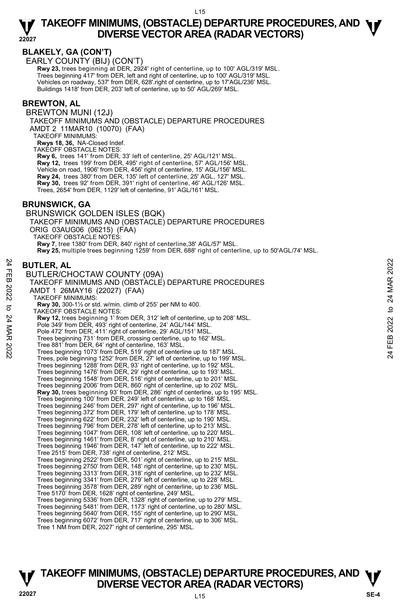#### **BLAKELY, GA (CON'T)**

EARLY COUNTY (BIJ) (CON'T)

**Rwy 23,** trees beginning at DER, 2924' right of centerline, up to 100' AGL/319' MSL. Trees beginning 417' from DER, left and right of centerline, up to 100' AGL/319' MSL. Vehicles on roadway, 537' from DER, 628'.right of centerline, up to 17'AGL/236' MSL. Buildings 1418' from DER, 203' left of centerline, up to 50' AGL/269' MSL.

#### **BREWTON, AL**

BREWTON MUNI (12J)

TAKEOFF MINIMUMS AND (OBSTACLE) DEPARTURE PROCEDURES AMDT 2 11MAR10 (10070) (FAA)

TAKEOFF MINIMUMS:

**Rwys 18, 36,** NA-Closed Indef.

TAKEOFF OBSTACLE NOTES:

**Rwy 6,** trees 141' from DER, 33' left of centerline, 25' AGL/121' MSL.

**Rwy 12,** trees 199' from DER, 495' right of centerline, 57' AGL/156' MSL.

Vehicle on road, 1906' from DER, 456' right of centerline, 15' AGL/156' MSL.

**Rwy 24,** trees 380' from DER, 135' left of centerline, 25' AGL, 127' MSL. **Rwy 30,** trees 92' from DER, 391' right of centerline, 46' AGL/126' MSL.

Trees, 2654' from DER, 1129' left of centerline, 91' AGL/161' MSL.

#### **BRUNSWICK, GA**

BRUNSWICK GOLDEN ISLES (BQK) TAKEOFF MINIMUMS AND (OBSTACLE) DEPARTURE PROCEDURES ORIG 03AUG06 (06215) (FAA) TAKEOFF OBSTACLE NOTES: **Rwy 7**, tree 1380' from DER, 840' right of centerline,38' AGL/57' MSL. **Rwy 25,** multiple trees beginning 1259' from DER, 688' right of centerline, up to 50'AGL/74' MSL.

#### **BUTLER, AL**

BUTLER/CHOCTAW COUNTY (09A) TAKEOFF MINIMUMS AND (OBSTACLE) DEPARTURE PROCEDURES AMDT 1 26MAY16 (22027) (FAA) TAKEOFF MINIMUMS: **Rwy 30,** 300-1½ or std. w/min. climb of 255' per NM to 400. TAKEOFF OBSTACLE NOTES: **Rwy 12,** trees beginning 1' from DER, 312' left of centerline, up to 208' MSL. Pole 349' from DER, 493' right of centerline, 24' AGL/144' MSL. Pole 472' from DER, 411' right of centerline, 29' AGL/151' MSL. Trees beginning 731' from DER, crossing centerline, up to 162' MSL. Tree 881' from DER, 64' right of centerline, 163' MSL. Trees beginning 1073' from DER, 519' right of centerline up to 187' MSL. Trees, pole beginning 1252' from DER, 27' left of centerline, up to 199' MSL. Trees beginning 1288' from DER, 93' right of centerline, up to 192' MSL. Trees beginning 1476' from DER, 29' right of centerline, up to 193' MSL. Trees beginning 1548' from DER, 516' right of centerline, up to 201' MSL. Trees beginning 2006' from DER, 860' right of centerline, up to 202' MSL. **Rwy 30,** trees beginning 93' from DER, 286' right of centerline, up to 195' MSL.<br>Trees beginning 100' from DER, 249' left of centerline, up to 168' MSL. Trees beginning 246' from DER, 297' right of centerline, up to 196' MSL. Trees beginning 372' from DER, 179' left of centerline, up to 178' MSL. Trees beginning 622' from DER, 232' left of centerline, up to 190' MSL. Trees beginning 796' from DER, 278' left of centerline, up to 213' MSL. Trees beginning 1047' from DER, 108' left of centerline, up to 220' MSL. Trees beginning 1461' from DER, 8' right of centerline, up to 210' MSL. Trees beginning 1946' from DER, 147' left of centerline, up to 222' MSL. Tree 2515' from DER, 738' right of centerline, 212' MSL. Trees beginning 2522' from DER, 501' right of centerline, up to 215' MSL. Trees beginning 2750' from DER, 148' right of centerline, up to 230' MSL. Trees beginning 3313' from DER, 318' right of centerline, up to 232' MSL. Trees beginning 3341' from DER, 279' left of centerline, up to 228' MSL. Trees beginning 3578' from DER, 289' right of centerline, up to 236' MSL. Tree 5170' from DER, 1628' right of centerline, 249' MSL. Trees beginning 5336' from DER, 1328' right of centerline, up to 279' MSL. Trees beginning 5481' from DER, 1173' right of centerline, up to 280' MSL. Trees beginning 5640' from DER, 155' right of centerline, up to 290' MSL. Trees beginning 6072' from DER, 717' right of centerline, up to 306' MSL. Tree 1 NM from DER, 2027' right of centerline, 295' MSL. **BUTLER, AL**<br> **BUTLER/CHOCTAW COUNTY (09A)**<br>
TAKEOFF MINIMUMS AND (OBSTACLE) DEPARTURE PROCEDURES<br>
AMDT 1 26MAY16 (22027) (FAA)<br>
TAKEOFF MINIMUMS:<br>
TAKEOFF MINIMUMS:<br> **COUNTY ACTAINS**<br> **COUNTY AT ANTIFICATION**<br> **COUNTY AT**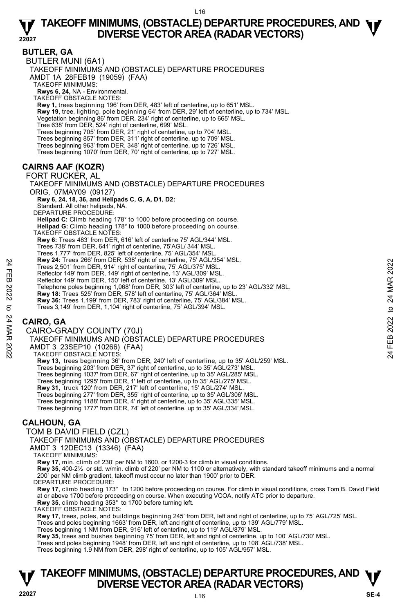**BUTLER, GA**  BUTLER MUNI (6A1) TAKEOFF MINIMUMS AND (OBSTACLE) DEPARTURE PROCEDURES AMDT 1A 28FEB19 (19059) (FAA) TAKEOFF MINIMUMS: **Rwys 6, 24,** NA - Environmental. TAKEOFF OBSTACLE NOTES: **Rwy 1,** trees beginning 196' from DER, 483' left of centerline, up to 651' MSL. **Rwy 19,** tree, lighting, pole beginning 64' from DER, 29' left of centerline, up to 734' MSL. Vegetation beginning 86' from DER, 234' right of centerline, up to 665' MSL. Tree 638' from DER, 524' right of centerline, 699' MSL. Trees beginning 705' from DER, 21' right of centerline, up to 704' MSL. Trees beginning 857' from DER, 311' right of centerline, up to 709' MSL. Trees beginning 963' from DER, 348' right of centerline, up to 726' MSL. Trees beginning 1070' from DER, 70' right of centerline, up to 727' MSL. **CAIRNS AAF (KOZR)**  FORT RUCKER, AL TAKEOFF MINIMUMS AND (OBSTACLE) DEPARTURE PROCEDURES ORIG, 07MAY09 (09127)  **Rwy 6, 24, 18, 36, and Helipads C, G, A, D1, D2:** Standard. All other helipads, NA. DEPARTURE PROCEDURE: **Helipad C:** Climb heading 178° to 1000 before proceeding on course. **Helipad G:** Climb heading 178° to 1000 before proceeding on course. TAKEOFF OBSTACLE NOTES: **Rwy 6:** Trees 483' from DER, 616' left of centerline 75' AGL/344' MSL. Trees 738' from DER, 641' right of centerline, 75'AGL/ 344' MSL. Trees 1,777' from DER, 825' left of centerline, 75' AGL/354' MSL. **Rwy 24:** Trees 266' from DER, 538' right of centerline, 75' AGL/354' MSL. Trees 2,501' from DER, 914' right of centerline, 75' AGL/375' MSL. Reflector 149' from DER, 149' right of centerline, 13' AGL/309' MSL. Reflector 149' from DER, 150' left of centerline, 13' AGL/309' MSL. Telephone poles beginning 1,068' from DER, 303' left of centerline, up to 23' AGL/332' MSL.<br>**Rwy 18:** Trees 525' from DER, 578' left of centerline, 75' AGL/364' MSL. **Rwy 36:** Trees 1,199' from DER, 783' right of centerline, 75' AGL/384' MSL. Trees 3,149' from DER, 1,104' right of centerline, 75' AGL/394' MSL. **CAIRO, GA**  CAIRO-GRADY COUNTY (70J) TAKEOFF MINIMUMS AND (OBSTACLE) DEPARTURE PROCEDURES AMDT 3 23SEP10 (10266) (FAA) TAKEOFF OBSTACLE NOTES: **Rwy 13,** trees beginning 36' from DER, 240' left of centerline, up to 35' AGL/259' MSL. Trees beginning 203' from DER, 37' right of centerline, up to 35' AGL/273' MSL. Trees beginning 1037' from DER, 67' right of centerline, up to 35' AGL/285' MSL. Trees beginning 1295' from DER, 1' left of centerline, up to 35' AGL/275' MSL. **Rwy 31,** truck 120' from DER, 217' left of centerline, 15' AGL/274' MSL. Trees beginning 277' from DER, 355' right of centerline, up to 35' AGL/306' MSL. Trees beginning 1188' from DER, 4' right of centerline, up to 35' AGL/335' MSL. Trees beginning 1777' from DER, 74' left of centerline, up to 35' AGL/334' MSL. **CALHOUN, GA**  TOM B DAVID FIELD (CZL) TAKEOFF MINIMUMS AND (OBSTACLE) DEPARTURE PROCEDURES AMDT 3 12DEC13 (13346) (FAA) TAKEOFF MINIMUMS: **Rwy 17**, min. climb of 230' per NM to 1600, or 1200-3 for climb in visual conditions. **Rwy 35,** 400-2½ or std. w/min. climb of 220' per NM to 1100 or alternatively, with standard takeoff minimums and a normal 200' per NM climb gradient, takeoff must occur no later than 1900' prior to DER. DEPARTURE PROCEDURE: Resear Trees 2,501 from DER, 941 right of centerine, 75 AGL/394 MSL.<br>
Trees 2,501 from DER, 944 right of centerline, 75 AGL/375 MSL.<br>
Reflector 149 from DER, 149 right of centerline, 13' AGL/309' MSL.<br>
Reflector 149 from D

**Rwy 17**, climb heading 173° to 1200 before proceeding on course. For climb in visual conditions, cross Tom B. David Field at or above 1700 before proceeding on course. When executing VCOA, notify ATC prior to departure. **Rwy 35**, climb heading 353° to 1700 before turning left.

TAKEOFF OBSTACLE NOTES:

**Rwy 17**, trees, poles, and buildings beginning 245' from DER, left and right of centerline, up to 75' AGL/725' MSL.<br>Trees and poles beginning 1663' from DER, left and right of centerline, up to 139' AGL/779' MSL.

Trees beginning 1 NM from DER, 916' left of centerline, up to 119' AGL/879' MSL.

**Rwy 35**, trees and bushes beginning 75' from DER, left and right of centerline, up to 100' AGL/730' MSL.<br>Trees and poles beginning 1948' from DER, left and right of centerline, up to 108' AGL/738' MSL.

Trees beginning 1.9 NM from DER, 298' right of centerline, up to 105' AGL/957' MSL.

# **TAKEOFF MINIMUMS, (OBSTACLE) DEPARTURE PROCEDURES, AND**  $\Psi$ **<br>DIVERSE VECTOR AREA (RADAR VECTORS)**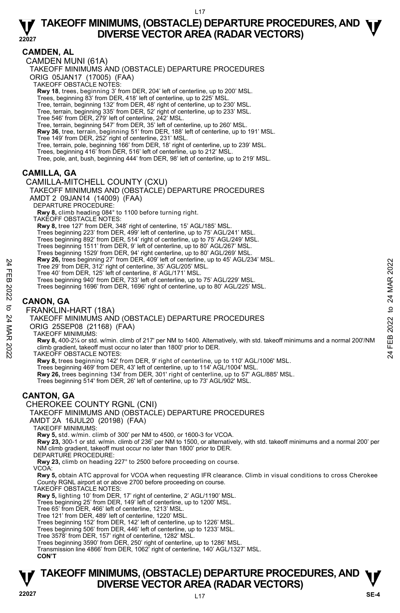#### **CAMDEN, AL**

CAMDEN MUNI (61A)

TAKEOFF MINIMUMS AND (OBSTACLE) DEPARTURE PROCEDURES

ORIG 05JAN17 (17005) (FAA)

TAKEOFF OBSTACLE NOTES:

**Rwy 18**, trees, beginning 3' from DER, 204' left of centerline, up to 200' MSL.

Trees, beginning 83' from DER, 418' left of centerline, up to 225' MSL.

Tree, terrain, beginning 132' from DER, 48' right of centerline, up to 230' MSL. Tree, terrain, beginning 335' from DER, 52' right of centerline, up to 233' MSL.

Tree 546' from DER, 279' left of centerline, 242' MSL. Tree, terrain, beginning 547' from DER, 35' left of centerline, up to 260' MSL.

**Rwy 36**, tree, terrain, beginning 51' from DER, 188' left of centerline, up to 191' MSL.

Tree 149' from DER, 252' right of centerline, 231' MSL.

Tree, terrain, pole, beginning 166' from DER, 18' right of centerline, up to 239' MSL.

Trees, beginning 416' from DER, 516' left of centerline, up to 212' MSL.

Tree, pole, ant, bush, beginning 444' from DER, 98' left of centerline, up to 219' MSL.

#### **CAMILLA, GA**

#### CAMILLA-MITCHELL COUNTY (CXU)

TAKEOFF MINIMUMS AND (OBSTACLE) DEPARTURE PROCEDURES

AMDT 2 09JAN14 (14009) (FAA)

DEPARTURE PROCEDURE:

**Rwy 8,** climb heading 084° to 1100 before turning right.

TAKEOFF OBSTACLE NOTES:

**Rwy 8,** tree 127' from DER, 348' right of centerline, 15' AGL/185' MSL.

Trees beginning 223' from DER, 499' left of centerline, up to 75' AGL/241' MSL. Trees beginning 892' from DER, 514' right of centerline, up to 75' AGL/249' MSL.

Trees beginning 1511' from DER, 9' left of centerline, up to 80' AGL/267' MSL.

Trees beginning 1529' from DER, 94' right centerline, up to 80' AGL/269' MSL. **Rwy 26,** trees beginning 27' from DER, 409' left of centerline, up to 45' AGL/234' MSL.

Tree 29' from DER, 312' right of centerline, 35' AGL/205' MSL.

Tree 40' from DER, 125' left of centerline, 8' AGL/171' MSL.

Trees beginning 940' from DER, 733' left of centerline, up to 75' AGL/229' MSL.

Trees beginning 1696' from DER, 1696' right of centerline, up to 80' AGL/225' MSL.

## **CANON, GA**

FRANKLIN-HART (18A)

TAKEOFF MINIMUMS AND (OBSTACLE) DEPARTURE PROCEDURES

ORIG 25SEP08 (21168) (FAA)

TAKEOFF MINIMUMS:

**Rwy 8,** 400-2¼ or std. w/min. climb of 217' per NM to 1400. Alternatively, with std. takeoff minimums and a normal 200'/NM climb gradient, takeoff must occur no later than 1800' prior to DER. TAKEOFF OBSTACLE NOTES: Free 29' from DER, 312' right of center thine, 35' AGL/205' MSL.<br>
Tree 29' from DER, 125' left of centerline, 35' AGL/205' MSL.<br>
Tree 40' from DER, 125' left of centerline, 35' AGL/2023' MSL.<br>
Tree beginning 1696' from DER

**Rwy 8,** trees beginning 142' from DER, 9' right of centerline, up to 110' AGL/1006' MSL.

Trees beginning 469' from DER, 43' left of centerline, up to 114' AGL/1004' MSL.<br>**Rwy 26,** trees beginning 134' from DER, 301' right of centerline, up to 57' AGL/885' MSL.

Trees beginning 514' from DER, 26' left of centerline, up to 73' AGL/902' MSL.

#### **CANTON, GA**

CHEROKEE COUNTY RGNL (CNI)

TAKEOFF MINIMUMS AND (OBSTACLE) DEPARTURE PROCEDURES

AMDT 2A 16JUL20 (20198) (FAA)

TAKEOFF MINIMUMS:

**Rwy 5,** std. w/min. climb of 300' per NM to 4500, or 1600-3 for VCOA.

**Rwy 23,** 300-1 or std. w/min. climb of 236' per NM to 1500, or alternatively, with std. takeoff minimums and a normal 200' per NM climb gradient, takeoff must occur no later than 1800' prior to DER.

DEPARTURE PROCEDURE:

**Rwy 23,** climb on heading 227° to 2500 before proceeding on course.

VCOA:

**Rwy 5,** obtain ATC approval for VCOA when requesting IFR clearance. Climb in visual conditions to cross Cherokee County RGNL airport at or above 2700 before proceeding on course. TAKEOFF OBSTACLE NOTES:

**Rwy 5,** lighting 10' from DER, 17' right of centerline, 2' AGL/1190' MSL.

Trees beginning 25' from DER, 149' left of centerline, up to 1200' MSL. Tree 65' from DER, 466' left of centerline, 1213' MSL.

Tree 121' from DER, 489' left of centerline, 1220' MSL.

Trees beginning 152' from DER, 142' left of centerline, up to 1226' MSL.

Trees beginning 506' from DER, 446' left of centerline, up to 1233' MSL.

Tree 3578' from DER, 157' right of centerline, 1282' MSL.

Trees beginning 3590' from DER, 250' right of centerline, up to 1286' MSL.

Transmission line 4866' from DER, 1062' right of centerline, 140' AGL/1327' MSL.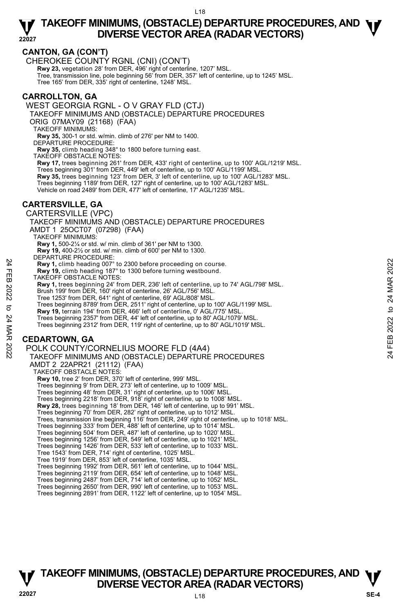#### **CANTON, GA (CON'T)**

CHEROKEE COUNTY RGNL (CNI) (CON'T)

**Rwy 23,** vegetation 28' from DER, 496' right of centerline, 1207' MSL.<br>Tree, transmission line, pole beginning 56' from DER, 357' left of centerline, up to 1245' MSL. Tree 165' from DER, 335' right of centerline, 1248' MSL.

#### **CARROLLTON, GA**

WEST GEORGIA RGNL - O V GRAY FLD (CTJ)

TAKEOFF MINIMUMS AND (OBSTACLE) DEPARTURE PROCEDURES

ORIG 07MAY09 (21168) (FAA)

TAKEOFF MINIMUMS:

**Rwy 35,** 300-1 or std. w/min. climb of 276' per NM to 1400. DEPARTURE PROCEDURE:

**Rwy 35,** climb heading 348° to 1800 before turning east.

TAKEOFF OBSTACLE NOTES:

**Rwy 17,** trees beginning 261' from DER, 433' right of centerline, up to 100' AGL/1219' MSL. Trees beginning 301' from DER, 449' left of centerline, up to 100' AGL/1199' MSL.

**Rwy 35,** trees beginning 123' from DER, 3' left of centerline, up to 100' AGL/1283' MSL.

Trees beginning 1189' from DER, 127' right of centerline, up to 100' AGL/1283' MSL.

Vehicle on road 2489' from DER, 477' left of centerline, 17' AGL/1235' MSL.

#### **CARTERSVILLE, GA**

CARTERSVILLE (VPC) TAKEOFF MINIMUMS AND (OBSTACLE) DEPARTURE PROCEDURES AMDT 1 25OCT07 (07298) (FAA) TAKEOFF MINIMUMS: **Rwy 1,** 500-2¼ or std. w/ min. climb of 361' per NM to 1300. **Rwy 19,** 400-2½ or std. w/ min. climb of 600' per NM to 1300. DEPARTURE PROCEDURE: **Rwy 1,** climb heading 007° to 2300 before proceeding on course. **Rwy 19,** climb heading 187° to 1300 before turning westbound. TAKEOFF OBSTACLE NOTES: **Rwy 1,** trees beginning 24' from DER, 236' left of centerline, up to 74' AGL/798' MSL. Brush 199' from DER, 160' right of centerline, 26' AGL/756' MSL. Tree 1253' from DER, 641' right of centerline, 69' AGL/808' MSL. Trees beginning 8789' from DER, 2511' right of centerline, up to 100' AGL/1199' MSL. **Rwy 19,** terrain 194' from DER, 466' left of centerline, 0' AGL/775' MSL. Trees beginning 2357' from DER, 44' left of centerline, up to 80' AGL/1079' MSL. Trees beginning 2312' from DER, 119' right of centerline, up to 80' AGL/1019' MSL. **CEDARTOWN, GA**  POLK COUNTY/CORNELIUS MOORE FLD (4A4) TAKEOFF MINIMUMS AND (OBSTACLE) DEPARTURE PROCEDURES AMDT 2 22APR21 (21112) (FAA) TAKEOFF OBSTACLE NOTES: **Rwy 10,** tree 2' from DER, 370' left of centerline, 999' MSL. Trees beginning 9' from DER, 273' left of centerline, up to 1009' MSL. Trees beginning 48' from DER, 31' right of centerline, up to 1006' MSL. Trees beginning 2218' from DER, 918' right of centerline, up to 1008' MSL.  **Rwy 28,** trees beginning 18' from DER, 146' left of centerline, up to 991' MSL. Trees beginning 70' from DER, 282' right of centerline, up to 1012' MSL. Trees, transmission line beginning 116' from DER, 249' right of centerline, up to 1018' MSL. Trees beginning 333' from DER, 488' left of centerline, up to 1014' MSL. Trees beginning 504' from DER, 487' left of centerline, up to 1020' MSL. Example 2022 To 2502 To 2502 February 1, climb heading 107° to 2300 before proceeding on course.<br>
The Rwy 1, climb heading 107° to 1300 before turning westbound.<br>
TAKEOFF OBSTACLE NOTES:<br>
Rwy 1, trees beginning 24 from DE

Trees beginning 1256' from DER, 549' left of centerline, up to 1021' MSL. Trees beginning 1426' from DER, 533' left of centerline, up to 1033' MSL.

- Tree 1543' from DER, 714' right of centerline, 1025' MSL.
- Tree 1919' from DER, 853' left of centerline, 1035' MSL.
- Trees beginning 1992' from DER, 561' left of centerline, up to 1044' MSL.
- Trees beginning 2119' from DER, 654' left of centerline, up to 1048' MSL.
- Trees beginning 2487' from DER, 714' left of centerline, up to 1052' MSL.
- Trees beginning 2650' from DER, 990' left of centerline, up to 1053' MSL. Trees beginning 2891' from DER, 1122' left of centerline, up to 1054' MSL.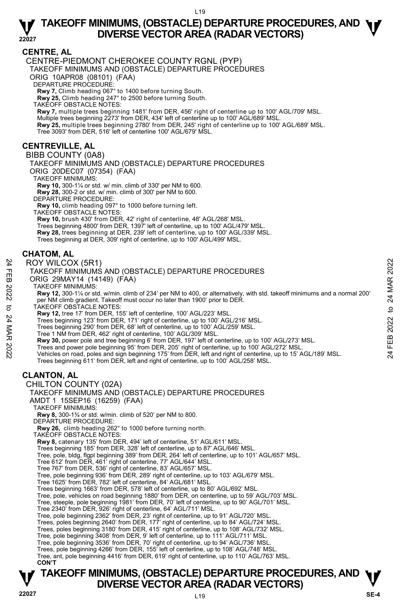#### **CENTRE, AL**

CENTRE-PIEDMONT CHEROKEE COUNTY RGNL (PYP) TAKEOFF MINIMUMS AND (OBSTACLE) DEPARTURE PROCEDURES ORIG 10APR08 (08101) (FAA) DEPARTURE PROCEDURE: **Rwy 7,** Climb heading 067° to 1400 before turning South. **Rwy 25,** Climb heading 247° to 2500 before turning South. TAKEOFF OBSTACLE NOTES: **Rwy 7,** multiple trees beginning 1481' from DER, 456' right of centerline up to 100' AGL/709' MSL. Multiple trees beginning 2273' from DER, 434' left of centerline up to 100' AGL/689' MSL.<br>**Rwy 25,** multiple trees beginning 2780' from DER, 245' right of centerline up to 100' AGL/689' MSL. Tree 3093' from DER, 516' left of centerline 100' AGL/679' MSL. BIBB COUNTY (0A8)

#### **CENTREVILLE, AL**

TAKEOFF MINIMUMS AND (OBSTACLE) DEPARTURE PROCEDURES ORIG 20DEC07 (07354) (FAA)

TAKEOFF MINIMUMS:

**Rwy 10,** 300-1¼ or std. w/ min. climb of 330' per NM to 600. **Rwy 28,** 300-2 or std. w/ min. climb of 300' per NM to 600.

DEPARTURE PROCEDURE:

**Rwy 10,** climb heading 097° to 1000 before turning left. TAKEOFF OBSTACLE NOTES:

**Rwy 10,** brush 430' from DER, 42' right of centerline, 48' AGL/268' MSL.

Trees beginning 4800' from DER, 1397' left of centerline, up to 100' AGL/479' MSL.

**Rwy 28,** trees beginning at DER, 239' left of centerline, up to 100' AGL/339' MSL.<br>Trees beginning at DER, 309' right of centerline, up to 100' AGL/499' MSL.

#### **CHATOM, AL**

#### ROY WILCOX (5R1)

TAKEOFF MINIMUMS AND (OBSTACLE) DEPARTURE PROCEDURES

ORIG 29MAY14 (14149) (FAA)

TAKEOFF MINIMUMS:

**Rwy 12,** 300-1¼ or std. w/min. climb of 234' per NM to 400, or alternatively, with std. takeoff minimums and a normal 200' per NM climb gradient. Takeoff must occur no later than 1900' prior to DER. TAKEOFF OBSTACLE NOTES: ROY WILCOX (5R1)<br>
TAKEOFF MINIMUMS AND (OBSTACLE) DEPARTURE PROCEDURES<br>
ORIG 29MAY14 (14149) (FAA)<br>
CRIG 20MAY14 (14149) (FAA)<br>
NAMEDIATED IN THE SERVE TO A CONSIDER THE SERVER MINIMUMS:<br>
TAKEOFF MINIMUMS:<br>
TAKEOFF MINIMUM

**Rwy 12,** tree 17' from DER, 155' left of centerline, 100' AGL/223' MSL.

Trees beginning 123' from DER, 171' right of centerline, up to 100' AGL/216' MSL. Trees beginning 290' from DER, 68' left of centerline, up to 100' AGL/259' MSL.

Tree 1 NM from DER, 462' right of centerline, 100' AGL/309' MSL.

**Rwy 30,** power pole and tree beginning 6' from DER, 197' left of centerline, up to 100' AGL/273' MSL.

Trees beginning 611' from DER, left and right of centerline, up to 100' AGL/258' MSL.

## **CLANTON, AL**

#### CHILTON COUNTY (02A)



TAKEOFF MINIMUMS:

**Rwy 8,** 300-1¾ or std. w/min. climb of 520' per NM to 800. DEPARTURE PROCEDURE:

**Rwy 26,** climb heading 262° to 1000 before turning north.

TAKEOFF OBSTACLE NOTES:

**Rwy 8,** catenary 135' from DER, 494' left of centerline, 51' AGL/611' MSL.

Trees beginning 185' from DER, 328' left of centerline, up to 87' AGL/646' MSL.

Tree, pole, bldg, flgpl beginning 389' from DER, 264' left of centerline, up to 101' AGL/657' MSL.

Tree 612' from DER, 461' right of centerline, 77' AGL/644' MSL. Tree 767' from DER, 536' right of centerline, 83' AGL/657' MSL.

Tree, pole beginning 936' from DER, 289' right of centerline, up to 103' AGL/679' MSL.

Tree 1625' from DER, 782' left of centerline, 84' AGL/681' MSL. Trees beginning 1663' from DER, 578' left of centerline, up to 80' AGL/692' MSL.

Tree, pole, vehicles on road beginning 1880' from DER, on centerline, up to 59' AGL/703' MSL.

Tree, steeple, pole beginning 1981' from DER, 70' left of centerline, up to 90' AGL/701' MSL.

Tree 2340' from DER, 926' right of centerline, 64' AGL/711' MSL.

Tree, pole beginning 2362' from DER, 23' right of centerline, up to 91' AGL/720' MSL.

Trees, poles beginning 2640' from DER, 177' right of centerline, up to 84' AGL/724' MSL.<br>Trees, poles beginning 3180' from DER, 415' right of centerline, up to 108' AGL/732' MSL.<br>Tree, pole beginning 3408' from DER, 9' lef

Trees, pole beginning 4266' from DER, 155' left of centerline, up to 108' AGL/748' MSL.

Tree, ant, pole beginning 4416' from DER, 619' right of centerline, up to 110' AGL/763' MSL.

**CON'T**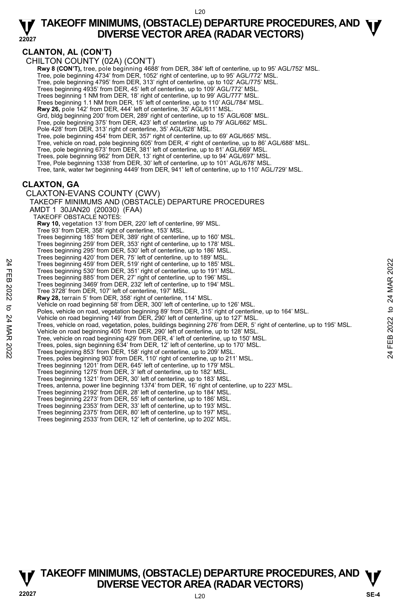**CLANTON, AL (CON'T)** 

CHILTON COUNTY (02A) (CON'T)

- **Rwy 8 (CON'T),** tree, pole beginning 4688' from DER, 384' left of centerline, up to 95' AGL/752' MSL.<br>Tree, pole beginning 4734' from DER, 1052' right of centerline, up to 95' AGL/772' MSL.
- 
- Tree, pole beginning 4795' from DER, 313' right of centerline, up to 102' AGL/775' MSL.
- Trees beginning 4935' from DER, 45' left of centerline, up to 109' AGL/772' MSL.
- Trees beginning 1 NM from DER, 18' right of centerline, up to 99' AGL/777' MSL.
- Trees beginning 1.1 NM from DER, 15' left of centerline, up to 110' AGL/784' MSL.
- **Rwy 26,** pole 142' from DER, 444' left of centerline, 35' AGL/611' MSL.
- Grd, bldg beginning 200' from DER, 289' right of centerline, up to 15' AGL/608' MSL.
- Tree, pole beginning 375' from DER, 423' left of centerline, up to 79' AGL/662' MSL. Pole 428' from DER, 313' right of centerline, 35' AGL/628' MSL.
- Tree, pole beginning 454' from DER, 357' right of centerline, up to 69' AGL/665' MSL.
- Tree, vehicle on road, pole beginning 605' from DER, 4' right of centerline, up to 86' AGL/688' MSL.
- Tree, pole beginning 673' from DER, 381' left of centerline, up to 81' AGL/669' MSL.
- Trees, pole beginning 962' from DER, 13' right of centerline, up to 94' AGL/697' MSL.
- Tree, Pole beginning 1338' from DER, 30' left of centerline, up to 101' AGL/678' MSL.
- Tree, tank, water twr beginning 4449' from DER, 941' left of centerline, up to 110' AGL/729' MSL.

#### **CLAXTON, GA**

CLAXTON-EVANS COUNTY (CWV)

TAKEOFF MINIMUMS AND (OBSTACLE) DEPARTURE PROCEDURES AMDT 1 30JAN20 (20030) (FAA) TAKEOFF OBSTACLE NOTES: **Rwy 10,** vegetation 13' from DER, 220' left of centerline, 99' MSL. Tree 93' from DER, 358' right of centerline, 153' MSL. Trees beginning 185' from DER, 389' right of centerline, up to 160' MSL. Trees beginning 259' from DER, 353' right of centerline, up to 178' MSL. Trees beginning 295' from DER, 530' left of centerline, up to 186' MSL. Trees beginning 420' from DER, 75' left of centerline, up to 189' MSL. Trees beginning 459' from DER, 519' right of centerline, up to 185' MSL. Trees beginning 530' from DER, 351' right of centerline, up to 191' MSL. Trees beginning 885' from DER, 27' right of centerline, up to 196' MSL. Trees beginning 3469' from DER, 232' left of centerline, up to 194' MSL. Tree 3728' from DER, 107' left of centerline, 197' MSL. **Rwy 28,** terrain 5' from DER, 358' right of centerline, 114' MSL.<br>Vehicle on road beginning 58' from DER, 300' left of centerline, up to 126' MSL. Poles, vehicle on road, vegetation beginning 89' from DER, 315' right of centerline, up to 164' MSL. Vehicle on road beginning 149' from DER, 290' left of centerline, up to 127' MSL. Trees, vehicle on road, vegetation, poles, buildings beginning 276' from DER, 5' right of centerline, up to 195' MSL. Vehicle on road beginning 405' from DER, 290' left of centerline, up to 128' MSL. Tree, vehicle on road beginning 429' from DER, 4' left of centerline, up to 150' MSL. Trees, poles, sign beginning 634' from DER, 12' left of centerline, up to 170' MSL. Trees beginning 853' from DER, 158' right of centerline, up to 209' MSL. Trees, poles beginning 903' from DER, 110' right of centerline, up to 211' MSL. Trees beginning 1201' from DER, 645' left of centerline, up to 179' MSL. Trees beginning 1275' from DER, 3' left of centerline, up to 182' MSL. Trees beginning 1321' from DER, 30' left of centerline, up to 183' MSL. Trees, antenna, power line beginning 1374' from DER, 16' right of centerline, up to 223' MSL. Trees beginning 2192' from DER, 28' left of centerline, up to 184' MSL. Trees beginning 2273' from DER, 55' left of centerline, up to 186' MSL. Trees beginning 2353' from DER, 33' left of centerline, up to 193' MSL. Trees beginning 2375' from DER, 80' left of centerline, up to 197' MSL. Trees beginning 2533' from DER, 12' left of centerline, up to 202' MSL. Trees beginning 459' from DER, 519' right of centerline, up to 185' MSL.<br>
Trees beginning 3469' from DER, 319' right of centerline, up to 196' MSL.<br>
Trees beginning 386' from DER, 27' right of centerline, up to 196' MSL.<br>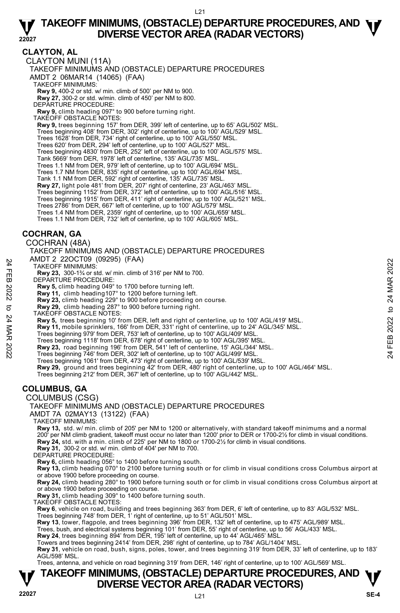**CLAYTON, AL** 

CLAYTON MUNI (11A)

TAKEOFF MINIMUMS AND (OBSTACLE) DEPARTURE PROCEDURES

AMDT 2 06MAR14 (14065) (FAA)

TAKEOFF MINIMUMS:

**Rwy 9,** 400-2 or std. w/ min. climb of 500' per NM to 900. **Rwy 27,** 300-2 or std. w/min. climb of 450' per NM to 800.

DEPARTURE PROCEDURE:

**Rwy 9,** climb heading 097° to 900 before turning right.

TAKEOFF OBSTACLE NOTES:

**Rwy 9,** trees beginning 157' from DER, 399' left of centerline, up to 65' AGL/502' MSL.

Trees beginning 408' from DER, 302' right of centerline, up to 100' AGL/529' MSL.

Trees 1628' from DER, 734' right of centerline, up to 100' AGL/550' MSL.

Trees 620' from DER, 294' left of centerline, up to 100' AGL/527' MSL.

Trees beginning 4830' from DER, 252' left of centerline, up to 100' AGL/575' MSL.

Tank 5669' from DER, 1978' left of centerline, 135' AGL/735' MSL.

Trees 1.1 NM from DER, 979' left of centerline, up to 100' AGL/694' MSL.

Trees 1.7 NM from DER, 835' right of centerline, up to 100' AGL/694' MSL.

Tank 1.1 NM from DER, 592' right of centerline, 135' AGL/735' MSL.

**Rwy 27,** light pole 481' from DER, 207' right of centerline, 23' AGL/463' MSL.

Trees beginning 1152' from DER, 372' left of centerline, up to 100' AGL/516' MSL.

Trees beginning 1915' from DER, 411' right of centerline, up to 100' AGL/521' MSL.

Trees 2786' from DER, 667' left of centerline, up to 100' AGL/579' MSL. Trees 1.4 NM from DER, 2359' right of centerline, up to 100' AGL/659' MSL.

Trees 1.1 NM from DER, 732' left of centerline, up to 100' AGL/605' MSL.

#### **COCHRAN, GA**

COCHRAN (48A)

TAKEOFF MINIMUMS AND (OBSTACLE) DEPARTURE PROCEDURES AMDT 2 22OCT09 (09295) (FAA)

TAKEOFF MINIMUMS:

**Rwy 23,** 300-1¾ or std. w/ min. climb of 316' per NM to 700. DEPARTURE PROCEDURE:

- 
- **Rwy 5,** climb heading 049° to 1700 before turning left.
- **Rwy 11,** climb heading107° to 1200 before turning left.
- **Rwy 23,** climb heading 229° to 900 before proceeding on course.
- **Rwy 29,** climb heading 287° to 900 before turning right. TAKEOFF OBSTACLE NOTES:

**Rwy 5,** trees beginning 10' from DER, left and right of centerline, up to 100' AGL/419' MSL. TAKE OFF MINIMUMS:<br>
TAKE OFF MINIMUMS:<br>
TRAVE 22 COCLURE:<br>
22 DEPARTURE PROCEDURE:<br>
22 DEPARTURE PROCEDURE:<br>
22 To 2020 before turning left.<br>
22 To 2020 before turning left.<br>
22 To 2020 before turning left.<br>
22 To 2020 be

- **Rwy 11,** mobile sprinklers, 166' from DER, 331' right of centerline, up to 24' AGL/345' MSL.<br>Trees beginning 979' from DER, 753' left of centerline, up to 100' AGL/409' MSL.
- 
- Trees beginning 1118' from DER, 678' right of centerline, up to 100' AGL/395' MSL.
- 

**Rwy 23,** road beginning 196' from DER, 541' left of centerline, 15' AGL/344' MSL. Trees beginning 746' from DER, 302' left of centerline, up to 100' AGL/499' MSL.

Trees beginning 1061' from DER, 473' right of centerline, up to 100' AGL/539' MSL.

**Rwy 29,** ground and trees beginning 42' from DER, 480' right of centerline, up to 100' AGL/464' MSL.<br>Trees beginning 212' from DER, 367' left of centerline, up to 100' AGL/442' MSL.

#### **COLUMBUS, GA**

COLUMBUS (CSG)

TAKEOFF MINIMUMS AND (OBSTACLE) DEPARTURE PROCEDURES

AMDT 7A 02MAY13 (13122) (FAA)

TAKEOFF MINIMUMS:

**Rwy 13,** std. w/ min. climb of 205' per NM to 1200 or alternatively, with standard takeoff minimums and a normal 200' per NM climb gradient, takeoff must occur no later than 1200' prior to DER or 1700-2½ for climb in visual conditions.<br>**Rwy 24,** std. with a min. climb of 225' per NM to 1800 or 1700-2½ for climb in visual conditions. **Rwy 31,** 300-2 or std. w/ min. climb of 404' per NM to 700.

DEPARTURE PROCEDURE:

**Rwy 6,** climb heading 056° to 1400 before turning south.

**Rwy 13,** climb heading 070° to 2100 before turning south or for climb in visual conditions cross Columbus airport at or above 1900 before proceeding on course.

**Rwy 24,** climb heading 280° to 1900 before turning south or for climb in visual conditions cross Columbus airport at or above 1900 before proceeding on course.

**Rwy 31,** climb heading 309° to 1400 before turning south.

TAKEOFF OBSTACLE NOTES:

**Rwy 6**, vehicle on road, building and trees beginning 363' from DER, 6' left of centerline, up to 83' AGL/532' MSL.

Trees beginning 748' from DER, 1' right of centerline, up to 51' AGL/501' MSL.

**Rwy 13**, tower, flagpole, and trees beginning 396' from DER, 132' left of centerline, up to 475' AGL/989' MSL.

Trees, bush, and electrical systems beginning 101' from DER, 55' right of centerline, up to 56' AGL/433' MSL.<br>**Rwy 24**, trees beginning 894' from DER, 195' left of centerline, up to 44' AGL/465' MSL.

Towers and trees beginning 2414' from DER, 298' right of centerline, up to 784' AGL/1404' MSL.

**Rwy 31**, vehicle on road, bush, signs, poles, tower, and trees beginning 319' from DER, 33' left of centerline, up to 183'<br>AGL/598' MSL.

Trees, antenna, and vehicle on road beginning 319' from DER, 146' right of centerline, up to 100' AGL/569' MSL.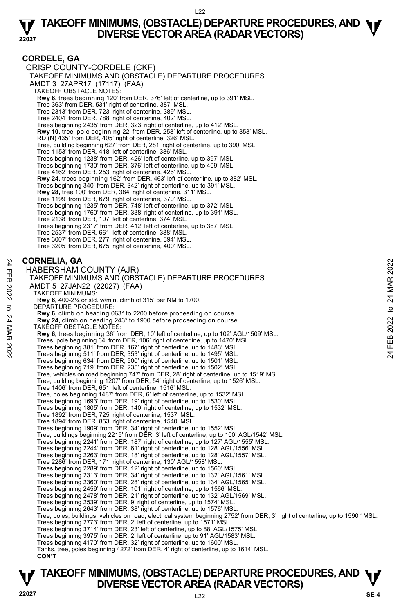#### **CORDELE, GA**

CRISP COUNTY-CORDELE (CKF) TAKEOFF MINIMUMS AND (OBSTACLE) DEPARTURE PROCEDURES AMDT 3 27APR17 (17117) (FAA) TAKEOFF OBSTACLE NOTES: **Rwy 6,** trees beginning 120' from DER, 376' left of centerline, up to 391' MSL. Tree 363' from DER, 531' right of centerline, 387' MSL. Tree 2313' from DER, 723' right of centerline, 389' MSL. Tree 2404' from DER, 788' right of centerline, 402' MSL. Trees beginning 2435' from DER, 323' right of centerline, up to 412' MSL. **Rwy 10,** tree, pole beginning 22' from DER, 258' left of centerline, up to 353' MSL. RD (N) 435' from DER, 405' right of centerline, 326' MSL. Tree, building beginning 627' from DER, 281' right of centerline, up to 390' MSL. Tree 1153' from DER, 418' left of centerline, 386' MSL. Trees beginning 1238' from DER, 426' left of centerline, up to 397' MSL. Trees beginning 1730' from DER, 376' left of centerline, up to 409' MSL. Tree 4162' from DER, 253' right of centerline, 426' MSL. **Rwy 24,** trees beginning 162' from DER, 463' left of centerline, up to 382' MSL. Trees beginning 340' from DER, 342' right of centerline, up to 391' MSL. **Rwy 28,** tree 100' from DER, 384' right of centerline, 311' MSL. Tree 1199' from DER, 679' right of centerline, 370' MSL. Trees beginning 1235' from DER, 748' left of centerline, up to 372' MSL. Trees beginning 1760' from DER, 338' right of centerline, up to 391' MSL. Tree 2138' from DER, 107' left of centerline, 374' MSL. Trees beginning 2317' from DER, 412' left of centerline, up to 387' MSL. Tree 2537' from DER, 661' left of centerline, 388' MSL. Tree 3007' from DER, 277' right of centerline, 394' MSL. Tree 3205' from DER, 675' right of centerline, 400' MSL. **CORNELIA, GA**  HABERSHAM COUNTY (AJR) TAKEOFF MINIMUMS AND (OBSTACLE) DEPARTURE PROCEDURES AMDT 5 27JAN22 (22027) (FAA) TAKEOFF MINIMUMS: **Rwy 6,** 400-2¼ or std. w/min. climb of 315' per NM to 1700. DEPARTURE PROCEDURE: **Rwy 6,** climb on heading 063° to 2200 before proceeding on course. **Rwy 24,** climb on heading 243° to 1900 before proceeding on course. TAKEOFF OBSTACLE NOTES: **Rwy 6,** trees beginning 36' from DER, 10' left of centerline, up to 102' AGL/1509' MSL. Trees, pole beginning 64' from DER, 106' right of centerline, up to 1470' MSL. Trees beginning 381' from DER, 167' right of centerline, up to 1483' MSL. Trees beginning 511' from DER, 353' right of centerline, up to 1495' MSL. Trees beginning 634' from DER, 500' right of centerline, up to 1501' MSL. Trees beginning 719' from DER, 235' right of centerline, up to 1502' MSL. Tree, vehicles on road beginning 747' from DER, 28' right of centerline, up to 1519' MSL. Tree, building beginning 1207' from DER, 54' right of centerline, up to 1526' MSL. Tree 1406' from DER, 651' left of centerline, 1516' MSL. Tree, poles beginning 1487' from DER, 6' left of centerline, up to 1532' MSL. Trees beginning 1693' from DER, 19' right of centerline, up to 1530' MSL. Trees beginning 1805' from DER, 140' right of centerline, up to 1532' MSL. Tree 1892' from DER, 725' right of centerline, 1537' MSL. Tree 1894' from DER, 853' right of centerline, 1540' MSL. Trees beginning 1909' from DER, 34' right of centerline, up to 1552' MSL. CORNELIA, GA<br>
HABERSHAM COUNTY (AJR)<br>
TAKEOFF MINIMUMS AND (OBSTACLE) DEPARTURE PROCEDURES<br>
AMDT 5 27JAN22 (22027) (FAA)<br>
TAKEOFF MINIMUMS:<br>
RW 6, dimb on heading 063° to 2200 before proceeding on course.<br>
RW 6, climb on h

Tree, buildings beginning 2215' from DER, 3' left of centerline, up to 100' AGL/1542' MSL.<br>Trees beginning 2241' from DER, 187' right of centerline, up to 127' AGL/1555' MSL.<br>Trees beginning 2244' from DER, 61' right of ce

Trees beginning 2263' from DER, 18' right of centerline, up to 128' AGL/1557' MSL.

Tree 2286' from DER, 171' right of centerline, 130' AGL/1558' MSL. Trees beginning 2289' from DER, 12' right of centerline, up to 1560' MSL.

Trees beginning 2313' from DER, 34' right of centerline, up to 132' AGL/1561' MSL.

Trees beginning 2360' from DER, 28' right of centerline, up to 134' AGL/1565' MSL. Trees beginning 2459' from DER, 101' right of centerline, up to 1566' MSL.

Trees beginning 2478' from DER, 21' right of centerline, up to 132' AGL/1569' MSL.

Trees beginning 2539' from DER, 9' right of centerline, up to 1574' MSL. Trees beginning 2643' from DER, 38' right of centerline, up to 1576' MSL.

Tree, poles, buildings, vehicles on road, electrical system beginning 2752' from DER, 3' right of centerline, up to 1590 ' MSL. Trees beginning 2773' from DER, 2' left of centerline, up to 1571' MSL.

Trees beginning 3714' from DER, 23' left of centerline, up to 88' AGL/1575' MSL. Trees beginning 3975' from DER, 2' left of centerline, up to 91' AGL/1583' MSL.

Trees beginning 4170' from DER, 32' right of centerline, up to 1600' MSL.

Tanks, tree, poles beginning 4272' from DER, 4' right of centerline, up to 1614' MSL.

**CON'T**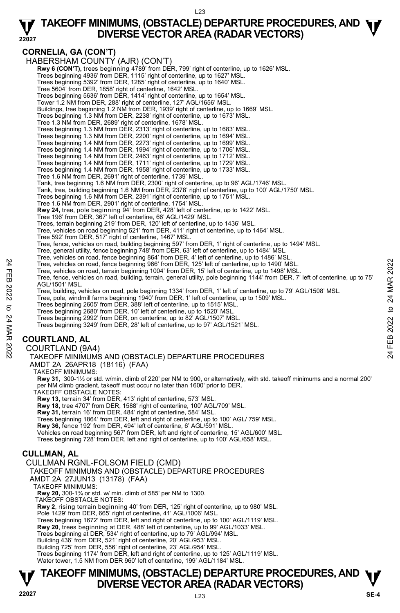## **TAKEOFF MINIMUMS, (OBSTACLE) DEPARTURE PROCEDURES, AND**  $\Psi$ **<br>DIVERSE VECTOR AREA (RADAR VECTORS) DIVERSE VECTOR AREA (RADAR VECTORS)**

**22027** 

**CORNELIA, GA (CON'T)**  HABERSHAM COUNTY (AJR) (CON'T) **Rwy 6 (CON'T),** trees beginning 4789' from DER, 799' right of centerline, up to 1626' MSL. Trees beginning 4936' from DER, 1115' right of centerline, up to 1627' MSL. Trees beginning 5392' from DER, 1285' right of centerline, up to 1640' MSL. Tree 5604' from DER, 1858' right of centerline, 1642' MSL. Trees beginning 5636' from DER, 1414' right of centerline, up to 1654' MSL. Tower 1.2 NM from DER, 288' right of centerline, 127' AGL/1656' MSL. Buildings, tree beginning 1.2 NM from DER, 1939' right of centerline, up to 1669' MSL. Trees beginning 1.3 NM from DER, 2238' right of centerline, up to 1673' MSL. Tree 1.3 NM from DER, 2689' right of centerline, 1678' MSL. Trees beginning 1.3 NM from DER, 2313' right of centerline, up to 1683' MSL. Trees beginning 1.3 NM from DER, 2200' right of centerline, up to 1694' MSL. Trees beginning 1.4 NM from DER, 2273' right of centerline, up to 1699' MSL. Trees beginning 1.4 NM from DER, 1994' right of centerline, up to 1706' MSL. Trees beginning 1.4 NM from DER, 2463' right of centerline, up to 1712' MSL. Trees beginning 1.4 NM from DER, 1711' right of centerline, up to 1729' MSL. Trees beginning 1.4 NM from DER, 1958' right of centerline, up to 1733' MSL. Tree 1.6 NM from DER, 2691' right of centerline, 1739' MSL. Tank, tree beginning 1.6 NM from DER, 2300' right of centerline, up to 96' AGL/1746' MSL.<br>Tank, tree, building beginning 1.6 NM from DER, 2378' right of centerline, up to 100' AGL/1750' MSL. Trees beginning 1.6 NM from DER, 2391' right of centerline, up to 1751' MSL. Tree 1.6 NM from DER, 2901' right of centerline, 1754' MSL. **Rwy 24,** tree, pole beginning 94' from DER, 428' left of centerline, up to 1422' MSL. Tree 196' from DER, 367' left of centerline, 66' AGL/1429' MSL. Trees, terrain beginning 219' from DER, 120' left of centerline, up to 1436' MSL. Tree, vehicles on road beginning 521' from DER, 411' right of centerline, up to 1464' MSL. Tree 592' from DER, 517' right of centerline, 1467' MSL. Tree, fence, vehicles on road, building beginning 597' from DER, 1' right of centerline, up to 1494' MSL. Tree, general utility, fence beginning 748' from DER, 63' left of centerline, up to 1484' MSL. Tree, vehicles on road, fence beginning 864' from DER, 4' left of centerline, up to 1486' MSL. Tree, vehicles on road, fence beginning 966' from DER, 125' left of centerline, up to 1490' MSL. Tree, vehicles on road, terrain beginning 1004' from DER, 15' left of centerline, up to 1498' MSL. Tree, fence, vehicles on road, building, terrain, general utility, pole beginning 1144' from DER, 7' left of centerline, up to 75' AGL/1501' MSL. Tree, building, vehicles on road, pole beginning 1334' from DER, 1' left of centerline, up to 79' AGL/1508' MSL.<br>Tree, pole, windmill farms beginning 1940' from DER, 1' left of centerline, up to 1509' MSL. Trees beginning 2605' from DER, 388' left of centerline, up to 1515' MSL. Trees beginning 2680' from DER, 10' left of centerline, up to 1520' MSL. Trees beginning 2992' from DER, on centerline, up to 82' AGL/1507' MSL. Trees beginning 3249' from DER, 28' left of centerline, up to 97' AGL/1521' MSL. **COURTLAND, AL**  COURTLAND (9A4) TAKEOFF MINIMUMS AND (OBSTACLE) DEPARTURE PROCEDURES AMDT 2A 26APR18 (18116) (FAA) TAKEOFF MINIMUMS: **Rwy 31,** 300-1½ or std. w/min. climb of 220' per NM to 900, or alternatively, with std. takeoff minimums and a normal 200' per NM climb gradient, takeoff must occur no later than 1600' prior to DER. TAKEOFF OBSTACLE NOTES: **Rwy 13,** terrain 34' from DER, 413' right of centerline, 573' MSL. **Rwy 18,** tree 4707' from DER, 1588' right of centerline, 100' AGL/709' MSL. **Rwy 31,** terrain 16' from DER, 484' right of centerline, 584' MSL. Trees beginning 1864' from DER, left and right of centerline, up to 100' AGL/ 759' MSL. Tree, vehicles on road, fence beginning 966' from DER, 125' left of centerline, up to 1490' MSL.<br>
The cervenicles on road, terrain beginning 1004' from DER, 125' left of centerline, up to 1498' MSL.<br>
Tree, ence, vehicles o

**Rwy 36,** fence 192' from DER, 494' left of centerline, 6' AGL/591' MSL.

Vehicles on road beginning 567' from DER, left and right of centerline, 15' AGL/600' MSL.

Trees beginning 728' from DER, left and right of centerline, up to 100' AGL/658' MSL.

#### **CULLMAN, AL**

CULLMAN RGNL-FOLSOM FIELD (CMD)

TAKEOFF MINIMUMS AND (OBSTACLE) DEPARTURE PROCEDURES

- AMDT 2A 27JUN13 (13178) (FAA)
	- TAKEOFF MINIMUMS:
	- **Rwy 20,** 300-1¾ or std. w/ min. climb of 585' per NM to 1300.

TAKEOFF OBSTACLE NOTES:

**Rwy 2**, rising terrain beginning 40' from DER, 125' right of centerline, up to 980' MSL. Pole 1429' from DER, 665' right of centerline, 41' AGL/1006' MSL.

Trees beginning 1672' from DER, left and right of centerline, up to 100' AGL/1119' MSL.

**Rwy 20**, trees beginning at DER, 488' left of centerline, up to 99' AGL/1033' MSL. Trees beginning at DER, 534' right of centerline, up to 79' AGL/994' MSL.

Building 436' from DER, 521' right of centerline, 20' AGL/953' MSL. Building 725' from DER, 556' right of centerline, 23' AGL/954' MSL.

Trees beginning 1174' from DER, left and right of centerline, up to 125' AGL/1119' MSL. Water tower, 1.5 NM from DER 960' left of centerline, 199' AGL/1184' MSL.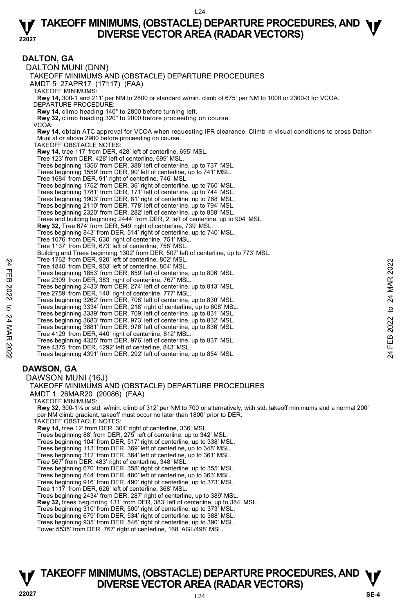#### **22027 TAKEOFF MINIMUMS, (OBSTACLE) DEPARTURE PROCEDURES, AND**  $\Psi$ **<br>DIVERSE VECTOR AREA (RADAR VECTORS) DIVERSE VECTOR AREA (RADAR VECTORS)**

#### **DALTON, GA**

DALTON MUNI (DNN) TAKEOFF MINIMUMS AND (OBSTACLE) DEPARTURE PROCEDURES AMDT 5 27APR17 (17117) (FAA) TAKEOFF MINIMUMS: **Rwy 14,** 300-1 and 211' per NM to 2800 or standard w/min. climb of 675' per NM to 1000 or 2300-3 for VCOA. DEPARTURE PROCEDURE: **Rwy 14,** climb heading 140° to 2800 before turning left. **Rwy 32,** climb heading 320° to 2000 before proceeding on course. VCOA: **Rwy 14,** obtain ATC approval for VCOA when requesting IFR clearance. Climb in visual conditions to cross Dalton Muni at or above 2900 before proceeding on course. TAKEOFF OBSTACLE NOTES: **Rwy 14,** tree 117' from DER, 428' left of centerline, 695' MSL. Tree 123' from DER, 428' left of centerline, 699' MSL. Trees beginning 1356' from DER, 388' left of centerline, up to 737' MSL. Trees beginning 1559' from DER, 90' left of centerline, up to 741' MSL. Tree 1684' from DER, 91' right of centerline, 746' MSL. Trees beginning 1752' from DER, 36' right of centerline, up to 760' MSL.<br>Trees beginning 1781' from DER, 171' left of centerline, up to 748' MSL.<br>Trees beginning 1903' from DER, 81' right of centerline, up to 768' MSL. Trees beginning 2110' from DER, 778' left of centerline, up to 794' MSL. Trees beginning 2320' from DER, 282' left of centerline, up to 858' MSL. Trees and building beginning 2444' from DER, 2' left of centerline, up to 904' MSL. **Rwy 32,** Tree 674' from DER, 549' right of centerline, 739' MSL. Trees beginning 843' from DER, 514' right of centerline, up to 740' MSL. Tree 1076' from DER, 630' right of centerline, 751' MSL. Tree 1137' from DER, 673' left of centerline, 758' MSL. Building and Trees beginning 1302' from DER, 507' left of centerline, up to 773' MSL. Tree 1762' from DER, 920' left of centerline, 802' MSL. Tree 1840' from DER, 903' left of centerline, 804' MSL. Trees beginning 1853' from DER, 659' left of centerline, up to 806' MSL. Tree 2309' from DER, 383' right of centerline, 767' MSL. Trees beginning 2433' from DER, 274' left of centerline, up to 813' MSL. Tree 2759' from DER, 148' right of centerline, 777' MSL. Trees beginning 3262' from DER, 708' left of centerline, up to 830' MSL.<br>Trees beginning 3334' from DER, 218' right of centerline, up to 808' MSL.<br>Trees beginning 3339' from DER, 709' left of centerline, up to 831' MSL. Trees beginning 3683' from DER, 973' left of centerline, up to 832' MSL. Trees beginning 3881' from DER, 976' left of centerline, up to 836' MSL. Tree 4129' from DER, 440' right of centerline, 812' MSL. Trees beginning 4325' from DER, 976' left of centerline, up to 837' MSL. Tree 4375' from DER, 1292' left of centerline, 843' MSL. Trees beginning 4391' from DER, 292' left of centerline, up to 854' MSL. **DAWSON, GA**  DAWSON MUNI (16J) TAKEOFF MINIMUMS AND (OBSTACLE) DEPARTURE PROCEDURES AMDT 1 26MAR20 (20086) (FAA) TAKEOFF MINIMUMS: **Rwy 32**, 300-1⅛ or std. w/min. climb of 312' per NM to 700 or alternatively, with std. takeoff minimums and a normal 200' per NM climb gradient, takeoff must occur no later than 1800' prior to DER. TAKEOFF OBSTACLE NOTES: **Rwy 14,** tree 12' from DER, 304' right of centerline, 336' MSL. Trees beginning 88' from DER, 275' left of centerline, up to 342' MSL.<br>Trees beginning 104' from DER, 517' right of centerline, up to 338' MSL.<br>Trees beginning 113' from DER, 369' left of centerline, up to 348' MSL. Trees beginning 312' from DER, 364' left of centerline, up to 361' MSL. Tree 567' from DER, 483' right of centerline, 348' MSL. Trees beginning 670' from DER, 358' right of centerline, up to 355' MSL. Trees beginning 844' from DER, 480' left of centerline, up to 363' MSL. Trees beginning 916' from DER, 490' right of centerline, up to 373' MSL. Tree 1117' from DER, 626' left of centerline, 368' MSL. Tree 1840' from DER, 920 left of centerline, 804' MSL.<br>
Tree 1840' from DER, 903' left of centerline, 804' MSL.<br>
Tree 2009' from DER, 383' right of centerline, r 67' MSL.<br>
2022 Trees beginning 2433' from DER, 274' left of

Trees beginning 2434' from DER, 287' right of centerline, up to 389' MSL.

**Rwy 32,** trees beginning 131' from DER, 383' left of centerline, up to 384' MSL.

Trees beginning 310' from DER, 500' right of centerline, up to 373' MSL.

Trees beginning 679' from DER, 534' right of centerline, up to 388' MSL.

Trees beginning 935' from DER, 546' right of centerline, up to 390' MSL.

Tower 5535' from DER, 767' right of centerline, 168' AGL/498' MSL.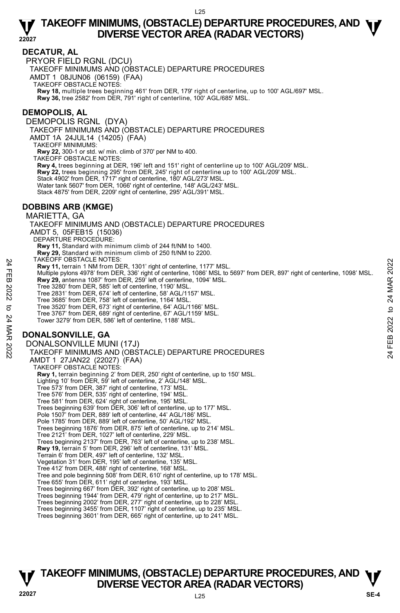#### **DECATUR, AL**

PRYOR FIELD RGNL (DCU)

TAKEOFF MINIMUMS AND (OBSTACLE) DEPARTURE PROCEDURES

AMDT 1 08JUN06 (06159) (FAA)

TAKEOFF OBSTACLE NOTES:

**Rwy 18,** multiple trees beginning 461' from DER, 179' right of centerline, up to 100' AGL/697' MSL.<br>**Rwy 36,** tree 2582' from DER, 791' right of centerline, 100' AGL/685' MSL.

#### **DEMOPOLIS, AL**

DEMOPOLIS RGNL (DYA) TAKEOFF MINIMUMS AND (OBSTACLE) DEPARTURE PROCEDURES AMDT 1A 24JUL14 (14205) (FAA) TAKEOFF MINIMUMS: **Rwy 22,** 300-1 or std. w/ min. climb of 370' per NM to 400. TAKEOFF OBSTACLE NOTES: **Rwy 4,** trees beginning at DER, 196' left and 151' right of centerline up to 100' AGL/209' MSL. **Rwy 22,** trees beginning 295' from DER, 245' right of centerline up to 100' AGL/209' MSL. Stack 4902' from DER, 1717' right of centerline, 180' AGL/273' MSL. Water tank 5607' from DER, 1066' right of centerline, 148' AGL/243' MSL. Stack 4875' from DER, 2209' right of centerline, 295' AGL/391' MSL.

#### **DOBBINS ARB (KMGE)**

#### MARIETTA, GA TAKEOFF MINIMUMS AND (OBSTACLE) DEPARTURE PROCEDURES AMDT 5, 05FEB15 (15036) DEPARTURE PROCEDURE: **Rwy 11,** Standard with minimum climb of 244 ft/NM to 1400. **Rwy 29,** Standard with minimum climb of 250 ft/NM to 2200. TAKEOFF OBSTACLE NOTES: **Rwy 11,** terrain 1 NM from DER, 1301' right of centerline, 1177' MSL. Multiple pylons 4978' from DER, 336' right of centerline, 1086' MSL to 5697' from DER, 897' right of centerline, 1098' MSL.<br>**Rwy 29,** antenna 1087' from DER, 259' left of centerline, 1094' MSL. Tree 3280' from DER, 585' left of centerline, 1190' MSL. Tree 2831' from DER, 674' left of centerline, 58' AGL/1157' MSL. Tree 3685' from DER, 758' left of centerline, 1164' MSL. Tree 3520' from DER, 673' right of centerline, 64' AGL/1166' MSL. Tree 3767' from DER, 689' right of centerline, 67' AGL/1159' MSL. Tower 3279' from DER, 586' left of centerline, 1188' MSL. **DONALSONVILLE, GA**  DONALSONVILLE MUNI (17J) TAKEOFF MINIMUMS AND (OBSTACLE) DEPARTURE PROCEDURES AMDT 1 27JAN22 (22027) (FAA) TAKEOFF OBSTACLE NOTES: **Rwy 1,** terrain beginning 2' from DER, 250' right of centerline, up to 150' MSL. Lighting 10' from DER, 59' left of centerline, 2' AGL/148' MSL. Tree 573' from DER, 387' right of centerline, 173' MSL. Tree 576' from DER, 535' right of centerline, 194' MSL. Tree 581' from DER, 624' right of centerline, 195' MSL. Trees beginning 639' from DER, 306' left of centerline, up to 177' MSL. Pole 1507' from DER, 889' left of centerline, 44' AGL/186' MSL. Pole 1785' from DER, 889' left of centerline, 50' AGL/192' MSL. Trees beginning 1876' from DER, 875' left of centerline, up to 214' MSL. Tree 2121' from DER, 1027' left of centerline, 229' MSL. Trees beginning 2137' from DER, 763' left of centerline, up to 238' MSL. **Rwy 19,** terrain 5' from DER, 296' left of centerline, 131' MSL. Terrain 6' from DER, 497' left of centerline, 132' MSL. Vegetation 31' from DER, 195' left of centerline, 135' MSL. Tree 412' from DER, 488' right of centerline, 168' MSL. Tree and pole beginning 508' from DER, 610' right of centerline, up to 178' MSL. Tree 655' from DER, 611' right of centerline, 193' MSL. Trees beginning 667' from DER, 392' right of centerline, up to 208' MSL. Trees beginning 1944' from DER, 479' right of centerline, up to 217' MSL. Trees beginning 2002' from DER, 277' right of centerline, up to 228' MSL. Trees beginning 3455' from DER, 1107' right of centerline, up to 235' MSL. Trees beginning 3601' from DER, 665' right of centerline, up to 241' MSL. FIRE UNITY USSIALLE NUITS:<br>
THE ENDIRECT CONSIST ON THE PROCEDURES<br>
The 3280' from DER, 1301' right of centerline, 1086' MSL to 5697' from DER, 897' right of centerline, 1098' MSL.<br>
Rwy 24, antenna 1087' from DER, 259' lef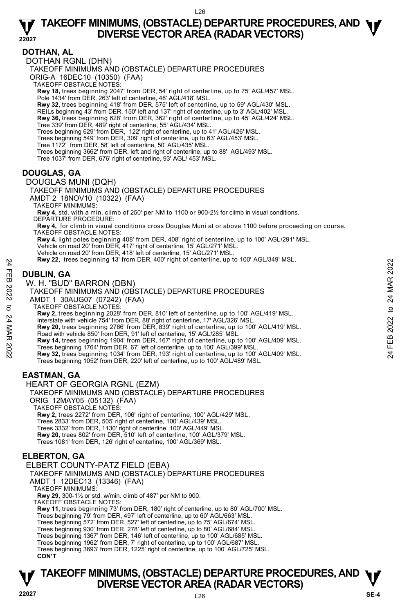#### **DOTHAN, AL**

DOTHAN RGNL (DHN)

TAKEOFF MINIMUMS AND (OBSTACLE) DEPARTURE PROCEDURES

ORIG-A 16DEC10 (10350) (FAA)

TAKEOFF OBSTACLE NOTES:

**Rwy 18,** trees beginning 2047' from DER, 54' right of centerline, up to 75' AGL/457' MSL.<br>Pole 1434' from DER, 263' left of centerline, 48' AGL/418' MSL.

**Rwy 32,** trees beginning 418' from DER, 575' left of centerline, up to 59' AGL/430' MSL.

REILs beginning 43' from DER, 150' left and 137' right of centerline, up to 3' AGL/402' MSL.

**Rwy 36,** trees beginning 628' from DER, 362' right of centerline, up to 45' AGL/424' MSL.<br>Tree 339' from DER, 489' right of centerline, 55' AGL/434' MSL.

Trees beginning 629' from DER, 122' right of centerline, up to 41' AGL/426' MSL.<br>Trees beginning 549' from DER, 309' right of centerline, up to 63' AGL/453' MSL.<br>Tree 1172' from DER, 58' left of centerline, 50' AGL/435' M

Trees beginning 3662' from DER, left and right of centerline, up to 88' AGL/493' MSL.

Tree 1037' from DER, 676' right of centerline, 93' AGL/ 453' MSL.

#### **DOUGLAS, GA**

DOUGLAS MUNI (DQH)

TAKEOFF MINIMUMS AND (OBSTACLE) DEPARTURE PROCEDURES AMDT 2 18NOV10 (10322) (FAA)

TAKEOFF MINIMUMS:

**Rwy 4,** std. with a min. climb of 250' per NM to 1100 or 900-2½ for climb in visual conditions. DEPARTURE PROCEDURE:

**Rwy 4,** for climb in visual conditions cross Douglas Muni at or above 1100 before proceeding on course. TAKEOFF OBSTACLE NOTES:

**Rwy 4,** light poles beginning 408' from DER, 408' right of centerline, up to 100' AGL/291' MSL. Vehicle on road 20' from DER, 417' right of centerline, 15' AGL/271' MSL. Vehicle on road 20' from DER, 418' left of centerline, 15' AGL/271' MSL.

**Rwy 22,** trees beginning 13' from DER, 400' right of centerline, up to 100' AGL/349' MSL.

## **DUBLIN, GA**

W. H. "BUD" BARRON (DBN)

TAKEOFF MINIMUMS AND (OBSTACLE) DEPARTURE PROCEDURES AMDT 1 30AUG07 (07242) (FAA)

TAKEOFF OBSTACLE NOTES:

**Rwy 2,** trees beginning 2028' from DER, 810' left of centerline, up to 100' AGL/419' MSL.

Interstate with vehicle 754' from DER, 88' right of centerline, 17' AGL/326' MSL.<br>**Rwy 20,** trees beginning 2766' from DER, 839' right of centerline, up to 100' AGL/419' MSL. Road with vehicle 850' from DER, 91' left of centerline, 15' AGL/285' MSL. New Y22, trees beginning 13 from DER, 400 right of centerline, up to 100 AGL/349 MSL.<br>
THE DUBLIN, GA<br>
W. H. "BUD" BARRON (DBN)<br>
TAKEOFF MINIMUMS AND (OBSTACLE) DEPARTURE PROCEDURES<br>
TAKEOFF MINIMUMS AND (OBSTACLE) DEPART

**Rwy 14,** trees beginning 1904' from DER, 167' right of centerline, up to 100' AGL/409' MSL.

Trees beginning 1052' from DER, 220' left of centerline, up to 100' AGL/489' MSL.

### **EASTMAN, GA**

HEART OF GEORGIA RGNL (EZM)

TAKEOFF MINIMUMS AND (OBSTACLE) DEPARTURE PROCEDURES ORIG 12MAY05 (05132) (FAA)

TAKEOFF OBSTACLE NOTES:

**Rwy 2,** trees 2272' from DER, 106' right of centerline, 100' AGL/429' MSL.

Trees 2833' from DER, 505' right of centerline, 100' AGL/439' MSL.

Trees 3332' from DER, 1130' right of centerline, 100' AGL/449' MSL

**Rwy 20,** trees 802' from DER, 510' left of centerline, 100' AGL/379' MSL. Trees 1081' from DER, 126' right of centerline, 100' AGL/369' MSL.

#### **ELBERTON, GA**

ELBERT COUNTY-PATZ FIELD (EBA)

TAKEOFF MINIMUMS AND (OBSTACLE) DEPARTURE PROCEDURES

AMDT 1 12DEC13 (13346) (FAA)

TAKEOFF MINIMUMS:

**Rwy 29,** 300-1½ or std. w/min. climb of 487' per NM to 900.

TAKEOFF OBSTACLE NOTES:

**Rwy 11**, trees beginning 73' from DER, 180' right of centerline, up to 80' AGL/700' MSL.

Trees beginning 79' from DER, 497' left of centerline, up to 60' AGL/663' MSL.

Trees beginning 572' from DER, 527' left of centerline, up to 75' AGL/674' MSL.

Trees beginning 930' from DER, 278' left of centerline, up to 80' AGL/684' MSL.

Trees beginning 1367' from DER, 146' left of centerline, up to 100' AGL/685' MSL. Trees beginning 1962' from DER, 7' right of centerline, up to 100' AGL/687' MSL.

Trees beginning 3693' from DER, 1225' right of centerline, up to 100' AGL/725' MSL. **CON'T**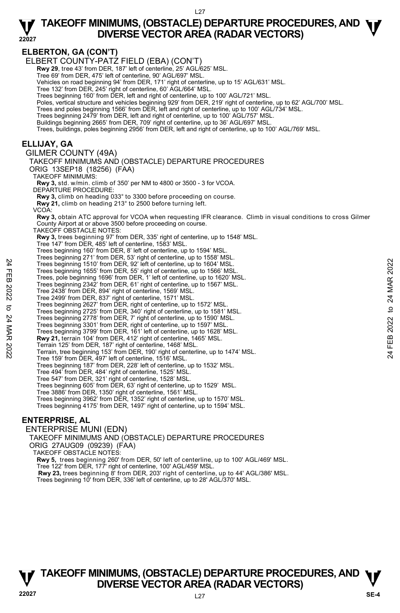**ELBERTON, GA (CON'T)**  ELBERT COUNTY-PATZ FIELD (EBA) (CON'T) **Rwy 29**, tree 43' from DER, 187' left of centerline, 25' AGL/625' MSL. Tree 69' from DER, 475' left of centerline, 90' AGL/697' MSL. Vehicles on road beginning 94' from DER, 171' right of centerline, up to 15' AGL/631' MSL. Tree 132' from DER, 245' right of centerline, 60' AGL/664' MSL. Trees beginning 160' from DER, left and right of centerline, up to 100' AGL/721' MSL. Poles, vertical structure and vehicles beginning 929' from DER, 219' right of centerline, up to 62' AGL/700' MSL. Trees and poles beginning 1566' from DER, left and right of centerline, up to 100' AGL/734' MSL. Trees beginning 2479' from DER, left and right of centerline, up to 100' AGL/757' MSL. Buildings beginning 2665' from DER, 709' right of centerline, up to 36' AGL/697' MSL. Trees, buildings, poles beginning 2956' from DER, left and right of centerline, up to 100' AGL/769' MSL. **ELLIJAY, GA**  GILMER COUNTY (49A) TAKEOFF MINIMUMS AND (OBSTACLE) DEPARTURE PROCEDURES ORIG 13SEP18 (18256) (FAA) TAKEOFF MINIMUMS: **Rwy 3,** std. w/min. climb of 350' per NM to 4800 or 3500 - 3 for VCOA. DEPARTURE PROCEDURE: **Rwy 3,** climb on heading 033° to 3300 before proceeding on course. **Rwy 21,** climb on heading 213° to 2500 before turning left. VCOA: **Rwy 3,** obtain ATC approval for VCOA when requesting IFR clearance. Climb in visual conditions to cross Gilmer County Airport at or above 3500 before proceeding on course. TAKEOFF OBSTACLE NOTES: **Rwy 3,** trees beginning 97' from DER, 335' right of centerline, up to 1548' MSL. Tree 147' from DER, 485' left of centerline, 1583' MSL. Trees beginning 160' from DER, 8' left of centerline, up to 1594' MSL. Trees beginning 271' from DER, 53' right of centerline, up to 1558' MSL. Trees beginning 1510' from DER, 92' left of centerline, up to 1604' MSL. Trees beginning 1655' from DER, 55' right of centerline, up to 1566' MSL. Trees, pole beginning 1696' from DER, 1' left of centerline, up to 1620' MSL. Trees beginning 2342' from DER, 61' right of centerline, up to 1567' MSL. Tree 2438' from DER, 894' right of centerline, 1569' MSL. Tree 2499' from DER, 837' right of centerline, 1571' MSL. Trees beginning 2627' from DER, right of centerline, up to 1572' MSL. Trees beginning 2725' from DER, 340' right of centerline, up to 1581' MSL.<br>Trees beginning 2778' from DER, 7' right of centerline, up to 1590' MSL.<br>Trees beginning 3301' from DER, right of centerline, up to 1597' MSL. Trees beginning 3799' from DER, 161' left of centerline, up to 1628' MSL. **Rwy 21,** terrain 104' from DER, 412' right of centerline, 1465' MSL. Terrain 125' from DER, 187' right of centerline, 1468' MSL. Terrain, tree beginning 153' from DER, 190' right of centerline, up to 1474' MSL. Tree 159' from DER, 497' left of centerline, 1516' MSL. Trees beginning 187' from DER, 228' left of centerline, up to 1532' MSL. Tree 494' from DER, 484' right of centerline, 1525' MSL. Tree 547' from DER, 321' right of centerline, 1528' MSL. Trees beginning 605' from DER, 63' right of centerline, up to 1529' MSL. Tree 3886' from DER, 1350' right of centerline, 1561' MSL. Trees beginning 3962' from DER, 1352' right of centerline, up to 1570' MSL. Trees beginning 4175' from DER, 1497' right of centerline, up to 1594' MSL. **ENTERPRISE, AL**  ENTERPRISE MUNI (EDN) Trees beginning 1510 from DER, 92' left of centerline, up to 1604' MSL.<br>
Trees beginning 1656' from DER, 1' left of centerline, up to 1602' MSL.<br>
Trees per particles from DER, 1' left of centerline, up to 1620' MSL.<br>
Trees

TAKEOFF MINIMUMS AND (OBSTACLE) DEPARTURE PROCEDURES ORIG 27AUG09 (09239) (FAA) TAKEOFF OBSTACLE NOTES: **Rwy 5,** trees beginning 260' from DER, 50' left of centerline, up to 100' AGL/469' MSL. Tree 122' from DER, 177' right of centerline, 100' AGL/459' MSL. **Rwy 23,** trees beginning 8' from DER, 203' right of centerline, up to 44' AGL/386' MSL. Trees beginning 10' from DER, 336' left of centerline, up to 28' AGL/370' MSL.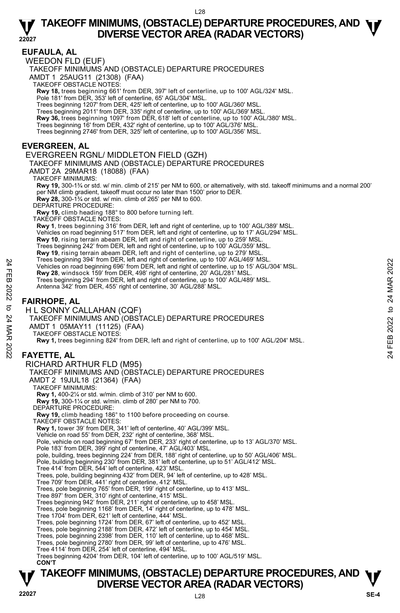**22027 EUFAULA, AL**  WEEDON FLD (EUF) TAKEOFF MINIMUMS AND (OBSTACLE) DEPARTURE PROCEDURES AMDT 1 25AUG11 (21308) (FAA) TAKEOFF OBSTACLE NOTES: **Rwy 18,** trees beginning 661' from DER, 397' left of centerline, up to 100' AGL/324' MSL.<br>Pole 181' from DER, 353' left of centerline, 65' AGL/304' MSL. Trees beginning 1207' from DER, 425' left of centerline, up to 100' AGL/360' MSL. Trees beginning 2011' from DER, 335' right of centerline, up to 100' AGL/369' MSL. **Rwy 36,** trees beginning 1097' from DER, 618' left of centerline, up to 100' AGL/380' MSL.<br>Trees beginning 16' from DER, 432' right of centerline, up to 100' AGL/376' MSL. Trees beginning 2746' from DER, 325' left of centerline, up to 100' AGL/356' MSL. **EVERGREEN, AL**  EVERGREEN RGNL/ MIDDLETON FIELD (GZH) TAKEOFF MINIMUMS AND (OBSTACLE) DEPARTURE PROCEDURES AMDT 2A 29MAR18 (18088) (FAA) TAKEOFF MINIMUMS: **Rwy 19,** 300-1¾ or std. w/ min. climb of 215' per NM to 600, or alternatively, with std. takeoff minimums and a normal 200' per NM climb gradient, takeoff must occur no later than 1500' prior to DER. **Rwy 28,** 300-1¾ or std. w/ min. climb of 265' per NM to 600. DEPARTURE PROCEDURE: **Rwy 19,** climb heading 188° to 800 before turning left. TAKEOFF OBSTACLE NOTES: **Rwy 1**, trees beginning 316' from DER, left and right of centerline, up to 100' AGL/389' MSL. Vehicles on road beginning 517' from DER, left and right of centerline, up to 17' AGL/294' MSL. **Rwy 10**, rising terrain abeam DER, left and right of centerline, up to 259' MSL. Trees beginning 242' from DER, left and right of centerline, up to 100' AGL/359' MSL. **Rwy 19**, rising terrain abeam DER, left and right of centerline, up to 279' MSL. Trees beginning 394' from DER, left and right of centerline, up to 100' AGL/469' MSL. Vehicles on road beginning 696' from DER, left and right of centerline, up to 15' AGL/304' MSL. **Rwy 28**, windsock 159' from DER, 498' right of centerline, 20' AGL/281' MSL. Trees beginning 294' from DER, left and right of centerline, up to 100' AGL/489' MSL. Antenna 342' from DER, 455' right of centerline, 30' AGL/288' MSL. **FAIRHOPE, AL**  H L SONNY CALLAHAN (CQF) TAKEOFF MINIMUMS AND (OBSTACLE) DEPARTURE PROCEDURES AMDT 1 05MAY11 (11125) (FAA) TAKEOFF OBSTACLE NOTES: **Rwy 1,** trees beginning 824' from DER, left and right of centerline, up to 100' AGL/204' MSL. **FAYETTE, AL**  RICHARD ARTHUR FLD (M95) TAKEOFF MINIMUMS AND (OBSTACLE) DEPARTURE PROCEDURES AMDT 2 19JUL18 (21364) (FAA) TAKEOFF MINIMUMS: **Rwy 1,** 400-2¼ or std. w/min. climb of 310' per NM to 600. **Rwy 19,** 300-1¼ or std. w/min. climb of 280' per NM to 700. DEPARTURE PROCEDURE: **Rwy 19,** climb heading 186° to 1100 before proceeding on course. TAKEOFF OBSTACLE NOTES: **Rwy 1,** tower 39' from DER, 341' left of centerline, 40' AGL/399' MSL. Vehicle on road 55' from DER, 232' right of centerline, 368' MSL. Pole, vehicle on road beginning 67' from DER, 233' right of centerline, up to 13' AGL/370' MSL. Pole 183' from DER, 399' right of centerline, 47' AGL/403' MSL. pole, building, trees beginning 224' from DER, 188' right of centerline, up to 50' AGL/406' MSL. Pole, building beginning 230' from DER, 381' left of centerline, up to 51' AGL/412' MSL. Tree 414' from DER, 544' left of centerline, 423' MSL. Trees, pole, building beginning 432' from DER, 94' left of centerline, up to 428' MSL. Tree 709' from DER, 441' right of centerline, 412' MSL. Trees, pole beginning 765' from DER, 199' right of centerline, up to 413' MSL. Tree 897' from DER, 310' right of centerline, 415' MSL. Trees beginning 942' from DER, 211' right of centerline, up to 458' MSL. Trees, pole beginning 1168' from DER, 14' right of centerline, up to 478' MSL. Tree 1704' from DER, 621' left of centerline, 444' MSL. Trees, pole beginning 1724' from DER, 67' left of centerline, up to 452' MSL. Trees, pole beginning 2188' from DER, 472' left of centerline, up to 454' MSL. Trees, pole beginning 2398' from DER, 110' left of centerline, up to 468' MSL. Trees, pole beginning 2780' from DER, 99' left of centerline, up to 476' MSL. Tree 4114' from DER, 254' left of centerline, 494' MSL. Trees beginning 4204' from DER, 104' left of centerline, up to 100' AGL/519' MSL. Vehicles on road beginning 898' from DER, left and right of centerline, up to 100 AGL/204' MSL.<br>
The seleginning 898' from DER, 498' right of centerline, up to 15' AGL/304' MSL.<br>
The seleginning 294' from DER, left and rig

## **TAKEOFF MINIMUMS, (OBSTACLE) DEPARTURE PROCEDURES, AND**  $\Psi$ **<br>DIVERSE VECTOR AREA (RADAR VECTORS) Property BUVERSE VECTOR AREA (RADAR VECTORS)** Property and the DIVERSE VECTOR AREA (RADAR VECTORS)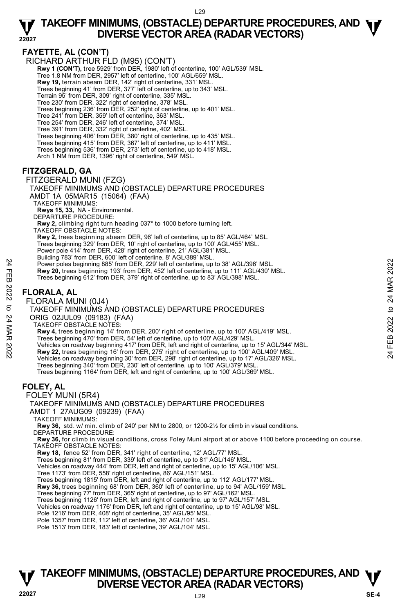#### **FAYETTE, AL (CON'T)**

RICHARD ARTHUR FLD (M95) (CON'T)

**Rwy 1 (CON'T),** tree 5929' from DER, 1980' left of centerline, 100' AGL/539' MSL.

Tree 1.8 NM from DER, 2957' left of centerline, 100' AGL/659' MSL.

- **Rwy 19,** terrain abeam DER, 142' right of centerline, 331' MSL.
- Trees beginning 41' from DER, 377' left of centerline, up to 343' MSL.
- Terrain 95' from DER, 309' right of centerline, 335' MSL.
- Tree 230' from DER, 322' right of centerline, 378' MSL.
- Trees beginning 236' from DER, 252' right of centerline, up to 401' MSL.
- Tree 241' from DER, 359' left of centerline, 363' MSL. Tree 254' from DER, 246' left of centerline, 374' MSL.
- 
- Tree 391' from DER, 332' right of centerline, 402' MSL.
- Trees beginning 406' from DER, 380' right of centerline, up to 435' MSL. Trees beginning 415' from DER, 367' left of centerline, up to 411' MSL.
- 
- Trees beginning 536' from DER, 273' left of centerline, up to 418' MSL.
- Arch 1 NM from DER, 1396' right of centerline, 549' MSL.

#### **FITZGERALD, GA**

#### FITZGERALD MUNI (FZG)

TAKEOFF MINIMUMS AND (OBSTACLE) DEPARTURE PROCEDURES AMDT 1A 05MAR15 (15064) (FAA) TAKEOFF MINIMUMS: **Rwys 15, 33,** NA - Environmental.

- DEPARTURE PROCEDURE:
- **Rwy 2,** climbing right turn heading 037° to 1000 before turning left.
- TAKEOFF OBSTACLE NOTES:
- **Rwy 2,** trees beginning abeam DER, 96' left of centerline, up to 85' AGL/464' MSL.
- Trees beginning 329' from DER, 10' right of centerline, up to 100' AGL/455' MSL.
- Power pole 414' from DER, 428' right of centerline, 21' AGL/381' MSL.
- Building 783' from DER, 600' left of centerline, 8' AGL/389' MSL.
- Power poles beginning 885' from DER, 229' left of centerline, up to 38' AGL/396' MSL. **Rwy 20,** trees beginning 193' from DER, 452' left of centerline, up to 111' AGL/430' MSL. Power poles beginning 885 from DER, 229 left of centerline, up to 38' AGL/396' MSL.<br> **EXECUTE:**<br> **EXECUTE:**<br> **EXECUTE:**<br>
Trees beginning 612' from DER, 379' right of centerline, up to 38' AGL/398' MSL.<br>
Trees beginning 612
	- Trees beginning 612' from DER, 379' right of centerline, up to 83' AGL/398' MSL.

#### **FLORALA, AL**

FLORALA MUNI (0J4)

#### TAKEOFF MINIMUMS AND (OBSTACLE) DEPARTURE PROCEDURES

- ORIG 02JUL09 (09183) (FAA)
- TAKEOFF OBSTACLE NOTES:
- **Rwy 4,** trees beginning 14' from DER, 200' right of centerline, up to 100' AGL/419' MSL.
- Trees beginning 470' from DER, 54' left of centerline, up to 100' AGL/429' MSL.
- 
- 
- Vehicles on roadway beginning 30' from DER, 298' right of centerline, up to 17' AGL/326' MSL.
- Trees beginning 340' from DER, 230' left of centerline, up to 100' AGL/379' MSI
- Trees beginning 1164' from DER, left and right of centerline, up to 100' AGL/369' MSL.

#### **FOLEY, AL**

FOLEY MUNI (5R4)

TAKEOFF MINIMUMS AND (OBSTACLE) DEPARTURE PROCEDURES AMDT 1 27AUG09 (09239) (FAA)

TAKEOFF MINIMUMS:

**Rwy 36,** std. w/ min. climb of 240' per NM to 2800, or 1200-2½ for climb in visual conditions. DEPARTURE PROCEDURE:

**Rwy 36,** for climb in visual conditions, cross Foley Muni airport at or above 1100 before proceeding on course. TAKEOFF OBSTACLE NOTES:

- **Rwy 18,** fence 52' from DER, 341' right of centerline, 12' AGL/77' MSL.
- Trees beginning 81' from DER, 339' left of centerline, up to 81' AGL/146' MSL.
- Vehicles on roadway 444' from DER, left and right of centerline, up to 15' AGL/106' MSL.
- Tree 1173' from DER, 558' right of centerline, 86' AGL/151' MSL.
- Trees beginning 1815' from DER, left and right of centerline, up to 112' AGL/177' MSL.
- **Rwy 36,** trees beginning 68' from DER, 360' left of centerline, up to 94' AGL/159' MSL.<br>Trees beginning 77' from DER, 365' right of centerline, up to 97' AGL/162' MSL.
- 
- Trees beginning 1126' from DER, left and right of centerline, up to 97' AGL/157' MSL.
- Vehicles on roadway 1176' from DER, left and right of centerline, up to 15' AGL/98' MSL. Pole 1216' from DER, 408' right of centerline, 35' AGL/95' MSL.
- 
- Pole 1357' from DER, 112' left of centerline, 36' AGL/101' MSL.
- Pole 1513' from DER, 183' left of centerline, 39' AGL/104' MSL.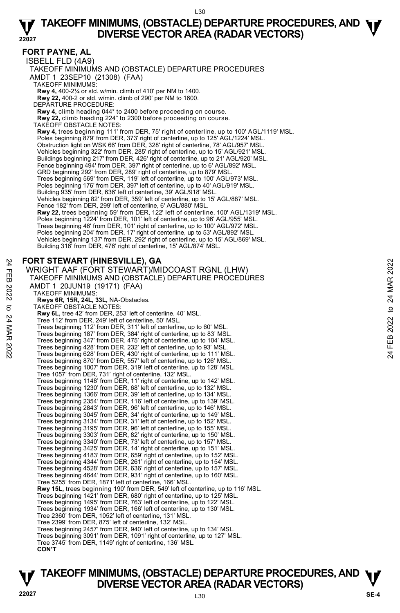#### **FORT PAYNE, AL**

ISBELL FLD (4A9)

TAKEOFF MINIMUMS AND (OBSTACLE) DEPARTURE PROCEDURES

AMDT 1 23SEP10 (21308) (FAA)

TAKEOFF MINIMUMS:

**Rwy 4,** 400-2¼ or std. w/min. climb of 410' per NM to 1400. **Rwy 22,** 400-2 or std. w/min. climb of 290' per NM to 1600.

DEPARTURE PROCEDURE:

**Rwy 4,** climb heading 044° to 2400 before proceeding on course.

**Rwy 22,** climb heading 224° to 2300 before proceeding on course. TAKEOFF OBSTACLE NOTES:

**Rwy 4,** trees beginning 111' from DER, 75' right of centerline, up to 100' AGL/1119' MSL. Poles beginning 879' from DER, 373' right of centerline, up to 125' AGL/1224' MSL. Obstruction light on WSK 66' from DER, 328' right of centerline, 78' AGL/957' MSL. Vehicles beginning 322' from DER, 285' right of centerline, up to 15' AGL/921' MSL. Buildings beginning 217' from DER, 426' right of centerline, up to 21' AGL/920' MSL. Fence beginning 494' from DER, 397' right of centerline, up to 6' AGL/892' MSL. GRD beginning 292' from DER, 289' right of centerline, up to 879' MSL. Trees beginning 569' from DER, 119' left of centerline, up to 100' AGL/973' MSL. Poles beginning 176' from DER, 397' left of centerline, up to 40' AGL/919' MSL. Building 935' from DER, 636' left of centerline, 39' AGL/918' MSL. Vehicles beginning 82' from DER, 359' left of centerline, up to 15' AGL/887' MSL. Fence 182' from DER, 299' left of centerline, 6' AGL/880' MSL. **Rwy 22,** trees beginning 59' from DER, 122' left of centerline, 100' AGL/1319' MSL. Poles beginning 1224' from DER, 101' left of centerline, up to 96' AGL/955' MSL. Trees beginning 46' from DER, 101' right of centerline, up to 100' AGL/972' MSL. Poles beginning 204' from DER, 17' right of centerline, up to 53' AGL/892' MSL. Vehicles beginning 137' from DER, 292' right of centerline, up to 15' AGL/869' MSL. Building 316' from DER, 476' right of centerline, 15' AGL/874' MSL.

#### **FORT STEWART (HINESVILLE), GA**

```
WRIGHT AAF (FORT STEWART)/MIDCOAST RGNL (LHW) 
         TAKEOFF MINIMUMS AND (OBSTACLE) DEPARTURE PROCEDURES 
         AMDT 1 20JUN19 (19171) (FAA) 
           TAKEOFF MINIMUMS: 
             Rwys 6R, 15R, 24L, 33L, NA-Obstacles. 
           TAKEOFF OBSTACLE NOTES: 
             Rwy 6L, tree 42' from DER, 253' left of centerline, 40' MSL. 
             Tree 112' from DER, 249' left of centerline, 50' MSL. 
             Trees beginning 112' from DER, 311' left of centerline, up to 60' MSL. 
Trees beginning 187' from DER, 384' right of centerline, up to 83' MSL. 
             Trees beginning 347' from DER, 475' right of centerline, up to 104' MSL. 
             Trees beginning 428' from DER, 232' left of centerline, up to 93' MSL. 
             Trees beginning 628' from DER, 430' right of centerline, up to 111' MSL. 
             Trees beginning 870' from DER, 557' left of centerline, up to 126' MSL. 
             Trees beginning 1007' from DER, 319' left of centerline, up to 128' MSL. 
Tree 1057' from DER, 731' right of centerline, 132' MSL. 
             Trees beginning 1148' from DER, 11' right of centerline, up to 142' MSL. 
             Trees beginning 1230' from DER, 68' left of centerline, up to 132' MSL. 
             Trees beginning 1366' from DER, 39' left of centerline, up to 134' MSL. 
             Trees beginning 2354' from DER, 116' left of centerline, up to 139' MSL. 
             Trees beginning 2843' from DER, 96' left of centerline, up to 146' MSL. 
             Trees beginning 3045' from DER, 34' right of centerline, up to 149' MSL. 
Trees beginning 3134' from DER, 31' left of centerline, up to 152' MSL. 
             Trees beginning 3195' from DER, 96' left of centerline, up to 155' MSL. 
             Trees beginning 3303' from DER, 82' right of centerline, up to 150' MSL. 
Trees beginning 3340' from DER, 73' left of centerline, up to 157' MSL. 
             Trees beginning 3425' from DER, 14' right of centerline, up to 151' MSL. 
             Trees beginning 4183' from DER, 659' right of centerline, up to 152' MSL. 
             Trees beginning 4344' from DER, 261' right of centerline, up to 154' MSL. 
Trees beginning 4528' from DER, 636' right of centerline, up to 157' MSL. 
             Trees beginning 4644' from DER, 931' right of centerline, up to 160' MSL. 
             Tree 5255' from DER, 1871' left of centerline, 166' MSL. 
             Rwy 15L, trees beginning 190' from DER, 549' left of centerline, up to 116' MSL. 
             Trees beginning 1421' from DER, 680' right of centerline, up to 125' MSL. 
             Trees beginning 1495' from DER, 763' left of centerline, up to 122' MSL. 
Trees beginning 1934' from DER, 166' left of centerline, up to 130' MSL. 
             Tree 2360' from DER, 1052' left of centerline, 131' MSL. 
             Tree 2399' from DER, 875' left of centerline, 132' MSL. 
             Trees beginning 2457' from DER, 940' left of centerline, up to 134' MSL. 
Trees beginning 3091' from DER, 1091' right of centerline, up to 127' MSL. 
             Tree 3745' from DER, 1149' right of centerline, 136' MSL. 
             CON'T
PORT STEWART (HINESVILLE), GA<br>
WIRGHT AAF (FORT STEWART)/MIDCOAST RGNL (LHW)<br>
TAKEOFF MINIMUMS AND (OBSTACLE) DEPARTURE PROCEDURES<br>
AMDT 1 20JUN19 (19171) (FAA)<br>
PARKEOFF MINIMUMS:<br>
TAKEOFF MINIMUMS:<br>
TAKEOFF MINIMUMS:<br>
T
```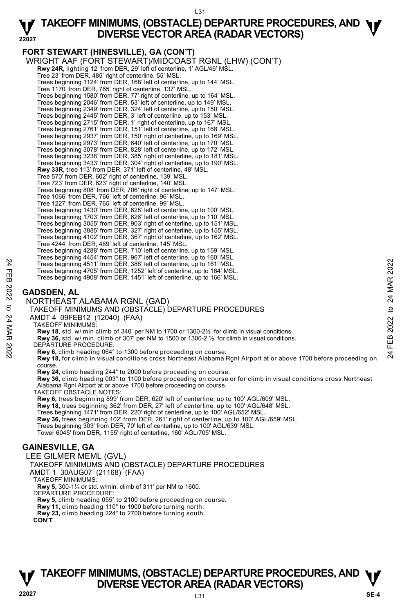## **TAKEOFF MINIMUMS, (OBSTACLE) DEPARTURE PROCEDURES, AND**  $\Psi$ **<br>DIVERSE VECTOR AREA (RADAR VECTORS) DIVERSE VECTOR AREA (RADAR VECTORS)**

**22027 FORT STEWART (HINESVILLE), GA (CON'T)**  WRIGHT AAF (FORT STEWART)/MIDCOAST RGNL (LHW) (CON'T) **Rwy 24R,** lighting 12' from DER, 29' left of centerline, 1' AGL/46' MSL. Tree 23' from DER, 485' right of centerline, 55' MSL. Trees beginning 1124' from DER, 168' left of centerline, up to 144' MSL. Tree 1170' from DER, 765' right of centerline, 137' MSL. Trees beginning 1580' from DER, 77' right of centerline, up to 164' MSL. Trees beginning 2046' from DER, 53' left of centerline, up to 149' MSL. Trees beginning 2349' from DER, 324' left of centerline, up to 150' MSL. Trees beginning 2445' from DER, 3' left of centerline, up to 153' MSL. Trees beginning 2715' from DER, 1' right of centerline, up to 167' MSL. Trees beginning 2761' from DER, 151' left of centerline, up to 168' MSL.<br>Trees beginning 2937' from DER, 150' right of centerline, up to 169' MSL.<br>Trees beginning 2973' from DER, 640' left of centerline, up to 170' MSL. Trees beginning 3078' from DER, 828' left of centerline, up to 172' MSL. Trees beginning 3238' from DER, 385' right of centerline, up to 181' MSL. Trees beginning 3433' from DER, 304' right of centerline, up to 190' MSL.<br>**Rwy 33R,** tree 113' from DER, 371' left of centerline, 48' MSL. Tree 570' from DER, 602' right of centerline, 139' MSL. Tree 723' from DER, 623' right of centerline, 140' MSL. Trees beginning 808' from DER, 706' right of centerline, up to 147' MSL. Tree 1066' from DER, 766' left of centerline, 96' MSL. Tree 1227' from DER, 765' left of centerline, 99' MSL. Trees beginning 1430' from DER, 628' left of centerline, up to 100' MSL. Trees beginning 1703' from DER, 626' left of centerline, up to 110' MSL. Trees beginning 3055' from DER, 903' right of centerline, up to 151' MSL. Trees beginning 3885' from DER, 327' right of centerline, up to 155' MSL. Trees beginning 4102' from DER, 367' right of centerline, up to 162' MSL. Tree 4244' from DER, 469' left of centerline, 145' MSL. Trees beginning 4288' from DER, 710' left of centerline, up to 159' MSL. Trees beginning 4454' from DER, 967' left of centerline, up to 160' MSL. Trees beginning 4511' from DER, 388' left of centerline, up to 161' MSL. Trees beginning 4705' from DER, 1252' left of centerline, up to 164' MSL. Trees beginning 4908' from DER, 1451' left of centerline, up to 166' MSL. **GADSDEN, AL**  NORTHEAST ALABAMA RGNL (GAD) TAKEOFF MINIMUMS AND (OBSTACLE) DEPARTURE PROCEDURES AMDT 4 09FEB12 (12040) (FAA) TAKEOFF MINIMUMS: **Rwy 18,** std. w/ min climb of 340' per NM to 1700 or 1300-2½ for climb in visual conditions. **Rwy 36,** std. w/ min. climb of 307' per NM to 1500 or 1300-2 ½ for climb in visual conditions. DEPARTURE PROCEDURE: **Rwy 6,** climb heading 064° to 1300 before proceeding on course. **Rwy 18,** for climb in visual conditions cross Northeast Alabama Rgnl Airport at or above 1700 before proceeding on course. **Rwy 24,** climb heading 244° to 2000 before proceeding on course. **Rwy 36,** climb heading 003° to 1100 before proceeding on course or for climb in visual conditions cross Northeast Alabama Rgnl Airport at or above 1700 before proceeding on course. TAKEOFF OBSTACLE NOTES: **Rwy 6,** trees beginning 899' from DER, 620' left of centerline, up to 100' AGL/609' MSL. **Rwy 18,** trees beginning 362' from DER, 27' left of centerline, up to 100' AGL/648' MSL. Trees beginning 1471' from DER, 220' right of centerline, up to 100' AGL/652' MSL.<br>**Rwy 36,** trees beginning 102' from DER, 261' right of centerline, up to 100' AGL/659' MSL. Trees beginning 303' from DER, 70' left of centerline, up to 100' AGL/639' MSL. Tower 6045' from DER, 1155' right of centerline, 160' AGL/705' MSL. **GAINESVILLE, GA**  LEE GILMER MEML (GVL) TAKEOFF MINIMUMS AND (OBSTACLE) DEPARTURE PROCEDURES AMDT 1 30AUG07 (21168) (FAA) TAKEOFF MINIMUMS: **Rwy 5,** 300-1¼ or std. w/min. climb of 311' per NM to 1600. DEPARTURE PROCEDURE: **Rwy 5,** climb heading 055° to 2100 before proceeding on course. **Rwy 11,** climb heading 110° to 1900 before turning north. **Rwy 23,** climb heading 224° to 2700 before turning south. **CON'T**  Trees beginning 4511 from DER, 388' left of centerline, up to 161' MSL.<br>
Trees beginning 4705' from DER, 1252' left of centerline, up to 164' MSL.<br>
Trees beginning 4705' from DER, 1252' left of centerline, up to 166' MSL.<br>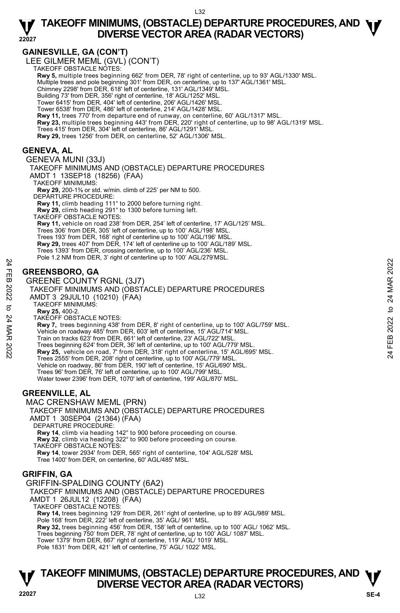#### **GAINESVILLE, GA (CON'T)**

LEE GILMER MEML (GVL) (CON'T) TAKEOFF OBSTACLE NOTES:

**Rwy 5,** multiple trees beginning 662' from DER, 78' right of centerline, up to 93' AGL/1330' MSL. Multiple trees and pole beginning 301' from DER, on centerline, up to 137' AGL/1361' MSL. Chimney 2298' from DER, 618' left of centerline, 131' AGL/1349' MSL. Building 73' from DER, 356' right of centerline, 18' AGL/1252' MSL. Tower 6415' from DER, 404' left of centerline, 206' AGL/1426' MSL. Tower 6538' from DER, 486' left of centerline, 214' AGL/1428' MSL. **Rwy 11,** trees 770' from departure end of runway, on centerline, 60' AGL/1317' MSL.<br>**Rwy 23,** multiple trees beginning 443' from DER, 220' right of centerline, up to 98' AGL/1319' MSL.

Trees 415' from DER, 304' left of centerline, 86' AGL/1291' MSL.

**Rwy 29,** trees 1256' from DER, on centerline, 52' AGL/1306' MSL.

#### **GENEVA, AL**

GENEVA MUNI (33J) TAKEOFF MINIMUMS AND (OBSTACLE) DEPARTURE PROCEDURES AMDT 1 13SEP18 (18256) (FAA) TAKEOFF MINIMUMS: **Rwy 29,** 200-1⅜ or std. w/min. climb of 225' per NM to 500. DEPARTURE PROCEDURE: **Rwy 11,** climb heading 111° to 2000 before turning right. **Rwy 29,** climb heading 291° to 1300 before turning left. TAKEOFF OBSTACLE NOTES: **Rwy 11,** vehicle on road 238' from DER, 254' left of centerline, 17' AGL/125' MSL. Trees 306' from DER, 305' left of centerline, up to 100' AGL/198' MSL. Trees 193' from DER, 168' right of centerline up to 100' AGL/196' MSL. **Rwy 29,** trees 407' from DER, 174' left of centerline up to 100' AGL/189' MSL. Trees 1393' from DER, crossing centerline, up to 100' AGL/236' MSL. Pole 1.2 NM from DER, 3' right of centerline up to 100' AGL/279'MSL. **GREENSBORO, GA**  GREENE COUNTY RGNL (3J7) TAKEOFF MINIMUMS AND (OBSTACLE) DEPARTURE PROCEDURES AMDT 3 29JUL10 (10210) (FAA) TAKEOFF MINIMUMS: **Rwy 25,** 400-2. TAKEOFF OBSTACLE NOTES: **Rwy 7,** trees beginning 438' from DER, 8' right of centerline, up to 100' AGL/759' MSL. Vehicle on roadway 485' from DER, 603' left of centerline, 15' AGL/714' MSL. Train on tracks 623' from DER, 661' left of centerline, 23' AGL/722' MSL. Trees beginning 624' from DER, 36' left of centerline, up to 100' AGL/779' MSL. **Rwy 25,** vehicle on road, 7' from DER, 318' right of centerline, 15' AGL/695' MSL. Trees 2555' from DER, 208' right of centerline, up to 100' AGL/779' MSL. Vehicle on roadway, 86' from DER, 190' left of centerline, 15' AGL/690' MSL. Trees 96' from DER, 76' left of centerline, up to 100' AGL/799' MSL. Water tower 2396' from DER, 1070' left of centerline, 199' AGL/870' MSL. **GREENVILLE, AL**  MAC CRENSHAW MEML (PRN) TAKEOFF MINIMUMS AND (OBSTACLE) DEPARTURE PROCEDURES AMDT 1 30SEP04 (21364) (FAA) 24<br> **EREENSBORO, GA**<br>
GREENE COUNTY RGNL (3J7)<br>
24 GREENE COUNTY RGNL (3J7)<br>
24 TAKEOFF MINIMUMS:<br>
AMDT 3 29JUL10 (10210) (FAA)<br>
25 TAKEOFF MINIMUMS:<br> **EREENE COUNTY RGNL (3J7)**<br>
24 AMDT 3 29JUL10 (10210) (FAA)<br>
25 TAKEOFF

DEPARTURE PROCEDURE: **Rwy 14**, climb via heading 142° to 900 before proceeding on course. **Rwy 32**, climb via heading 322° to 900 before proceeding on course. TAKEOFF OBSTACLE NOTES: **Rwy 14**, tower 2934' from DER, 565' right of centerline, 104' AGL/528' MSL Tree 1400' from DER, on centerline, 60' AGL/485' MSL.

#### **GRIFFIN, GA**

GRIFFIN-SPALDING COUNTY (6A2) TAKEOFF MINIMUMS AND (OBSTACLE) DEPARTURE PROCEDURES AMDT 1 26JUL12 (12208) (FAA) TAKEOFF OBSTACLE NOTES: **Rwy 14,** trees beginning 129' from DER, 261' right of centerline, up to 89' AGL/989' MSL. Pole 168' from DER, 222' left of centerline, 35' AGL/ 961' MSL. **Rwy 32,** trees beginning 456' from DER, 158' left of centerline, up to 100' AGL/ 1062' MSL. Trees beginning 750' from DER, 78' right of centerline, up to 100' AGL/ 1087' MSL. Tower 1379' from DER, 667' right of centerline, 119' AGL/ 1019' MSL.

Pole 1831' from DER, 421' left of centerline, 75' AGL/ 1022' MSL.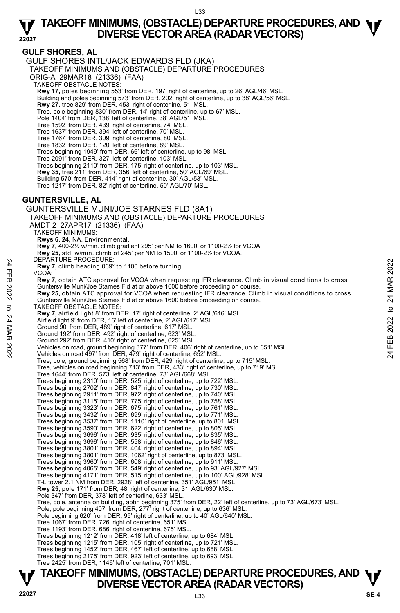#### **GULF SHORES, AL**

GULF SHORES INTL/JACK EDWARDS FLD (JKA)

TAKEOFF MINIMUMS AND (OBSTACLE) DEPARTURE PROCEDURES

ORIG-A 29MAR18 (21336) (FAA)

TAKEOFF OBSTACLE NOTES:

**Rwy 17,** poles beginning 553' from DER, 197' right of centerline, up to 26' AGL/46' MSL.<br>Building and poles beginning 573' from DER, 202' right of centerline, up to 38' AGL/56' MSL.

**Rwy 27,** tree 829' from DER, 453' right of centerline, 51' MSL.

Tree, pole beginning 830' from DER, 14' right of centerline, up to 67' MSL.

Pole 1404' from DER, 138' left of centerline, 38' AGL/51' MSL. Tree 1592' from DER, 439' right of centerline, 74' MSL.

Tree 1637' from DER, 394' left of centerline, 70' MSL.

Tree 1767' from DER, 309' right of centerline, 80' MSL. Tree 1832' from DER, 120' left of centerline, 89' MSL.

Trees beginning 1949' from DER, 66' left of centerline, up to 98' MSL.

Tree 2091' from DER, 327' left of centerline, 103' MSL.

Trees beginning 2110' from DER, 175' right of centerline, up to 103' MSL.

**Rwy 35,** tree 211' from DER, 356' left of centerline, 50' AGL/69' MSL.

Building 570' from DER, 414' right of centerline, 30' AGL/53' MSL.

Tree 1217' from DER, 82' right of centerline, 50' AGL/70' MSL.

#### **GUNTERSVILLE, AL**

GUNTERSVILLE MUNI/JOE STARNES FLD (8A1) TAKEOFF MINIMUMS AND (OBSTACLE) DEPARTURE PROCEDURES AMDT 2 27APR17 (21336) (FAA) TAKEOFF MINIMUMS: **Rwys 6, 24,** NA, Environmental. **Rwy 7,** 400-2½ w/min. climb gradient 295' per NM to 1600' or 1100-2½ for VCOA. **Rwy 25,** std. w/min. climb of 245' per NM to 1500' or 1100-2½ for VCOA. DEPARTURE PROCEDURE **Rwy 7,** climb heading 069° to 1100 before turning. VCOA: **Rwy 7,** obtain ATC approval for VCOA when requesting IFR clearance. Climb in visual conditions to cross Guntersville Muni/Joe Starnes Fld at or above 1600 before proceeding on course. **Rwy 25,** obtain ATC approval for VCOA when requesting IFR clearance. Climb in visual conditions to cross Guntersville Muni/Joe Starnes Fld at or above 1600 before proceeding on course. TAKEOFF OBSTACLE NOTES: **Rwy 7,** airfield light 8' from DER, 17' right of centerline, 2' AGL/616' MSL. Airfield light 9' from DER, 16' left of centerline, 2' AGL/617' MSL. Ground 90' from DER, 489' right of centerline, 617' MSL. Ground 192' from DER, 492' right of centerline, 623' MSL. Ground 292' from DER, 410' right of centerline, 625' MSL. Vehicles on road, ground beginning 377' from DER, 406' right of centerline, up to 651' MSL. Vehicles on road 497' from DER, 479' right of centerline, 652' MSL. Tree, pole, ground beginning 568' from DER, 429' right of centerline, up to 715' MSL. Tree, vehicles on road beginning 713' from DER, 433' right of centerline, up to 719' MSL. Tree 1644' from DER, 573' left of centerline, 73' AGL/668' MSL. Trees beginning 2310' from DER, 525' right of centerline, up to 722' MSL. Trees beginning 2702' from DER, 847' right of centerline, up to 730' MSL. Trees beginning 2911' from DER, 972' right of centerline, up to 740' MSL. Trees beginning 3115' from DER, 775' right of centerline, up to 758' MSL. Trees beginning 3323' from DER, 675' right of centerline, up to 761' MSL. Trees beginning 3432' from DER, 699' right of centerline, up to 771' MSL.<br>Trees beginning 3537' from DER, 1110' right of centerline, up to 801' MSL.<br>Trees beginning 3590' from DER, 622' right of centerline, up to 805' MSL. Trees beginning 3696' from DER, 935' right of centerline, up to 835' MSL. Trees beginning 3696' from DER, 558' right of centerline, up to 846' MSL. Trees beginning 3801' from DER, 404' right of centerline, up to 894' MSL. Trees beginning 3801' from DER, 1062' right of centerline, up to 873' MSL. Trees beginning 3960' from DER, 608' right of centerline, up to 911' MSL. Trees beginning 4065' from DER, 549' right of centerline, up to 93' AGL/927' MSL. Trees beginning 4171' from DER, 515' right of centerline, up to 100' AGL/928' MSL. T-L tower 2.1 NM from DER, 2928' left of centerline, 351' AGL/951' MSL. **Rwy 25,** pole 171' from DER, 48' right of centerline, 31' AGL/630' MSL. Pole 347' from DER, 378' left of centerline, 633' MSL. Tree, pole, antenna on building, apbn beginning 375' from DER, 22' left of centerline, up to 73' AGL/673' MSL.<br>Pole, pole beginning 407' from DER, 277' right of centerline, up to 636' MSL. Pole beginning 620' from DER, 95' right of centerline, up to 40' AGL/640' MSL. Tree 1067' from DER, 726' right of centerline, 651' MSL. Tree 1193' from DER, 686' right of centerline, 675' MSL.<br>Trees beginning 1212' from DER, 418' left of centerline, up to 684' MSL.<br>Trees beginning 1215' from DER, 105' right of centerline, up to 721' MSL. Trees beginning 1452' from DER, 467' left of centerline, up to 688' MSL. Trees beginning 2175' from DER, 923' left of centerline, up to 693' MSL. Tree 2425' from DER, 1146' left of centerline, 701' MSL. Net FACTURE PROCEDUTE:<br>
THE WAY 7, climb heading 069° to 1100 before turning.<br>
22 Rwy 7, obtain ATC approval for VCOA when requesting IFR clearance. Climb in visual conditions to cross<br>
22 Guntersville Muni/Joe Stames Fld

# **TAKEOFF MINIMUMS, (OBSTACLE) DEPARTURE PROCEDURES, AND**  $\Psi$ **<br>DIVERSE VECTOR AREA (RADAR VECTORS) Property BUVERSE VECTOR AREA (RADAR VECTORS)** Property and the DIVERSE VECTOR AREA (RADAR VECTORS)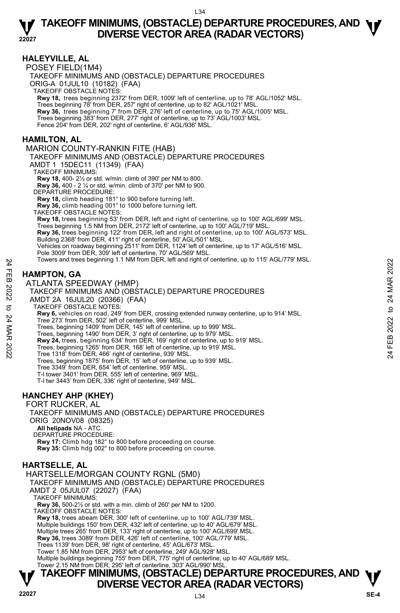#### **HALEYVILLE, AL**

POSEY FIELD(1M4) TAKEOFF MINIMUMS AND (OBSTACLE) DEPARTURE PROCEDURES ORIG-A 01JUL10 (10182) (FAA) TAKEOFF OBSTACLE NOTES: **Rwy 18,** trees beginning 2372' from DER, 1009' left of centerline, up to 78' AGL/1052' MSL. Trees beginning 78' from DER, 257' right of centerline, up to 82' AGL/1021' MSL. **Rwy 36,** trees beginning 7' from DER, 276' left of centerline, up to 75' AGL/1005' MSL. Trees beginning 383' from DER, 277' right of centerline, up to 73' AGL/1003' MSL. Fence 204' from DER, 202' right of centerline, 6' AGL/936' MSL. MARION COUNTY-RANKIN FITE (HAB)

#### **HAMILTON, AL**

TAKEOFF MINIMUMS AND (OBSTACLE) DEPARTURE PROCEDURES AMDT 1 15DEC11 (11349) (FAA) TAKEOFF MINIMUMS: **Rwy 18,** 400- 2½ or std. w/min. climb of 390' per NM to 800. **Rwy 36,** 400 - 2 ¼ or std. w/min. climb of 370' per NM to 900. DEPARTURE PROCEDURE: **Rwy 18,** climb heading 181° to 900 before turning left. **Rwy 36,** climb heading 001° to 1000 before turning left. TAKEOFF OBSTACLE NOTES: **Rwy 18,** trees beginning 53' from DER, left and right of centerline, up to 100' AGL/699' MSL. Trees beginning 1.5 NM from DER, 2172' left of centerline, up to 100' AGL/719' MSL. **Rwy 36,** trees beginning 122' from DER, left and right of centerline, up to 100' AGL/573' MSL.<br>Building 2368' from DER, 411' right of centerline, 50' AGL/501' MSL. Vehicles on roadway beginning 2511' from DER, 1124' left of centerline, up to 17' AGL/516' MSL. Pole 3009' from DER, 309' left of centerline, 70' AGL/569' MSL Towers and trees beginning 1.1 NM from DER, left and right of centerline, up to 115' AGL/779' MSL.

#### **HAMPTON, GA**

ATLANTA SPEEDWAY (HMP)

#### TAKEOFF MINIMUMS AND (OBSTACLE) DEPARTURE PROCEDURES

- AMDT 2A 16JUL20 (20366) (FAA)
- TAKEOFF OBSTACLE NOTES:

**Rwy 6,** vehicles on road, 249' from DER, crossing extended runway centerline, up to 914' MSL. Tree 273' from DER, 502' left of centerline, 999' MSL. Towers and trees beginning 1.1 NM from DER, felt and right of centerline, up to 115 AGLI/79 MSL.<br>
24 ATLANTA SPEEDWAY (HMP)<br>
24 ATLANTA SPEEDWAY (HMP)<br>
7 TAKEOFF MINIMUMS AND (OBSTACLE) DEPARTURE PROCEDURES<br>
24 MMDT 2A 16J

Trees, beginning 1409' from DER, 145' left of centerline, up to 999' MSL. Trees, beginning 1490' from DER, 3' right of centerline, up to 979' MSL.

- 
- **Rwy 24,** trees, beginning 634' from DER, 169' right of centerline, up to 919' MSL.
- Trees, beginning 1265' from DER, 168' left of centerline, up to 919' MSL.
- Tree 1318' from DER, 466' right of centerline, 939' MSL.

Trees, beginning 1875' from DER, 15' left of centerline, up to 939' MSL.

- Tree 3349' from DER, 654' left of centerline, 959' MSL.
- T-l tower 3401' from DER, 555' left of centerline, 969' MSL.
- T-l twr 3443' from DER, 336' right of centerline, 949' MSL.

#### **HANCHEY AHP (KHEY)**

FORT RUCKER, AL

TAKEOFF MINIMUMS AND (OBSTACLE) DEPARTURE PROCEDURES ORIG 20NOV08 (08325)

 **All helipads** NA - ATC.

DEPARTURE PROCEDURE:

**Rwy 17:** Climb hdg 182° to 800 before proceeding on course. **Rwy 35:** Climb hdg 002° to 800 before proceeding on course.

#### **HARTSELLE, AL**

HARTSELLE/MORGAN COUNTY RGNL (5M0) TAKEOFF MINIMUMS AND (OBSTACLE) DEPARTURE PROCEDURES AMDT 2 05JUL07 (22027) (FAA) TAKEOFF MINIMUMS: **Rwy 36,** 500-2½ or std. with a min. climb of 260' per NM to 1200. TAKEOFF OBSTACLE NOTES: **Rwy 18,** trees abeam DER, 300' left of centerline, up to 100' AGL/739' MSL. Multiple buildings 150' from DER, 432' left of centerline, up to 40' AGL/679' MSL. Multiple trees 265' from DER, 133' right of centerline, up to 100' AGL/699' MSL. **Rwy 36,** trees 3089' from DER, 426' left of centerline, 100' AGL/779' MSL. Trees 1139' from DER, 98' right of centerline, 45' AGL/673' MSL. Tower 1.85 NM from DER, 2953' left of centerline, 249' AGL/928' MSL. Multiple buildings beginning 755' from DER, 775' right of centerline, up to 40' AGL/689' MSL. Tower 2.15 NM from DER, 295' left of centerline, 303' AGL/990' MSL.

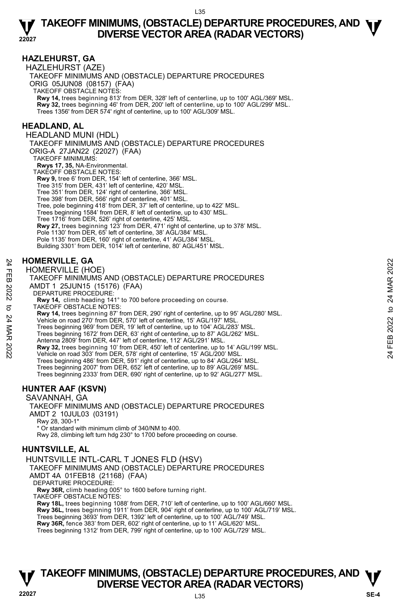#### **HAZLEHURST, GA**

HAZLEHURST (AZE) TAKEOFF MINIMUMS AND (OBSTACLE) DEPARTURE PROCEDURES ORIG 05JUN08 (08157) (FAA) TAKEOFF OBSTACLE NOTES: **Rwy 14,** trees beginning 813' from DER, 328' left of centerline, up to 100' AGL/369' MSL. **Rwy 32,** trees beginning 46' from DER, 200' left of centerline, up to 100' AGL/299' MSL. Trees 1356' from DER 574' right of centerline, up to 100' AGL/309' MSL.

#### **HEADLAND, AL**

HEADLAND MUNI (HDL) TAKEOFF MINIMUMS AND (OBSTACLE) DEPARTURE PROCEDURES ORIG-A 27JAN22 (22027) (FAA) TAKEOFF MINIMUMS:  **Rwys 17, 35,** NA-Environmental. TAKEOFF OBSTACLE NOTES: **Rwy 9,** tree 6' from DER, 154' left of centerline, 366' MSL. Tree 315' from DER, 431' left of centerline, 420' MSL. Tree 351' from DER, 124' right of centerline, 366' MSL. Tree 398' from DER, 566' right of centerline, 401' MSL. Tree, pole beginning 418' from DER, 37' left of centerline, up to 422' MSL. Trees beginning 1584' from DER, 8' left of centerline, up to 430' MSL. Tree 1716' from DER, 526' right of centerline, 425' MSL. **Rwy 27,** trees beginning 123' from DER, 471' right of centerline, up to 378' MSL. Pole 1130' from DER, 65' left of centerline, 38' AGL/384' MSL. Pole 1135' from DER, 160' right of centerline, 41' AGL/384' MSL. Building 3301' from DER, 1014' left of centerline, 80' AGL/451' MSL.

#### **HOMERVILLE, GA**

HOMERVILLE (HOE)

TAKEOFF MINIMUMS AND (OBSTACLE) DEPARTURE PROCEDURES AMDT 1 25JUN15 (15176) (FAA) HOMERVILLE, GA<br>
HOMERVILLE (HOE)<br>
TAKEOFF MINIMUMS AND (OBSTACLE) DEPARTURE PROCEDURES<br>
AMDT 1 25JUN15 (15176) (FAA)<br>
DEPARTURE PROCEDURE:<br>
RWY 14, climb heading 141° to 700 before proceeding on course.<br>
RWY 14, trees be

- DEPARTURE PROCEDURE:
- **Rwy 14,** climb heading 141° to 700 before proceeding on course. TAKEOFF OBSTACLE NOTES:

**Rwy 14,** trees beginning 87' from DER, 290' right of centerline, up to 95' AGL/280' MSL. Vehicle on road 270' from DER, 570' left of centerline, 15' AGL/197' MSL. Trees beginning 969' from DER, 19' left of centerline, up to 104' AGL/283' MSL.

Trees beginning 1672' from DER, 63' right of centerline, up to 87' AGL/262' MSL.

Antenna 2809' from DER, 447' left of centerline, 112' AGL/291' MSL.

**Rwy 32,** trees beginning 10' from DER, 450' left of centerline, up to 14' AGL/199' MSL.<br>Vehicle on road 303' from DER, 578' right of centerline, 15' AGL/200' MSL. Trees beginning 486' from DER, 591' right of centerline, up to 84' AGL/264' MSL.

Trees beginning 2007' from DER, 652' left of centerline, up to 89' AGL/269' MSL. Trees beginning 2333' from DER, 690' right of centerline, up to 92' AGL/277' MSL.

#### **HUNTER AAF (KSVN)**

SAVANNAH, GA TAKEOFF MINIMUMS AND (OBSTACLE) DEPARTURE PROCEDURES AMDT 2 10JUL03 (03191) Rwy 28, 300-1\* \* Or standard with minimum climb of 340/NM to 400. Rwy 28, climbing left turn hdg 230° to 1700 before proceeding on course.

#### **HUNTSVILLE, AL**

HUNTSVILLE INTL-CARL T JONES FLD (HSV) TAKEOFF MINIMUMS AND (OBSTACLE) DEPARTURE PROCEDURES AMDT 4A 01FEB18 (21168) (FAA) DEPARTURE PROCEDURE: **Rwy 36R,** climb heading 005° to 1600 before turning right. TAKEOFF OBSTACLE NOTES: **Rwy 18L,** trees beginning 1088' from DER, 710' left of centerline, up to 100' AGL/660' MSL.

**Rwy 36L,** trees beginning 1911' from DER, 904' right of centerline, up to 100' AGL/719' MSL. Trees beginning 3693' from DER, 1392' left of centerline, up to 100' AGL/749' MSL. **Rwy 36R,** fence 383' from DER, 602' right of centerline, up to 11' AGL/620' MSL. Trees beginning 1312' from DER, 799' right of centerline, up to 100' AGL/729' MSL.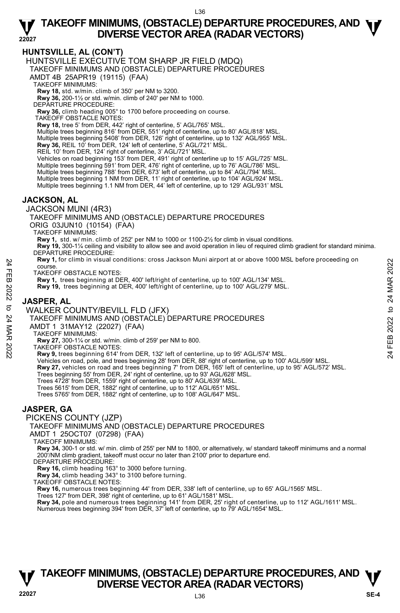#### **HUNTSVILLE, AL (CON'T)**

HUNTSVILLE EXECUTIVE TOM SHARP JR FIELD (MDQ)

TAKEOFF MINIMUMS AND (OBSTACLE) DEPARTURE PROCEDURES

AMDT 4B 25APR19 (19115) (FAA)

TAKEOFF MINIMUMS:

**Rwy 18,** std. w/min. climb of 350' per NM to 3200. **Rwy 36,** 200-1½ or std. w/min. climb of 240' per NM to 1000.

DEPARTURE PROCEDURE:

**Rwy 36,** climb heading 005° to 1700 before proceeding on course.

TAKEOFF OBSTACLE NOTES:

**Rwy 18,** tree 5' from DER, 442' right of centerline, 5' AGL/765' MSL.

Multiple trees beginning 816' from DER, 551' right of centerline, up to 80' AGL/818' MSL.

Multiple trees beginning 5408' from DER, 126' right of centerline, up to 132' AGL/955' MSL.<br>**Rwy 36,** REIL 10' from DER, 124' left of centerline, 5' AGL/721' MSL.

REIL 10' from DER, 124' right of centerline, 3' AGL/721' MSL.

Vehicles on road beginning 153' from DER, 491' right of centerline up to 15' AGL/725' MSL. Multiple trees beginning 591' from DER, 476' right of centerline, up to 76' AGL/786' MSL.

Multiple trees beginning 788' from DER, 673' left of centerline, up to 84' AGL/794' MSL.

Multiple trees beginning 1 NM from DER, 11' right of centerline, up to 104' AGL/924' MSL.

Multiple trees beginning 1.1 NM from DER, 44' left of centerline, up to 129' AGL/931' MSL

#### **JACKSON, AL**

JACKSON MUNI (4R3)

TAKEOFF MINIMUMS AND (OBSTACLE) DEPARTURE PROCEDURES

ORIG 03JUN10 (10154) (FAA)

TAKEOFF MINIMUMS:

**Rwy 1,** std. w/ min. climb of 252' per NM to 1000 or 1100-2½ for climb in visual conditions.

**Rwy 19,** 300-1¼ ceiling and visibility to allow see and avoid operation in lieu of required climb gradient for standard minima. DEPARTURE PROCEDURE:

**Rwy 1,** for climb in visual conditions: cross Jackson Muni airport at or above 1000 MSL before proceeding on course. Note:<br>
THE TAKEOFF OBSTACLE NOTES:<br>
TAKEOFF OBSTACLE NOTES:<br>
RW 1, trees beginning at DER, 400' left/right of centerline, up to 100' AGL/134' MSL.<br>
22 RW 19, trees beginning at DER, 400' left/right of centerline, up to 10

TAKEOFF OBSTACLE NOTES:

**Rwy 1,** trees beginning at DER, 400' left/right of centerline, up to 100' AGL/134' MSL.

**Rwy 19,** trees beginning at DER, 400' left/right of centerline, up to 100' AGL/279' MSL.

#### **JASPER, AL**

WALKER COUNTY/BEVILL FLD (JFX)

TAKEOFF MINIMUMS AND (OBSTACLE) DEPARTURE PROCEDURES

AMDT 1 31MAY12 (22027) (FAA)

TAKEOFF MINIMUMS:

**Rwy 27,** 300-1¼ or std. w/min. climb of 259' per NM to 800.

TAKEOFF OBSTACLE NOTES:

**Rwy 9,** trees beginning 614' from DER, 132' left of centerline, up to 95' AGL/574' MSL.

Vehicles on road, pole, and trees beginning 28' from DER, 88' right of centerline, up to 100' AGL/599' MSL.

- **Rwy 27,** vehicles on road and trees beginning 7' from DER, 165' left of centerline, up to 95' AGL/572' MSL.<br>Trees beginning 55' from DER, 24' right of centerline, up to 93' AGL/628' MSL.
- 

Trees 4728' from DER, 1559' right of centerline, up to 80' AGL/639' MSL.

Trees 5615' from DER, 1882' right of centerline, up to 112' AGL/651' MSL.

Trees 5765' from DER, 1882' right of centerline, up to 108' AGL/647' MSL.

#### **JASPER, GA**

PICKENS COUNTY (JZP)

TAKEOFF MINIMUMS AND (OBSTACLE) DEPARTURE PROCEDURES

AMDT 1 25OCT07 (07298) (FAA)

TAKEOFF MINIMUMS:

**Rwy 34,** 300-1 or std. w/ min. climb of 255' per NM to 1800, or alternatively, w/ standard takeoff minimums and a normal 200'/NM climb gradient, takeoff must occur no later than 2100' prior to departure end.

DEPARTURE PROCEDURE:

**Rwy 16,** climb heading 163° to 3000 before turning.

**Rwy 34,** climb heading 343° to 3100 before turning.

TAKEOFF OBSTACLE NOTES:

**Rwy 16,** numerous trees beginning 44' from DER, 338' left of centerline, up to 65' AGL/1565' MSL.

Trees 127' from DER, 398' right of centerline, up to 61' AGL/1581' MSL.

**Rwy 34,** pole and numerous trees beginning 141' from DER, 25' right of centerline, up to 112' AGL/1611' MSL.<br>Numerous trees beginning 394' from DER, 37' left of centerline, up to 79' AGL/1654' MSL.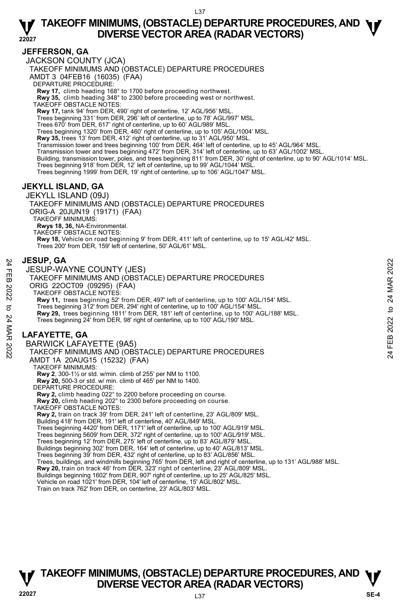#### **JEFFERSON, GA**

JACKSON COUNTY (JCA)

TAKEOFF MINIMUMS AND (OBSTACLE) DEPARTURE PROCEDURES

AMDT 3 04FEB16 (16035) (FAA)

DEPARTURE PROCEDURE:

**Rwy 17,** climb heading 168° to 1700 before proceeding northwest.

**Rwy 35,** climb heading 348° to 2300 before proceeding west or northwest.

TAKEOFF OBSTACLE NOTES:

**Rwy 17,** tank 94' from DER, 490' right of centerline, 12' AGL/956' MSL.

Trees beginning 331' from DER, 296' left of centerline, up to 78' AGL/997' MSL.

Trees 670' from DER, 617' right of centerline, up to 60' AGL/989' MSL.

Trees beginning 1320' from DER, 460' right of centerline, up to 105' AGL/1004' MSL.<br>**Rwy 35,** trees 13' from DER, 412' right of centerline, up to 31' AGL/950' MSL.

Transmission tower and trees beginning 100' from DER, 464' left of centerline, up to 45' AGL/964' MSL.

Transmission tower and trees beginning 472' from DER, 314' left of centerline, up to 63' AGL/1002' MSL.

Building, transmission tower, poles, and trees beginning 811' from DER, 30' right of centerline, up to 90' AGL/1014' MSL.

Trees beginning 918' from DER, 12' left of centerline, up to 99' AGL/1044' MSL.

Trees beginning 1999' from DER, 19' right of centerline, up to 106' AGL/1047' MSL.

#### **JEKYLL ISLAND, GA**

JEKYLL ISLAND (09J) TAKEOFF MINIMUMS AND (OBSTACLE) DEPARTURE PROCEDURES ORIG-A 20JUN19 (19171) (FAA) TAKEOFF MINIMUMS: **Rwys 18, 36,** NA-Environmental. TAKEOFF OBSTACLE NOTES: **Rwy 18,** Vehicle on road beginning 9' from DER, 411' left of centerline, up to 15' AGL/42' MSL. Trees 200' from DER, 159' left of centerline, 50' AGL/61' MSL.

#### **JESUP, GA**

JESUP-WAYNE COUNTY (JES) TAKEOFF MINIMUMS AND (OBSTACLE) DEPARTURE PROCEDURES ORIG 22OCT09 (09295) (FAA) TAKEOFF OBSTACLE NOTES: **Rwy 11,** trees beginning 52' from DER, 497' left of centerline, up to 100' AGL/154' MSL. Trees beginning 312' from DER, 294' right of centerline, up to 100' AGL/154' MSL. **Rwy 29,** trees beginning 1811' from DER, 181' left of centerline, up to 100' AGL/188' MSL.<br>Trees beginning 24' from DER, 98' right of centerline, up to 100' AGL/190' MSL. **LAFAYETTE, GA**  BARWICK LAFAYETTE (9A5) TAKEOFF MINIMUMS AND (OBSTACLE) DEPARTURE PROCEDURES AMDT 1A 20AUG15 (15232) (FAA) TAKEOFF MINIMUMS: **Rwy 2**, 300-1½ or std. w/min. climb of 255' per NM to 1100. **Rwy 20,** 500-3 or std. w/ min. climb of 465' per NM to 1400. DEPARTURE PROCEDURE **Rwy 2,** climb heading 022° to 2200 before proceeding on course. **Rwy 20,** climb heading 202° to 2300 before proceeding on course. TAKEOFF OBSTACLE NOTES: **Rwy 2,** train on track 39' from DER, 241' left of centerline, 23' AGL/809' MSL. Building 418' from DER, 191' left of centerline, 40' AGL/849' MSL. Trees beginning 4420' from DER, 1171' left of centerline, up to 100' AGL/919' MSL. Trees beginning 5609' from DER, 372' right of centerline, up to 100' AGL/919' MSL. Trees beginning 12' from DER, 275' left of centerline, up to 83' AGL/879' MSL. Buildings beginning 302' from DER, 164' left of centerline, up to 40' AGL/813' MSL. Trees beginning 39' from DER, 432' right of centerline, up to 83' AGL/856' MSL. Trees, buildings, and windmills beginning 765' from DER, left and right of centerline, up to 131' AGL/988' MSL. **Rwy 20,** train on track 46' from DER, 323' right of centerline, 23' AGL/809' MSL. Buildings beginning 1602' from DER, 907' right of centerline, up to 25' AGL/825' MSL. Vehicle on road 1021' from DER, 104' left of centerline, 15' AGL/802' MSL. 24 **JESUP, GA**<br>
THE SUP-WAYNE COUNTY (JES)<br>
TAKEOFF MINIMUMS AND (OBSTACLE) DEPARTURE PROCEDURES<br>
ORIG 22OCT09 (09295) (FAA)<br>
TAKEOFF OBSTACLE NOTES:<br>
RW 11, trees beginning 52<sup>r</sup> from DER, 294' right of centerline, up t

Train on track 762' from DER, on centerline, 23' AGL/803' MSL.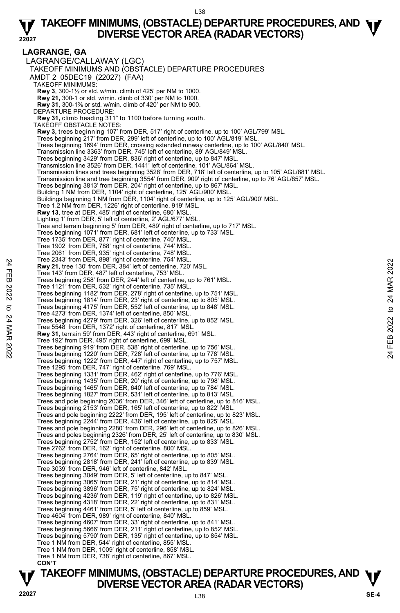#### **LAGRANGE, GA**  LAGRANGE/CALLAWAY (LGC) TAKEOFF MINIMUMS AND (OBSTACLE) DEPARTURE PROCEDURES AMDT 2 05DEC19 (22027) (FAA) TAKEOFF MINIMUMS: **Rwy 3**, 300-1½ or std. w/min. climb of 425' per NM to 1000. **Rwy 21,** 300-1 or std. w/min. climb of 330' per NM to 1000. **Rwy 31,** 300-1⅜ or std. w/min. climb of 420' per NM to 900. DEPARTURE PROCEDURE: **Rwy 31,** climb heading 311° to 1100 before turning south. TAKEOFF OBSTACLE NOTES: **Rwy 3,** trees beginning 107' from DER, 517' right of centerline, up to 100' AGL/799' MSL. Trees beginning 217' from DER, 299' left of centerline, up to 100' AGL/819' MSL. Trees beginning 1694' from DER, crossing extended runway centerline, up to 100' AGL/840' MSL. Transmission line 3363' from DER, 745' left of centerline, 89' AGL/849' MSL. Trees beginning 3429' from DER, 836' right of centerline, up to 847' MSL. Transmission line 3526' from DER, 1441' left of centerline, 101' AGL/864' MSL. Transmission lines and trees beginning 3528' from DER, 718' left of centerline, up to 105' AGL/881' MSL. Transmission line and tree beginning 3554' from DER, 909' right of centerline, up to 76' AGL/857' MSL. Trees beginning 3813' from DER, 204' right of centerline, up to 867' MSL. Building 1 NM from DER, 1104' right of centerline, 125' AGL/900' MSL. Buildings beginning 1 NM from DER, 1104' right of centerline, up to 125' AGL/900' MSL. Tree 1.2 NM from DER, 1226' right of centerline, 919' MSL. **Rwy 13**, tree at DER, 485' right of centerline, 680' MSL. Lighting 1' from DER, 5' left of centerline, 2' AGL/677' MSL. Tree and terrain beginning 5' from DER, 489' right of centerline, up to 717' MSL. Trees beginning 1071' from DER, 681' left of centerline, up to 733' MSL. Tree 1735' from DER, 877' right of centerline, 740' MSL. Tree 1902' from DER, 788' right of centerline, 744' MSL. Tree 2061' from DER, 935' right of centerline, 748' MSL. Tree 2343' from DER, 898' right of centerline, 754' MSL. **Rwy 21,** tree 130' from DER, 384' left of centerline, 720' MSL. Tree 143' from DER, 487' left of centerline, 753' MSL. Trees beginning 258' from DER, 244' left of centerline, up to 761' MSL. Tree 1121' from DER, 532' right of centerline, 735' MSL. Trees beginning 1182' from DER, 278' right of centerline, up to 751' MSL. Trees beginning 1814' from DER, 23' right of centerline, up to 805' MSL. Trees beginning 4175' from DER, 552' left of centerline, up to 848' MSL. Tree 4273' from DER, 1374' left of centerline, 850' MSL. Trees beginning 4279' from DER, 326' left of centerline, up to 852' MSL. Tree 5548' from DER, 1372' right of centerline, 817' MSL. **Rwy 31,** terrain 59' from DER, 443' right of centerline, 691' MSL. Tree 192' from DER, 495' right of centerline, 699' MSL. Trees beginning 919' from DER, 538' right of centerline, up to 756' MSL. Trees beginning 1220' from DER, 728' left of centerline, up to 778' MSL. Trees beginning 1222' from DER, 447' right of centerline, up to 757' MSL. Tree 1295' from DER, 747' right of centerline, 769' MSL. Trees beginning 1331' from DER, 462' right of centerline, up to 776' MSL. Trees beginning 1435' from DER, 20' right of centerline, up to 798' MSL. Trees beginning 1465' from DER, 640' left of centerline, up to 784' MSL. Trees beginning 1827' from DER, 531' left of centerline, up to 813' MSL. Trees and pole beginning 2036' from DER, 346' left of centerline, up to 816' MSL. Trees beginning 2153' from DER, 165' left of centerline, up to 822' MSL. Trees and pole beginning 2222' from DER, 195' left of centerline, up to 823' MSL. Trees beginning 2244' from DER, 436' left of centerline, up to 825' MSL. Trees and pole beginning 2280' from DER, 296' left of centerline, up to 826' MSL. Trees and poles beginning 2326' from DER, 25' left of centerline, up to 830' MSL. Trees beginning 2752' from DER, 152' left of centerline, up to 833' MSL. Tree 2762' from DER, 162' right of centerline, 800' MSL. Trees beginning 2764' from DER, 65' right of centerline, up to 805' MSL. Trees beginning 2818' from DER, 241' left of centerline, up to 839' MSL. Tree 3039' from DER, 946' left of centerline, 842' MSL. Trees beginning 3049' from DER, 5' left of centerline, up to 847' MSL. Trees beginning 3065' from DER, 21' right of centerline, up to 814' MSL. Trees beginning 3896' from DER, 75' right of centerline, up to 824' MSL. Trees beginning 4236' from DER, 119' right of centerline, up to 826' MSL. Trees beginning 4318' from DER, 22' right of centerline, up to 831' MSL. Trees beginning 4461' from DER, 5' left of centerline, up to 859' MSL. Tree 4604' from DER, 989' right of centerline, 840' MSL. Trees beginning 4607' from DER, 33' right of centerline, up to 841' MSL. Trees beginning 5666' from DER, 211' right of centerline, up to 852' MSL. Trees beginning 5790' from DER, 135' right of centerline, up to 854' MSL. Tree 1 NM from DER, 544' right of centerline, 855' MSL. Tree 1 NM from DER, 1009' right of centerline, 858' MSL. Tree 1 NM from DER, 738' right of centerline, 867' MSL.  **CON'T**  Free 2343 from DER, 898 right of centerline, 7.29 MSL.<br> **Ewy 24**, tree 130' from DER, 384' left of centerline, 753' MSL.<br>
Tree 143' from DER, 487' left of centerline, 753' MSL.<br>
Trees beginning 268' from DER, 278' right o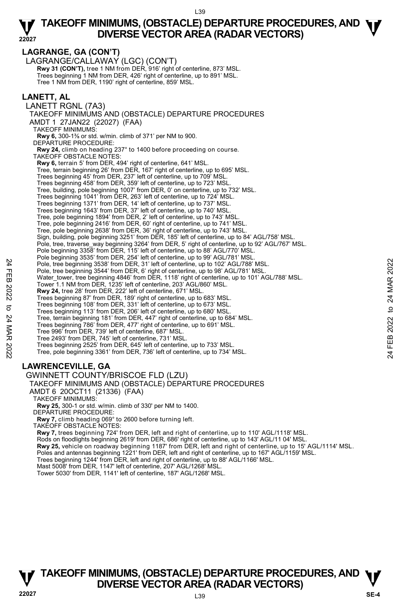**LAGRANGE, GA (CON'T)**  LAGRANGE/CALLAWAY (LGC) (CON'T) **Rwy 31 (CON'T), tree 1 NM from DER, 916' right of centerline, 873' MSL.** Trees beginning 1 NM from DER, 426' right of centerline, up to 891' MSL. Tree 1 NM from DER, 1190' right of centerline, 859' MSL. **LANETT, AL**  LANETT RGNL (7A3) TAKEOFF MINIMUMS AND (OBSTACLE) DEPARTURE PROCEDURES AMDT 1 27JAN22 (22027) (FAA) TAKEOFF MINIMUMS: **Rwy 6,** 300-1⅜ or std. w/min. climb of 371' per NM to 900. DEPARTURE PROCEDURE:  **Rwy 24,** climb on heading 237° to 1400 before proceeding on course. TAKEOFF OBSTACLE NOTES: **Rwy 6,** terrain 5' from DER, 494' right of centerline, 641' MSL.<br>Tree, terrain beginning 26' from DER, 167' right of centerline, up to 695' MSL. Trees beginning 45' from DER, 237' left of centerline, up to 709' MSL. Trees beginning 458' from DER, 359' left of centerline, up to 723' MSL. Tree, building, pole beginning 1007' from DER, 0' on centerline, up to 732' MSL. Trees beginning 1041' from DER, 263' left of centerline, up to 724' MSL. Trees beginning 1371' from DER, 14' left of centerline, up to 737' MSL. Trees beginning 1643' from DER, 37' left of centerline, up to 740' MSL. Tree, pole beginning 1894' from DER, 2' left of centerline, up to 743' MSL. Tree, pole beginning 2416' from DER, 60' right of centerline, up to 741' MSL. Tree, pole beginning 2638' from DER, 36' right of centerline, up to 743' MSL.<br>Sign, building, pole beginning 3251' from DER, 185' left of centerline, up to 84' AGL/758' MSL. Pole, tree, traverse\_way beginning 3264' from DER, 5' right of centerline, up to 92' AGL/767' MSL. Pole beginning 3358' from DER, 115' left of centerline, up to 88' AGL/770' MSL. Pole beginning 3535' from DER, 254' left of centerline, up to 99' AGL/781' MSL. Pole, tree beginning 3538' from DER, 31' left of centerline, up to 102' AGL/788' MSL. Pole, tree beginning 3544' from DER, 6' right of centerline, up to 98' AGL/781' MSL. Water\_tower, tree beginning 4846' from DER, 1118' right of centerline, up to 101' AGL/788' MSL.<br>Tower 1.1 NM from DER, 1235' left of centerline, 203' AGL/860' MSL. **Rwy 24,** tree 28' from DER, 222' left of centerline, 671' MSL. Trees beginning 87' from DER, 189' right of centerline, up to 683' MSL. Trees beginning 108' from DER, 331' left of centerline, up to 673' MSL. Trees beginning 113' from DER, 206' left of centerline, up to 680' MSL. Tree, terrain beginning 181' from DER, 447' right of centerline, up to 684' MSL. Trees beginning 786' from DER, 477' right of centerline, up to 691' MSL. Tree 996' from DER, 739' left of centerline, 687' MSL. Tree 2493' from DER, 745' left of centerline, 731' MSL. Trees beginning 2525' from DER, 645' left of centerline, up to 733' MSL. Tree, pole beginning 3361' from DER, 736' left of centerline, up to 734' MSL. **LAWRENCEVILLE, GA**  GWINNETT COUNTY/BRISCOE FLD (LZU) TAKEOFF MINIMUMS AND (OBSTACLE) DEPARTURE PROCEDURES AMDT 6 20OCT11 (21336) (FAA) Pole, tree beginning 3538 from DER, 31° left of centerline, up to 102' AGL/788' MSL.<br>
Pole, tree beginning 3538 from DER, 6' right of centerline, up to 38' AGL/788' MSL.<br>
Water\_tower, tree beginning 4846' from DER, 1118'

TAKEOFF MINIMUMS:

**Rwy 25,** 300-1 or std. w/min. climb of 330' per NM to 1400.

DEPARTURE PROCEDURE

**Rwy 7,** climb heading 069° to 2600 before turning left.

TAKEOFF OBSTACLE NOTES:

**Rwy 7,** trees beginning 724' from DER, left and right of centerline, up to 110' AGL/1118' MSL. Rods on floodlights beginning 2619' from DER, 686' right of centerline, up to 143' AGL/11 04' MSL.<br>**Rwy 25,** vehicle on roadway beginning 1187' from DER, left and right of centerline, up to 15' AGL/1114' MSL. Poles and antennas beginning 1221' from DER, left and right of centerline, up to 167' AGL/1159' MSL. Trees beginning 1244' from DER, left and right of centerline, up to 88' AGL/1166' MSL. Mast 5008' from DER, 1147' left of centerline, 207' AGL/1268' MSL. Tower 5030' from DER, 1141' left of centerline, 187' AGL/1268' MSL.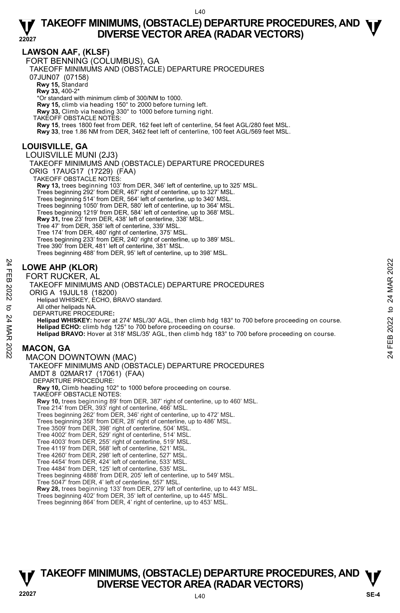#### **LAWSON AAF, (KLSF)**

FORT BENNING (COLUMBUS), GA

TAKEOFF MINIMUMS AND (OBSTACLE) DEPARTURE PROCEDURES

07JUN07 (07158)

**Rwy 15,** Standard

**Rwy 33,** 400-2\*

\*Or standard with minimum climb of 300/NM to 1000.

**Rwy 15,** climb via heading 150° to 2000 before turning left.

**Rwy 33,** Climb via heading 330° to 1000 before turning right.

TAKEOFF OBSTACLE NOTES:

**Rwy 15**, trees 1800 feet from DER, 162 feet left of centerline, 54 feet AGL/280 feet MSL.

**Rwy 33**, tree 1.86 NM from DER, 3462 feet left of centerline, 100 feet AGL/569 feet MSL.

#### **LOUISVILLE, GA**

#### LOUISVILLE MUNI (2J3)

TAKEOFF MINIMUMS AND (OBSTACLE) DEPARTURE PROCEDURES ORIG 17AUG17 (17229) (FAA)

TAKEOFF OBSTACLE NOTES

**Rwy 13,** trees beginning 103' from DER, 346' left of centerline, up to 325' MSL.<br>Trees beginning 292' from DER, 467' right of centerline, up to 327' MSL.<br>Trees beginning 514' from DER, 564' left of centerline, up to 340' Trees beginning 1050' from DER, 580' left of centerline, up to 364' MSL. Trees beginning 1219' from DER, 584' left of centerline, up to 368' MSL. **Rwy 31,** tree 23' from DER, 438' left of centerline, 338' MSL. Tree 47' from DER, 358' left of centerline, 339' MSL. Tree 174' from DER, 480' right of centerline, 375' MSL. Trees beginning 233' from DER, 240' right of centerline, up to 389' MSL. Tree 390' from DER, 481' left of centerline, 381' MSL. Trees beginning 488' from DER, 95' left of centerline, up to 398' MSL.

#### **LOWE AHP (KLOR)**

FORT RUCKER, AL

#### TAKEOFF MINIMUMS AND (OBSTACLE) DEPARTURE PROCEDURES ORIG A 19JUL18 (18200) Helipad WHISKEY, ECHO, BRAVO standard. All other helipads NA. DEPARTURE PROCEDURE**: Helipad WHISKEY:** hover at 274' MSL/30' AGL, then climb hdg 183° to 700 before proceeding on course. **Helipad ECHO:** climb hdg 125° to 700 before proceeding on course. **Helipad BRAVO:** Hover at 318' MSL/35' AGL, then climb hdg 183° to 700 before proceeding on course. **MACON, GA**  MACON DOWNTOWN (MAC) TAKEOFF MINIMUMS AND (OBSTACLE) DEPARTURE PROCEDURES AMDT 8 02MAR17 (17061) (FAA) **24**<br> **EORT RUCKER, AL**<br> **EORT RUCKER, AL**<br>
TAKEOFF MINIMUMS AND (OBSTACLE) DEPARTURE PROCEDURES<br>
ORIG A 19JUL18 (18200)<br>
Helipad WHSKEY, ECHO, BRAVO standard.<br>
All other helipads NA.<br>
All other helipads NA.<br>
All other he

DEPARTURE PROCEDURE **Rwy 10,** Climb heading 102° to 1000 before proceeding on course. TAKEOFF OBSTACLE NOTES: **Rwy 10,** trees beginning 89' from DER, 387' right of centerline, up to 460' MSL. Tree 214' from DER, 393' right of centerline, 466' MSL. Trees beginning 262' from DER, 346' right of centerline, up to 472' MSL. Trees beginning 358' from DER, 28' right of centerline, up to 486' MSL. Tree 3509' from DER, 398' right of centerline, 504' MSL. Tree 4002' from DER, 529' right of centerline, 514' MSL. Tree 4003' from DER, 255' right of centerline, 519' MSL. Tree 4119' from DER, 568' left of centerline, 521' MSL. Tree 4260' from DER, 298' left of centerline, 527' MSL. Tree 4454' from DER, 424' left of centerline, 533' MSL. Tree 4484' from DER, 125' left of centerline, 535' MSL. Trees beginning 4888' from DER, 205' left of centerline, up to 549' MSL. Tree 5047' from DER, 4' left of centerline, 557' MSL. **Rwy 28,** trees beginning 133' from DER, 279' left of centerline, up to 443' MSL. Trees beginning 402' from DER, 35' left of centerline, up to 445' MSL. Trees beginning 864' from DER, 4' right of centerline, up to 453' MSL.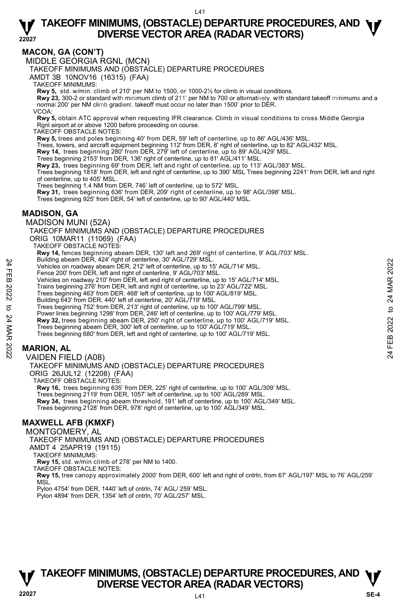#### **MACON, GA (CON'T)**

MIDDLE GEORGIA RGNL (MCN)

TAKEOFF MINIMUMS AND (OBSTACLE) DEPARTURE PROCEDURES

AMDT 3B 10NOV16 (16315) (FAA)

TAKEOFF MINIMUMS:

**Rwy 5,** std. w/min. climb of 210' per NM to 1500, or 1000-2½ for climb in visual conditions.

**Rwy 23,** 300-2 or standard with minimum climb of 211' per NM to 700 or alternatively, with standard takeoff minimums and a normal 200' per NM climb gradient, takeoff must occur no later than 1500' prior to DER.

VCOA:

**Rwy 5,** obtain ATC approval when requesting IFR clearance. Climb in visual conditions to cross Middle Georgia Rgnl airport at or above 1200 before proceeding on course.

TAKEOFF OBSTACLE NOTES:

**Rwy 5,** trees and poles beginning 40' from DER, 59' left of centerline, up to 86' AGL/436' MSL.

Trees, towers, and aircraft equipment beginning 112' from DER, 8' right of centerline, up to 82' AGL/432' MSL.

**Rwy 14,** trees beginning 280' from DER, 279' left of centerline, up to 89' AGL/429' MSL.

Trees beginning 2153' from DER, 136' right of centerline, up to 81' AGL/411' MSL.<br>**Rwy 23,** trees beginning 69' from DER, left and right of centerline, up to 113' AGL/383' MSL.

Trees beginning 1818' from DER, left and right of centerline, up to 390' MSL Trees beginning 2241' from DER, left and right of centerline, up to 405' MSL.

Trees beginning 1.4 NM from DER, 746' left of centerline, up to 572' MSL.

**Rwy 31,** trees beginning 636' from DER, 209' right of centerline, up to 98' AGL/398' MSL. Trees beginning 925' from DER, 54' left of centerline, up to 90' AGL/440' MSL.

#### **MADISON, GA**

MADISON MUNI (52A)

TAKEOFF MINIMUMS AND (OBSTACLE) DEPARTURE PROCEDURES ORIG 10MAR11 (11069) (FAA) TAKEOFF OBSTACLE NOTES: **Rwy 14,** fences beginning abeam DER, 130' left and 269' right of centerline, 9' AGL/703' MSL.<br>Building abeam DER, 424' right of centerline, 30' AGL/729' MSL. Vehicles on roadway abeam DER, 212' left of centerline, up to 15' AGL/714' MSL. bulling abeam DER, 424 Fight of center ine, up to 15' ASL/24' MSL.<br>
Yehicles on roadway abeam DER, 212' left of centerline, up to 15' AGL/714' MSL.<br>
Yehicles on roadway 2010' from DER, left and right of centerline, up to

Fence 200' from DER, left and right of centerline, 9' AGL/703' MSL. Vehicles on roadway 210' from DER, left and right of centerline, up to 15' AGL/714' MSL.

Trains beginning 276' from DER, left and right of centerline, up to 23' AGL/722' MSL.

Trees beginning 463' from DER. 468' left of centerline, up to 100' AGL/819' MSL.

Building 643' from DER, 440' left of centerline, 20' AGL/719' MSL.

Trees beginning 752' from DER, 213' right of centerline, up to 100' AGL/799' MSL.

Power lines beginning 1298' from DER, 246' left of centerline, up to 100' AGL/779' MSL.

**Rwy 32,** trees beginning abeam DER, 250' right of centerline, up to 100' AGL/719' MSL.<br>Trees beginning abeam DER, 300' left of centerline, up to 100' AGL/719' MSL.

Trees beginning 680' from DER, left and right of centerline, up to 100' AGL/719' MSL.

### **MARION, AL**

VAIDEN FIELD (A08) TAKEOFF MINIMUMS AND (OBSTACLE) DEPARTURE PROCEDURES ORIG 26JUL12 (12208) (FAA) TAKEOFF OBSTACLE NOTES:

**Rwy 16,** trees beginning 635' from DER, 225' right of centerline, up to 100' AGL/309' MSL. Trees beginning 2119' from DER, 1057' left of centerline, up to 100' AGL/289' MSL. **Rwy 34,** trees beginning abeam threshold, 191' left of centerline, up to 100' AGL/349' MSL. Trees beginning 2128' from DER, 978' right of centerline, up to 100' AGL/349' MSL.

#### **MAXWELL AFB (KMXF)**

MONTGOMERY, AL

TAKEOFF MINIMUMS AND (OBSTACLE) DEPARTURE PROCEDURES

AMDT 4 25APR19 (19115)

TAKEOFF MINIMUMS:

**Rwy 15,** std. w/min climb of 278' per NM to 1400. TAKEOFF OBSTACLE NOTES:

**Rwy 15,** tree canopy approximately 2000' from DER, 600' left and right of cntrln, from 67' AGL/197' MSL to 76' AGL/259' MSL.

Pylon 4754' from DER, 1440' left of cntrln, 74' AGL/ 259' MSL.

Pylon 4894' from DER, 1354' left of cntrln, 70' AGL/257' MSL.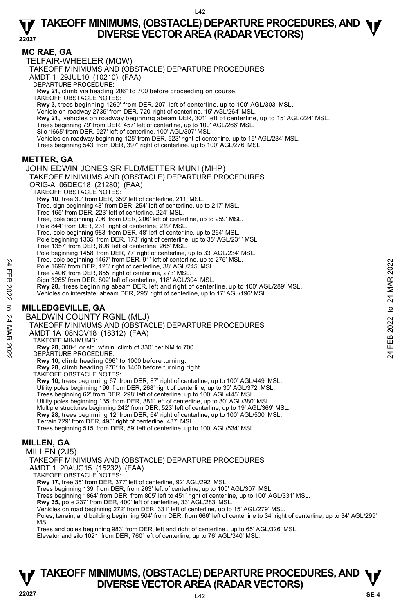#### **MC RAE, GA**

TELFAIR-WHEELER (MQW)

TAKEOFF MINIMUMS AND (OBSTACLE) DEPARTURE PROCEDURES

AMDT 1 29JUL10 (10210) (FAA)

DEPARTURE PROCEDURE:

**Rwy 21,** climb via heading 206° to 700 before proceeding on course. TAKEOFF OBSTACLE NOTES:

**Rwy 3,** trees beginning 1260' from DER, 207' left of centerline, up to 100' AGL/303' MSL.

Vehicle on roadway 2735' from DER, 720' right of centerline, 15' AGL/264' MSL.

**Rwy 21,** vehicles on roadway beginning abeam DER, 301' left of centerline, up to 15' AGL/224' MSL.<br>Trees beginning 79' from DER, 457' left of centerline, up to 100' AGL/266' MSL.

Silo 1665' from DER, 927' left of centerline, 100' AGL/307' MSL.

Vehicles on roadway beginning 125' from DER, 523' right of centerline, up to 15' AGL/234' MSL.<br>Trees beginning 543' from DER, 397' right of centerline, up to 100' AGL/276' MSL.

#### **METTER, GA**

JOHN EDWIN JONES SR FLD/METTER MUNI (MHP)

TAKEOFF MINIMUMS AND (OBSTACLE) DEPARTURE PROCEDURES ORIG-A 06DEC18 (21280) (FAA) TAKEOFF OBSTACLE NOTES: **Rwy 10**, tree 30' from DER, 359' left of centerline, 211' MSL. Tree, sign beginning 48' from DER, 254' left of centerline, up to 217' MSL. Tree 165' from DER, 223' left of centerline, 224' MSL.

Tree, pole beginning 706' from DER, 206' left of centerline, up to 259' MSL.

Pole 844' from DER, 231' right of centerline, 219' MSL.

Tree, pole beginning 983' from DER, 48' left of centerline, up to 264' MSL. Pole beginning 1335' from DER, 173' right of centerline, up to 35' AGL/231' MSL.

Tree 1357' from DER, 808' left of centerline, 265' MSL.

Pole beginning 1458' from DER, 77' right of centerline, up to 33' AGL/234' MSL.

Tree, pole beginning 1467' from DER, 91' left of centerline, up to 275' MSL.

Pole 1696' from DER, 123' right of centerline, 38' AGL/245' MSL.

Tree 2406' from DER, 855' right of centerline, 273' MSL.

Sign 3265' from DER, 802' left of centerline, 118' AGL/304' MSL.

**Rwy 28,** trees beginning abeam DER, left and right of centerline, up to 100' AGL/289' MSL. Pole 1986 if om DER, 123 right of centerline, 38' AGL/245' MSL.<br>
Pole 1996' from DER, 855' right of centerline, 38' AGL/245' MSL.<br>
Tree 2406' from DER, 852' left of centerline, 173' MSL.<br>
Sign 3265' from DER, 802' left of

Vehicles on interstate, abeam DER, 295' right of centerline, up to 17' AGL/196' MSL.

#### **MILLEDGEVILLE, GA**

BALDWIN COUNTY RGNL (MLJ)

TAKEOFF MINIMUMS AND (OBSTACLE) DEPARTURE PROCEDURES

AMDT 1A 08NOV18 (18312) (FAA)

TAKEOFF MINIMUMS:

**Rwy 28,** 300-1 or std. w/min. climb of 330' per NM to 700. DEPARTURE PROCEDURE:

**Rwy 10,** climb heading 096° to 1000 before turning.

**Rwy 28,** climb heading 276° to 1400 before turning right. TAKEOFF OBSTACLE NOTES:

**Rwy 10,** trees beginning 67' from DER, 87' right of centerline, up to 100' AGL/449' MSL. Utility poles beginning 196' from DER, 268' right of centerline, up to 30' AGL/372' MSL. Trees beginning 62' from DER, 298' left of centerline, up to 100' AGL/445' MSL. Utility poles beginning 135' from DER, 381' left of centerline, up to 30' AGL/380' MSL. Multiple structures beginning 242' from DER, 523' left of centerline, up to 19' AGL/369' MSL. **Rwy 28,** trees beginning 12' from DER, 64' right of centerline, up to 100' AGL/500' MSL.<br>Terrain 729' from DER, 495' right of centerline, 437' MSL. Trees beginning 515' from DER, 59' left of centerline, up to 100' AGL/534' MSL.

#### **MILLEN, GA**

MILLEN (2J5)

TAKEOFF MINIMUMS AND (OBSTACLE) DEPARTURE PROCEDURES

AMDT 1 20AUG15 (15232) (FAA)

TAKEOFF OBSTACLE NOTES:

**Rwy 17,** tree 35' from DER, 377' left of centerline, 92' AGL/292' MSL.

Trees beginning 139' from DER, from 263' left of centerline, up to 100' AGL/307' MSL.

Trees beginning 1864' from DER, from 805' left to 451' right of centerline, up to 100' AGL/331' MSL.

**Rwy 35,** pole 237' from DER, 400' left of centerline, 33' AGL/283' MSL.

Vehicles on road beginning 272' from DER, 331' left of centerline, up to 15' AGL/279' MSL.

Poles, terrain, and building beginning 504' from DER, from 666' left of centerline to 34' right of centerline, up to 34' AGL/299' **MSL** 

Trees and poles beginning 983' from DER, left and right of centerline , up to 65' AGL/326' MSL.

Elevator and silo 1021' from DER, 760' left of centerline, up to 76' AGL/340' MSL.

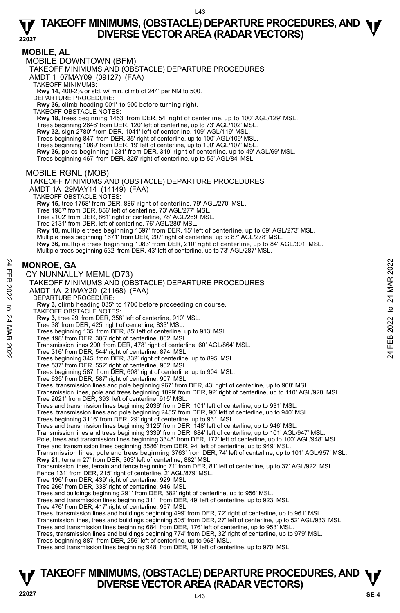#### **MOBILE, AL**

MOBILE DOWNTOWN (BFM)

TAKEOFF MINIMUMS AND (OBSTACLE) DEPARTURE PROCEDURES

AMDT 1 07MAY09 (09127) (FAA)

TAKEOFF MINIMUMS:

**Rwy 14,** 400-2¼ or std. w/ min. climb of 244' per NM to 500. DEPARTURE PROCEDURE:

**Rwy 36,** climb heading 001° to 900 before turning right.

TAKEOFF OBSTACLE NOTES:

**Rwy 18,** trees beginning 1453' from DER, 54' right of centerline, up to 100' AGL/129' MSL.<br>Trees beginning 2646' from DER, 120' left of centerline, up to 73' AGL/102' MSL.

**Rwy 32,** sign 2780' from DER, 1041' left of centerline, 109' AGL/119' MSL.

Trees beginning 847' from DER, 35' right of centerline, up to 100' AGL/109' MSL. Trees beginning 1089' from DER, 19' left of centerline, up to 100' AGL/107' MSL.

**Rwy 36,** poles beginning 1231' from DER, 319' right of centerline, up to 49' AGL/69' MSL.

Trees beginning 467' from DER, 325' right of centerline, up to 55' AGL/84' MSL.

#### MOBILE RGNL (MOB)

TAKEOFF MINIMUMS AND (OBSTACLE) DEPARTURE PROCEDURES AMDT 1A 29MAY14 (14149) (FAA) TAKEOFF OBSTACLE NOTES: **Rwy 15,** tree 1758' from DER, 886' right of centerline, 79' AGL/270' MSL.

Tree 1987' from DER, 856' left of centerline, 73' AGL/277' MSL.

Tree 2102' from DER, 861' right of centerline, 78' AGL/269' MSL.

Tree 2131' from DER, left of centerline, 76' AGL/280' MSL.

**Rwy 18,** multiple trees beginning 1597' from DER, 15' left of centerline, up to 69' AGL/273' MSL.<br>Multiple trees beginning 1671' from DER, 207' right of centerline, up to 87' AGL/278' MSL.

**Rwy 36,** multiple trees beginning 1083' from DER, 210' right of centerline, up to 84' AGL/301' MSL.

Multiple trees beginning 532' from DER, 43' left of centerline, up to 73' AGL/287' MSL.

#### **MONROE, GA**

CY NUNNALLY MEML (D73) TAKEOFF MINIMUMS AND (OBSTACLE) DEPARTURE PROCEDURES AMDT 1A 21MAY20 (21168) (FAA) DEPARTURE PROCEDURE: **Rwy 3,** climb heading 035° to 1700 before proceeding on course. TAKEOFF OBSTACLE NOTES: **Rwy 3,** tree 29' from DER, 358' left of centerline, 910' MSL. Tree 38' from DER, 425' right of centerline, 833' MSL. Trees beginning 135' from DER, 85' left of centerline, up to 913' MSL. Tree 198' from DER, 306' right of centerline, 862' MSL. Transmission lines 200' from DER, 478' right of centerline, 60' AGL/864' MSL. Tree 316' from DER, 544' right of centerline, 874' MSL. Trees beginning 345' from DER, 332' right of centerline, up to 895' MSL. Tree 537' from DER, 552' right of centerline, 902' MSL. Trees beginning 587' from DER, 608' right of centerline, up to 904' MSL. Tree 635' from DER, 587' right of centerline, 907' MSL. Trees, transmission lines and pole beginning 967' from DER, 43' right of centerline, up to 908' MSL. Transmission lines, pole and trees beginning 1899' from DER, 92' right of centerline, up to 110' AGL/928' MSL.<br>Tree 2021' from DER, 393' left of centerline, 915' MSL. Trees and transmission lines beginning 2036' from DER, 101' left of centerline, up to 931' MSL. Trees, transmission lines and pole beginning 2455' from DER, 90' left of centerline, up to 940' MSL. Trees beginning 3116' from DER, 29' right of centerline, up to 931' MSL. Trees and transmission lines beginning 3125' from DER, 148' left of centerline, up to 946' MSL. Transmission lines and trees beginning 3339' from DER, 884' left of centerline, up to 101' AGL/947' MSL. Pole, trees and transmission lines beginning 3348' from DER, 172' left of centerline, up to 100' AGL/948' MSL.<br>Tree and transmission lines beginning 3586' from DER, 94' left of centerline, up to 949' MSL. **T**ransmission lines, pole and trees beginning 3763' from DER, 74' left of centerline, up to 101' AGL/957' MSL. **Rwy 21**, terrain 27' from DER, 303' left of centerline, 882' MSL. Transmission lines, terrain and fence beginning 71' from DER, 81' left of centerline, up to 37' AGL/922' MSL. Fence 131' from DER, 215' right of centerline, 2' AGL/879' MSL. Tree 196' from DER, 439' right of centerline, 929' MSL. Tree 266' from DER, 338' right of centerline, 946' MSL. Trees and buildings beginning 291' from DER, 382' right of centerline, up to 956' MSL. Trees and transmission lines beginning 311' from DER, 49' left of centerline, up to 923' MSL. Tree 476' from DER, 417' right of centerline, 957' MSL. Trees, transmission lines and buildings beginning 499' from DER, 72' right of centerline, up to 961' MSL. Transmission lines, trees and buildings beginning 505' from DER, 27' left of centerline, up to 52' AGL/933' MSL. MONROE, GA<br>
CY NUNNALLY MEML (D73)<br>
TAKEOFF MINIMUMS AND (OBSTACLE) DEPARTURE PROCEDURES<br>
22 AMDT 1A 21MAY20 (21168) (FAA)<br>
DEPARTURE PROCEDURES<br>
22 AMDT 1A 21MAY20 (21168) (FAA)<br>
22 DEPARTURE PROCEDURES<br>
73 Twy 3, climb h

Trees and transmission lines beginning 684' from DER, 176' left of centerline, up to 953' MSL.

Trees, transmission lines and buildings beginning 774' from DER, 32' right of centerline, up to 979' MSL.

Trees beginning 887' from DER, 256' left of centerline, up to 968' MSL.

Trees and transmission lines beginning 948' from DER, 19' left of centerline, up to 970' MSL.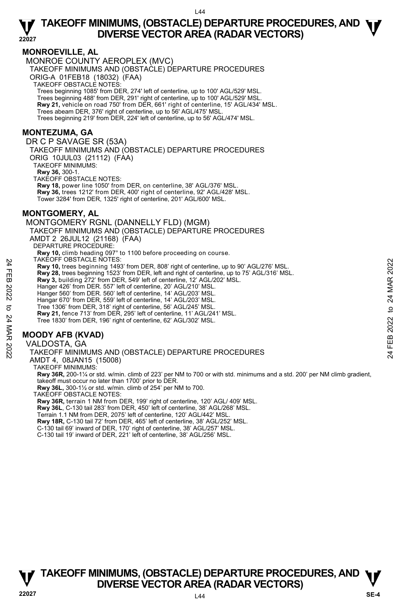#### **MONROEVILLE, AL**

MONROE COUNTY AEROPLEX (MVC)

TAKEOFF MINIMUMS AND (OBSTACLE) DEPARTURE PROCEDURES

ORIG-A 01FEB18 (18032) (FAA)

TAKEOFF OBSTACLE NOTES:

Trees beginning 1085' from DER, 274' left of centerline, up to 100' AGL/529' MSL.

Trees beginning 488' from DER, 291' right of centerline, up to 100' AGL/529' MSL. **Rwy 21,** vehicle on road 750' from DER, 661' right of centerline, 15' AGL/434' MSL.

Trees abeam DER, 376' right of centerline, up to 56' AGL/475' MSL.

Trees beginning 219' from DER, 224' left of centerline, up to 56' AGL/474' MSL.

#### **MONTEZUMA, GA**

DR C P SAVAGE SR (53A)

TAKEOFF MINIMUMS AND (OBSTACLE) DEPARTURE PROCEDURES ORIG 10JUL03 (21112) (FAA)

TAKEOFF MINIMUMS:

**Rwy 36,** 300-1.

TAKEOFF OBSTACLE NOTES:

**Rwy 18,** power line 1050' from DER, on centerline, 38' AGL/376' MSL. **Rwy 36,** trees 1212' from DER, 400' right of centerline, 92' AGL/428' MSL. Tower 3284' from DER, 1325' right of centerline, 201' AGL/600' MSL.

#### **MONTGOMERY, AL**

MONTGOMERY RGNL (DANNELLY FLD) (MGM) TAKEOFF MINIMUMS AND (OBSTACLE) DEPARTURE PROCEDURES AMDT 2 26JUL12 (21168) (FAA) DEPARTURE PROCEDURE: **Rwy 10,** climb heading 097° to 1100 before proceeding on course. TAKEOFF OBSTACLE NOTES: **Rwy 10,** trees beginning 1493' from DER, 808' right of centerline, up to 90' AGL/276' MSL. **Rwy 28,** trees beginning 1523' from DER, left and right of centerline, up to 75' AGL/316' MSL. **Rwy 3,** building 272' from DER, 549' left of centerline, 12' AGL/202' MSL. Hanger 426' from DER. 557' left of centerline, 20' AGL/210' MSL. Hanger 560' from DER. 560' left of centerline, 14' AGL/203' MSL. Hangar 670' from DER, 559' left of centerline, 14' AGL/203' MSL. Tree 1306' from DER, 318' right of centerline, 56' AGL/245' MSL. **Rwy 21,** fence 713' from DER, 295' left of centerline, 11' AGL/241' MSL. Tree 1830' from DER, 196' right of centerline, 62' AGL/302' MSL. FIARCUT-USSTACLE NOTES:<br>
THAT FROM 10, trees beginning 1493' from DER, 808' right of centerline, up to 90' AGL/276' MSL.<br>
Rwy 28, trees beginning 1523' from DER, 808' right of centerline, up to 75' AGL/316' MSL.<br>
Rwy 28, t

#### **MOODY AFB (KVAD)**

VALDOSTA, GA

TAKEOFF MINIMUMS AND (OBSTACLE) DEPARTURE PROCEDURES

AMDT 4, 08JAN15 (15008)

TAKEOFF MINIMUMS:

**Rwy 36R,** 200-1¼ or std. w/min. climb of 223' per NM to 700 or with std. minimums and a std. 200' per NM climb gradient, takeoff must occur no later than 1700' prior to DER.

**Rwy 36L,** 300-1½ or std. w/min. climb of 254' per NM to 700.

TAKEOFF OBSTACLE NOTES:

**Rwy 36R,** terrain 1 NM from DER, 199' right of centerline, 120' AGL/ 409' MSL.

**Rwy 36L**, C-130 tail 283' from DER, 450' left of centerline, 38' AGL/268' MSL.

Terrain 1.1 NM from DER, 2075' left of centerline, 120' AGL/442' MSL.

**Rwy 18R,** C-130 tail 72' from DER, 465' left of centerline, 38' AGL/252' MSL.

C-130 tail 69' inward of DER, 170' right of centerline, 38' AGL/257' MSL.

C-130 tail 19' inward of DER, 221' left of centerline, 38' AGL/256' MSL.

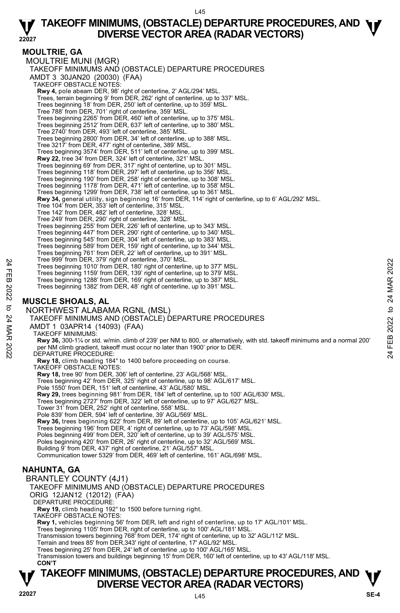#### **MOULTRIE, GA**

MOULTRIE MUNI (MGR) TAKEOFF MINIMUMS AND (OBSTACLE) DEPARTURE PROCEDURES AMDT 3 30JAN20 (20030) (FAA) TAKEOFF OBSTACLE NOTES: **Rwy 4,** pole abeam DER, 98' right of centerline, 2' AGL/294' MSL.<br>Trees, terrain beginning 9' from DER, 262' right of centerline, up to 337' MSL. Trees beginning 18' from DER, 250' left of centerline, up to 359' MSL. Tree 788' from DER, 701' right of centerline, 359' MSL. Trees beginning 2265' from DER, 460' left of centerline, up to 375' MSL. Trees beginning 2512' from DER, 637' left of centerline, up to 380' MSL. Tree 2740' from DER, 493' left of centerline, 385' MSL. Trees beginning 2800' from DER, 34' left of centerline, up to 388' MSL. Tree 3217' from DER, 477' right of centerline, 389' MSL. Trees beginning 3574' from DER, 511' left of centerline, up to 399' MSL. **Rwy 22,** tree 34' from DER, 324' left of centerline, 321' MSL. Trees beginning 69' from DER, 317' right of centerline, up to 301' MSL. Trees beginning 118' from DER, 297' left of centerline, up to 356' MSL. Trees beginning 190' from DER, 258' right of centerline, up to 308' MSL. Trees beginning 1178' from DER, 471' left of centerline, up to 358' MSL. Trees beginning 1299' from DER, 738' left of centerline, up to 361' MSL. **Rwy 34,** general utility, sign beginning 16' from DER, 114' right of centerline, up to 6' AGL/292' MSL. Tree 104' from DER, 353' left of centerline, 315' MSL. Tree 142' from DER, 482' left of centerline, 328' MSL. Tree 249' from DER, 290' right of centerline, 328' MSL. Trees beginning 255' from DER, 226' left of centerline, up to 343' MSL. Trees beginning 447' from DER, 290' right of centerline, up to 340' MSL. Trees beginning 545' from DER, 304' left of centerline, up to 383' MSL. Trees beginning 589' from DER, 159' right of centerline, up to 344' MSL. Trees beginning 761' from DER, 22' left of centerline, up to 391' MSL. Tree 999' from DER, 379' right of centerline, 370' MSL. Trees beginning 1010' from DER, 180' right of centerline, up to 377' MSL. Trees beginning 1159' from DER, 139' right of centerline, up to 379' MSL. Trees beginning 1288' from DER, 169' right of centerline, up to 387' MSL. Trees beginning 1382' from DER, 48' right of centerline, up to 391' MSL. **MUSCLE SHOALS, AL**  NORTHWEST ALABAMA RGNL (MSL) TAKEOFF MINIMUMS AND (OBSTACLE) DEPARTURE PROCEDURES AMDT 1 03APR14 (14093) (FAA) TAKEOFF MINIMUMS: **Rwy 36,** 300-1¼ or std. w/min. climb of 239' per NM to 800, or alternatively, with std. takeoff minimums and a normal 200' per NM climb gradient, takeoff must occur no later than 1900' prior to DER. DEPARTURE PROCEDURE: **Rwy 18,** climb heading 184° to 1400 before proceeding on course. TAKEOFF OBSTACLE NOTES: **Rwy 18,** tree 90' from DER, 306' left of centerline, 23' AGL/568' MSL. Trees beginning 42' from DER, 325' right of centerline, up to 98' AGL/617' MSL. Pole 1550' from DER, 151' left of centerline, 43' AGL/580' MSL. **Rwy 29,** trees beginning 981' from DER, 184' left of centerline, up to 100' AGL/630' MSL. Trees beginning 2727' from DER, 322' left of centerline, up to 97' AGL/627' MSL. Tower 31' from DER, 252' right of centerline, 558' MSL. Pole 839' from DER, 594' left of centerline, 39' AGL/569' MSL. **Rwy 36,** trees beginning 622' from DER, 89' left of centerline, up to 105' AGL/621' MSL. Trees beginning 196' from DER, 4' right of centerline, up to 73' AGL/598' MSL. Poles beginning 499' from DER, 320' left of centerline, up to 39' AGL/575' MSL. Poles beginning 420' from DER, 26' right of centerline, up to 32' AGL/569' MSL. Building 9' from DER, 437' right of centerline, 21' AGL/557' MSL. Communication tower 5329' from DER, 469' left of centerline, 161' AGL/698' MSL. **NAHUNTA, GA**  BRANTLEY COUNTY (4J1) TAKEOFF MINIMUMS AND (OBSTACLE) DEPARTURE PROCEDURES ORIG 12JAN12 (12012) (FAA) DEPARTURE PROCEDURE: **Rwy 19,** climb heading 192° to 1500 before turning right. TAKEOFF OBSTACLE NOTES: **Rwy 1,** vehicles beginning 56' from DER, left and right of centerline, up to 17' AGL/101' MSL. Trees beginning 1105' from DER, right of centerline, up to 100' AGL/181' MSL.<br>Transmission towers beginning 768' from DER, 174' right of centerline, up to 32' AGL/112' MSL. Terrain and trees 85' from DER,343' right of centerline, 17' AGL/92' MSL. Trees beginning 25' from DER, 24' left of centerline ,up to 100' AGL/165' MSL. Tree system DER, 1979 fight of centerline, up to 377 MSL.<br>
Tree seginning 1010 from DER, 180 right of centerline, up to 379 MSL.<br>
Trees beginning 1159 from DER, 189 right of centerline, up to 379 MSL.<br>
Trees beginning 1288

## **TAKEOFF MINIMUMS, (OBSTACLE) DEPARTURE PROCEDURES, AND**  $\Psi$ **<br>DIVERSE VECTOR AREA (RADAR VECTORS) DIVERSE VECTOR AREA (RADAR VECTORS) 22027 SE-4**

**CON'T**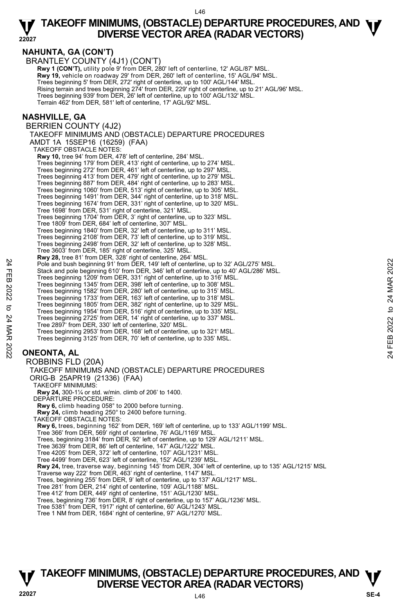#### **22027 TAKEOFF MINIMUMS, (OBSTACLE) DEPARTURE PROCEDURES, AND**  $\Psi$ **<br>DIVERSE VECTOR AREA (RADAR VECTORS) DIVERSE VECTOR AREA (RADAR VECTORS)**

**NAHUNTA, GA (CON'T)** 

BRANTLEY COUNTY (4J1) (CON'T)

**Rwy 1 (CON'T),** utility pole 9' from DER, 280' left of centerline, 12' AGL/87' MSL.  **Rwy 19,** vehicle on roadway 29' from DER, 260' left of centerline, 15' AGL/94' MSL. Trees beginning 5' from DER, 272' right of centerline, up to 100' AGL/144' MSL. Rising terrain and trees beginning 274' from DER, 229' right of centerline, up to 21' AGL/96' MSL.<br>Trees beginning 939' from DER, 26' left of centerline, up to 100' AGL/132' MSL. Terrain 462' from DER, 581' left of centerline, 17' AGL/92' MSL.

#### **NASHVILLE, GA**

BERRIEN COUNTY (4J2) TAKEOFF MINIMUMS AND (OBSTACLE) DEPARTURE PROCEDURES AMDT 1A 15SEP16 (16259) (FAA) TAKEOFF OBSTACLE NOTES: **Rwy 10,** tree 94' from DER, 478' left of centerline, 284' MSL. Trees beginning 179' from DER, 413' right of centerline, up to 274' MSL. Trees beginning 272' from DER, 461' left of centerline, up to 297' MSL. Trees beginning 413' from DER, 479' right of centerline, up to 279' MSL. Trees beginning 887' from DER, 484' right of centerline, up to 283' MSL. Trees beginning 1060' from DER, 513' right of centerline, up to 305' MSL. Trees beginning 1491' from DER, 344' right of centerline, up to 318' MSL. Trees beginning 1674' from DER, 331' right of centerline, up to 320' MSL. Tree 1698' from DER, 531' right of centerline, 321' MSL. Trees beginning 1704' from DER, 3' right of centerline, up to 323' MSL. Tree 1809' from DER, 684' left of centerline, 307' MSL. Trees beginning 1840' from DER, 32' left of centerline, up to 311' MSL. Trees beginning 2108' from DER, 73' left of centerline, up to 319' MSL. Trees beginning 2498' from DER, 32' left of centerline, up to 328' MSL. Tree 3603' from DER, 185' right of centerline, 325' MSL. **Rwy 28,** tree 81' from DER, 328' right of centerline, 264' MSL.<br>Pole and bush beginning 91' from DER, 149' left of centerline, up to 32' AGL/275' MSL. Stack and pole beginning 610' from DER, 346' left of centerline, up to 40' AGL/286' MSL. Trees beginning 1209' from DER, 331' right of centerline, up to 316' MSL. Trees beginning 1345' from DER, 398' left of centerline, up to 308' MSL. Trees beginning 1582' from DER, 280' left of centerline, up to 315' MSL. Trees beginning 1733' from DER, 163' left of centerline, up to 318' MSL. Trees beginning 1805' from DER, 382' right of centerline, up to 329' MSL. Trees beginning 1954' from DER, 516' right of centerline, up to 335' MSL. Trees beginning 2725' from DER, 14' right of centerline, up to 337' MSL. Tree 2897' from DER, 330' left of centerline, 320' MSL. Trees beginning 2953' from DER, 168' left of centerline, up to 321' MSL. Trees beginning 3125' from DER, 70' left of centerline, up to 335' MSL. **ONEONTA, AL**  ROBBINS FLD (20A) TAKEOFF MINIMUMS AND (OBSTACLE) DEPARTURE PROCEDURES ORIG-B 25APR19 (21336) (FAA) TAKEOFF MINIMUMS: **Rwy 24,** 300-1¼ or std. w/min. climb of 206' to 1400. DEPARTURE PROCEDURE: Pole and bush beginning 91' from DER, 149' left of centerline, up to 32' AGL/275' MSL.<br>
Stack and plote beginning 91' from DER, 348' left of centerline, up to 32' AGL/286' MSL.<br>
Trees beginning 1209' from DER, 348' left o

**Rwy 6,** climb heading 058° to 2000 before turning.

**Rwy 24,** climb heading 250° to 2400 before turning. TAKEOFF OBSTACLE NOTES:

**Rwy 6,** trees, beginning 162' from DER, 169' left of centerline, up to 133' AGL/1199' MSL.

Tree 366' from DER, 569' right of centerline, 76' AGL/1169' MSL.

Trees, beginning 3184' from DER, 92' left of centerline, up to 129' AGL/1211' MSL.

Tree 3639' from DER, 86' left of centerline, 147' AGL/1222' MSL.

Tree 4205' from DER, 372' left of centerline, 107' AGL/1231' MSL. Tree 4499' from DER, 623' left of centerline, 152' AGL/1239' MSL.

**Rwy 24,** tree, traverse way, beginning 145' from DER, 304' left of centerline, up to 135' AGL/1215' MSL

Traverse way 222' from DER, 463' right of centerline, 1147' MSL.

Trees, beginning 255' from DER, 9' left of centerline, up to 137' AGL/1217' MSL.

Tree 281' from DER, 214' right of centerline, 109' AGL/1188' MSL. Tree 412' from DER, 449' right of centerline, 151' AGL/1230' MSL.

Trees, beginning 736' from DER, 8' right of centerline, up to 157' AGL/1236' MSL.

Tree 5381' from DER, 1917' right of centerline, 60' AGL/1243' MSL. Tree 1 NM from DER, 1684' right of centerline, 97' AGL/1270' MSL.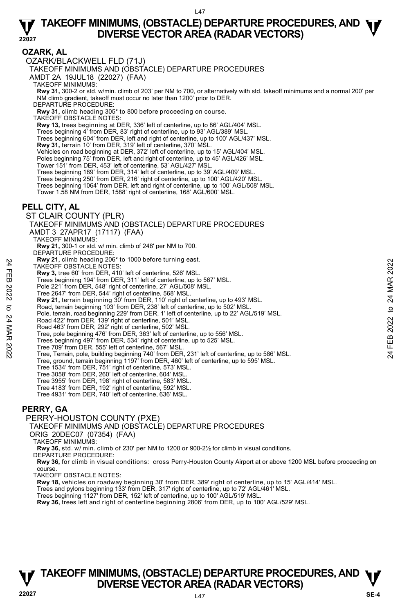#### **OZARK, AL**

OZARK/BLACKWELL FLD (71J)

TAKEOFF MINIMUMS AND (OBSTACLE) DEPARTURE PROCEDURES

AMDT 2A 19JUL18 (22027) (FAA)

TAKEOFF MINIMUMS:

**Rwy 31,** 300-2 or std. w/min. climb of 203' per NM to 700, or alternatively with std. takeoff minimums and a normal 200' per NM climb gradient, takeoff must occur no later than 1200' prior to DER.

DEPARTURE PROCEDURE:

**Rwy 31,** climb heading 305° to 800 before proceeding on course.

TAKEOFF OBSTACLE NOTES:

**Rwy 13,** trees beginning at DER, 336' left of centerline, up to 86' AGL/404' MSL.

Trees beginning 4' from DER, 83' right of centerline, up to 93' AGL/389' MSL.

Trees beginning 604' from DER, left and right of centerline, up to 100' AGL/437' MSL.

**Rwy 31,** terrain 10' from DER, 319' left of centerline, 370' MSL.

Vehicles on road beginning at DER, 372' left of centerline, up to 15' AGL/404' MSL.

Poles beginning 75' from DER, left and right of centerline, up to 45' AGL/426' MSL.

Tower 151' from DER, 453' left of centerline, 53' AGL/427' MSL

Trees beginning 189' from DER, 314' left of centerline, up to 39' AGL/409' MSL.

Trees beginning 250' from DER, 216' right of centerline, up to 100' AGL/420' MSL.

Trees beginning 1064' from DER, left and right of centerline, up to 100' AGL/508' MSL. Tower 1.58 NM from DER, 1588' right of centerline, 168' AGL/600' MSL.

#### **PELL CITY, AL**

ST CLAIR COUNTY (PLR) TAKEOFF MINIMUMS AND (OBSTACLE) DEPARTURE PROCEDURES AMDT 3 27APR17 (17117) (FAA) TAKEOFF MINIMUMS: **Rwy 21,** 300-1 or std. w/ min. climb of 248' per NM to 700. DEPARTURE PROCEDURE: **Rwy 21,** climb heading 206° to 1000 before turning east. TAKEOFF OBSTACLE NOTES: **Rwy 3,** tree 60' from DER, 410' left of centerline, 526' MSL. Trees beginning 194' from DER, 311' left of centerline, up to 567' MSL. Pole 221' from DER, 548' right of centerline, 27' AGL/508' MSL. Tree 2647' from DER, 544' right of centerline, 568' MSL. **Rwy 21,** terrain beginning 30' from DER, 110' right of centerline, up to 493' MSL.<br>Road, terrain beginning 103' from DER, 238' left of centerline, up to 502' MSL. Pole, terrain, road beginning 229' from DER, 1' left of centerline, up to 22' AGL/519' MSL. Road 422' from DER, 139' right of centerline, 501' MSL. Road 463' from DER, 292' right of centerline, 502' MSL. Tree, pole beginning 476' from DER, 363' left of centerline, up to 556' MSL. Trees beginning 497' from DER, 534' right of centerline, up to 525' MSL. Tree 709' from DER, 555' left of centerline, 567' MSL. Tree, Terrain, pole, building beginning 740' from DER, 231' left of centerline, up to 586' MSL. Tree, ground, terrain beginning 1197' from DER, 460' left of centerline, up to 595' MSL. Tree 1534' from DER, 751' right of centerline, 573' MSL. Tree 3058' from DER, 260' left of centerline, 604' MSL. Tree 3955' from DER, 198' right of centerline, 583' MSL. Tree 4183' from DER, 192' right of centerline, 592' MSL. New 21, climn heading 200 'to 1000 before turning east.<br>
TAKEOFF OBSTACLE NOTES:<br>
Trees beginning 194' from DER, 31'l left of centerline, 526' MSL.<br>
Trees beginning 194' from DER, 31'l left of centerline, to 100 567' MSL.

Tree 4931' from DER, 740' left of centerline, 636' MSL.

#### **PERRY, GA**

#### PERRY-HOUSTON COUNTY (PXE)

TAKEOFF MINIMUMS AND (OBSTACLE) DEPARTURE PROCEDURES

ORIG 20DEC07 (07354) (FAA)

TAKEOFF MINIMUMS:

**Rwy 36,** std. w/ min. climb of 230' per NM to 1200 or 900-2½ for climb in visual conditions.

DEPARTURE PROCEDURE:

**Rwy 36,** for climb in visual conditions: cross Perry-Houston County Airport at or above 1200 MSL before proceeding on course.

TAKEOFF OBSTACLE NOTES:

**Rwy 18,** vehicles on roadway beginning 30' from DER, 389' right of centerline, up to 15' AGL/414' MSL.<br>Trees and pylons beginning 133' from DER, 317' right of centerline, up to 72' AGL/461' MSL.

Trees beginning 1127' from DER, 152' left of centerline, up to 100' AGL/519' MSL.

**Rwy 36,** trees left and right of centerline beginning 2806' from DER, up to 100' AGL/529' MSL.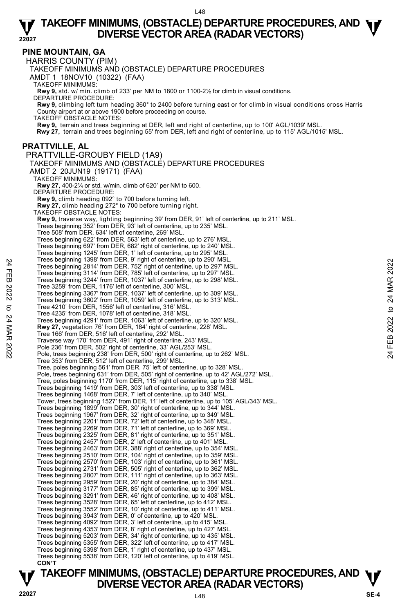#### **PINE MOUNTAIN, GA**

HARRIS COUNTY (PIM) TAKEOFF MINIMUMS AND (OBSTACLE) DEPARTURE PROCEDURES AMDT 1 18NOV10 (10322) (FAA) TAKEOFF MINIMUMS: **Rwy 9,** std. w/ min. climb of 233' per NM to 1800 or 1100-2½ for climb in visual conditions. DEPARTURE PROCEDURE: **Rwy 9,** climbing left turn heading 360° to 2400 before turning east or for climb in visual conditions cross Harris County airport at or above 1900 before proceeding on course. TAKEOFF OBSTACLE NOTES: **Rwy 9,** terrain and trees beginning at DER, left and right of centerline, up to 100' AGL/1039' MSL. **Rwy 27,** terrain and trees beginning 55' from DER, left and right of centerline, up to 115' AGL/1015' MSL. **PRATTVILLE, AL**  PRATTVILLE-GROUBY FIELD (1A9) TAKEOFF MINIMUMS AND (OBSTACLE) DEPARTURE PROCEDURES AMDT 2 20JUN19 (19171) (FAA) TAKEOFF MINIMUMS: **Rwy 27,** 400-2¼ or std. w/min. climb of 620' per NM to 600. DEPARTURE PROCEDURE: **Rwy 9,** climb heading 092° to 700 before turning left. **Rwy 27,** climb heading 272° to 700 before turning right. TAKEOFF OBSTACLE NOTES: **Rwy 9,** traverse way, lighting beginning 39' from DER, 91' left of centerline, up to 211' MSL. Trees beginning 352' from DER, 93' left of centerline, up to 235' MSL. Tree 508' from DER, 634' left of centerline, 269' MSL. Trees beginning 622' from DER, 563' left of centerline, up to 276' MSL. Trees beginning 697' from DER, 682' right of centerline, up to 240' MSL. Trees beginning 1245' from DER, 1' left of centerline, up to 295' MSL. Trees beginning 1398' from DER, 9' right of centerline, up to 290' MSL. Trees beginning 2814' from DER, 752' right of centerline, up to 297' MSL. Trees beginning 3114' from DER, 785' left of centerline, up to 297' MSL. Trees beginning 3244' from DER, 1037' left of centerline, up to 298' MSL. Tree 3259' from DER, 1176' left of centerline, 300' MSL. Trees beginning 3367' from DER, 1037' left of centerline, up to 309' MSL. Trees beginning 3602' from DER, 1059' left of centerline, up to 313' MSL. Tree 4210' from DER, 1556' left of centerline, 316' MSL. Tree 4235' from DER, 1078' left of centerline, 318' MSL. Trees beginning 4291' from DER, 1063' left of centerline, up to 320' MSL. **Rwy 27,** vegetation 76' from DER, 184' right of centerline, 228' MSL. Tree 166' from DER, 516' left of centerline, 292' MSL. Traverse way 170' from DER, 491' right of centerline, 243' MSL. Pole 236' from DER, 502' right of centerline, 33' AGL/253' MSL. Pole, trees beginning 238' from DER, 500' right of centerline, up to 262' MSL. Tree 353' from DER, 512' left of centerline, 299' MSL. Tree, poles beginning 561' from DER, 75' left of centerline, up to 328' MSL. Pole, trees beginning 631' from DER, 505' right of centerline, up to 42' AGL/272' MSL. Tree, poles beginning 1170' from DER, 115' right of centerline, up to 338' MSL. Trees beginning 1419' from DER, 303' left of centerline, up to 338' MSL. Trees beginning 1468' from DER, 7' left of centerline, up to 340' MSL. Tower, trees beginning 1527' from DER, 11' left of centerline, up to 105' AGL/343' MSL. Trees beginning 1899' from DER, 30' right of centerline, up to 344' MSL. Trees beginning 1967' from DER, 32' right of centerline, up to 349' MSL. Trees beginning 2201' from DER, 72' left of centerline, up to 348' MSL. Trees beginning 2269' from DER, 71' left of centerline, up to 369' MSL. Trees beginning 2325' from DER, 81' right of centerline, up to 351' MSL.<br>Trees beginning 2457' from DER, 2' left of centerline, up to 401' MSL.<br>Trees beginning 2463' from DER, 388' right of centerline, up to 354' MSL. Trees beginning 2510' from DER, 104' right of centerline, up to 359' MSL. Trees beginning 2570' from DER, 103' right of centerline, up to 361' MSL. Trees beginning 2731' from DER, 505' right of centerline, up to 362' MSL. Trees beginning 2807' from DER, 111' right of centerline, up to 363' MSL. Trees beginning 2959' from DER, 20' right of centerline, up to 384' MSL. Trees beginning 3177' from DER, 85' right of centerline, up to 399' MSL. Trees beginning 3291' from DER, 46' right of centerline, up to 408' MSL. Trees beginning 3528' from DER, 65' left of centerline, up to 412' MSL. Trees beginning 3552' from DER, 10' right of centerline, up to 411' MSL. Trees beginning 3943' from DER, 0' of centerline, up to 420' MSL. Trees beginning 4092' from DER, 3' left of centerline, up to 415' MSL. Trees beginning 4353' from DER, 8' right of centerline, up to 427' MSL. Trees beginning 5203' from DER, 34' right of centerline, up to 435' MSL. Trees beginning 5355' from DER, 322' left of centerline, up to 417' MSL. Trees beginning 5398' from DER, 1' right of centerline, up to 437' MSL. Trees beginning 5538' from DER, 120' left of centerline, up to 419' MSL. **CON'T**  Trees beginning 1398 from DER, 1921 and of centerline, up to 297 MSL.<br>
Trees beginning 3144 from DER, 752 right of centerline, up to 297 MSL.<br>
Trees beginning 3144 from DER, 752 right of centerline, up to 297 MSL.<br>
Trees b

## **TAKEOFF MINIMUMS, (OBSTACLE) DEPARTURE PROCEDURES, AND**  $\Psi$ **<br>DIVERSE VECTOR AREA (RADAR VECTORS) Property BUVERSE VECTOR AREA (RADAR VECTORS)** Property and the USE of the SE-4  $\frac{1}{2}$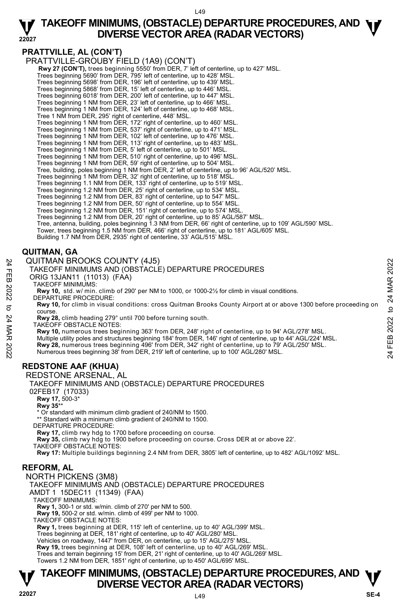#### $149$

#### **22027 TAKEOFF MINIMUMS, (OBSTACLE) DEPARTURE PROCEDURES, AND**  $\Psi$ **<br>DIVERSE VECTOR AREA (RADAR VECTORS) DIVERSE VECTOR AREA (RADAR VECTORS)**

#### **PRATTVILLE, AL (CON'T)**

PRATTVILLE-GROUBY FIELD (1A9) (CON'T)

**Rwy 27 (CON'T),** trees beginning 5550' from DER, 7' left of centerline, up to 427' MSL. Trees beginning 5690' from DER, 795' left of centerline, up to 428' MSL.

Trees beginning 5698' from DER, 196' left of centerline, up to 439' MSL.

Trees beginning 5868' from DER, 15' left of centerline, up to 446' MSL. Trees beginning 6018' from DER, 200' left of centerline, up to 447' MSL.

Trees beginning 1 NM from DER, 23' left of centerline, up to 466' MSL.

Trees beginning 1 NM from DER, 124' left of centerline, up to 468' MSL.

Tree 1 NM from DER, 295' right of centerline, 448' MSL.

Trees beginning 1 NM from DER, 172' right of centerline, up to 460' MSL.

Trees beginning 1 NM from DER, 537' right of centerline, up to 471' MSL.

Trees beginning 1 NM from DER, 102' left of centerline, up to 476' MSL.

Trees beginning 1 NM from DER, 113' right of centerline, up to 483' MSL.

Trees beginning 1 NM from DER, 5' left of centerline, up to 501' MSL.

Trees beginning 1 NM from DER, 510' right of centerline, up to 496' MSL. Trees beginning 1 NM from DER, 59' right of centerline, up to 504' MSL.

Tree, building, poles beginning 1 NM from DER, 2' left of centerline, up to 96' AGL/520' MSL.

Trees beginning 1 NM from DER, 32' right of centerline, up to 518' MSL.

Trees beginning 1.1 NM from DER, 133' right of centerline, up to 519' MSL. Trees beginning 1.2 NM from DER, 25' right of centerline, up to 534' MSL.

Trees beginning 1.2 NM from DER, 83' right of centerline, up to 547' MSL.

Trees beginning 1.2 NM from DER, 50' right of centerline, up to 554' MSL.

Trees beginning 1.2 NM from DER, 151' right of centerline, up to 574' MSL.

Trees beginning 1.2 NM from DER, 20' right of centerline, up to 85' AGL/587' MSL.

Tree, antenna, building, poles beginning 1.3 NM from DER, 66' right of centerline, up to 109' AGL/590' MSL.

Tower, trees beginning 1.5 NM from DER, 466' right of centerline, up to 181' AGL/605' MSL.<br>Building 1.7 NM from DER, 2935' right of centerline, 33' AGL/515' MSL.

#### **QUITMAN, GA**

QUITMAN BROOKS COUNTY (4J5)

TAKEOFF MINIMUMS AND (OBSTACLE) DEPARTURE PROCEDURES

ORIG 13JAN11 (11013) (FAA)

TAKEOFF MINIMUMS:

**Rwy 10,** std. w/ min. climb of 290' per NM to 1000, or 1000-2½ for climb in visual conditions. DEPARTURE PROCEDURE:

**Rwy 10,** for climb in visual conditions: cross Quitman Brooks County Airport at or above 1300 before proceeding on course.

**Rwy 28,** climb heading 279° until 700 before turning south.

TAKEOFF OBSTACLE NOTES:

**Rwy 10,** numerous trees beginning 363' from DER, 248' right of centerline, up to 94' AGL/278' MSL. Multiple utility poles and structures beginning 184' from DER, 146' right of centerline, up to 44' AGL/224' MSL. QUITMAN BROOKS COUNTY (4J5)<br>
TAKEOFF MINIMUMS AND (OBSTACLE) DEPARTURE PROCEDURES<br>
ORIG 13JAN11 (11013) (FAA)<br>
NORIG 13JAN11 (11013) (FAA)<br>
NORIG 13JAN11 (11013) (FAA)<br>
NORIG 13JAN11 (11013) (FAA)<br>
NORIG 13JAN11 (11013) (F

#### **REDSTONE AAF (KHUA)**

REDSTONE ARSENAL, AL

TAKEOFF MINIMUMS AND (OBSTACLE) DEPARTURE PROCEDURES 02FEB17 (17033)  **Rwy 17,** 500-3\*  **Rwy 35**\*\* Or standard with minimum climb gradient of 240/NM to 1500. \*\* Standard with a minimum climb gradient of 240/NM to 1500. DEPARTURE PROCEDURE: **Rwy 17,** climb rwy hdg to 1700 before proceeding on course. **Rwy 35,** climb rwy hdg to 1900 before proceeding on course. Cross DER at or above 22'. TAKEOFF OBSTACLE NOTES:

**Rwy 17:** Multiple buildings beginning 2.4 NM from DER, 3805' left of centerline, up to 482' AGL/1092' MSL.

#### **REFORM, AL**

NORTH PICKENS (3M8)

TAKEOFF MINIMUMS AND (OBSTACLE) DEPARTURE PROCEDURES

AMDT 1 15DEC11 (11349) (FAA)

TAKEOFF MINIMUMS:

**Rwy 1,** 300-1 or std. w/min. climb of 270' per NM to 500. **Rwy 19,** 500-2 or std. w/min. climb of 499' per NM to 1000.

TAKEOFF OBSTACLE NOTES:

**Rwy 1,** trees beginning at DER, 115' left of centerline, up to 40' AGL/399' MSL.<br>Trees beginning at DER, 181' right of centerline, up to 40' AGL/280' MSL.

Vehicles on roadway, 1447' from DER, on centerline, up to 15' AGL/275' MSL.

**Rwy 19,** trees beginning at DER, 108' left of centerline, up to 40' AGL/269' MSL.

Trees and terrain beginning 15' from DER, 21' right of centerline, up to 40' AGL/269' MSL. Towers 1.2 NM from DER, 1851' right of centerline, up to 450' AGL/695' MSL.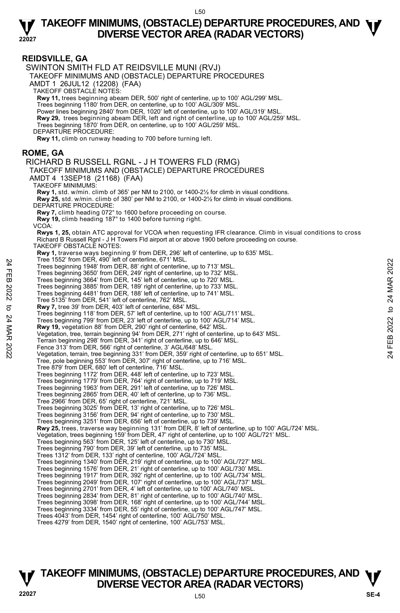**REIDSVILLE, GA**  SWINTON SMITH FLD AT REIDSVILLE MUNI (RVJ) TAKEOFF MINIMUMS AND (OBSTACLE) DEPARTURE PROCEDURES AMDT 1 26JUL12 (12208) (FAA) TAKEOFF OBSTACLE NOTES: **Rwy 11,** trees beginning abeam DER, 500' right of centerline, up to 100' AGL/299' MSL. Trees beginning 1180' from DER, on centerline, up to 100' AGL/309' MSL. Power lines beginning 2840' from DER, 1020' left of centerline, up to 100' AGL/319' MSL. **Rwy 29,** trees beginning abeam DER, left and right of centerline, up to 100' AGL/259' MSL. <br>Trees beginning 1870' from DER, on centerline, up to 100' AGL/259' MSL. DEPARTURE PROCEDURE: **Rwy 11,** climb on runway heading to 700 before turning left. **ROME, GA**  RICHARD B RUSSELL RGNL - J H TOWERS FLD (RMG) TAKEOFF MINIMUMS AND (OBSTACLE) DEPARTURE PROCEDURES AMDT 4 13SEP18 (21168) (FAA) TAKEOFF MINIMUMS: **Rwy 1,** std. w/min. climb of 365' per NM to 2100, or 1400-2½ for climb in visual conditions. **Rwy 25,** std. w/min. climb of 380' per NM to 2100, or 1400-2½ for climb in visual conditions. DEPARTURE PROCEDURE **Rwy 7,** climb heading 072° to 1600 before proceeding on course. **Rwy 19,** climb heading 187° to 1400 before turning right. VCOA: **Rwys 1, 25,** obtain ATC approval for VCOA when requesting IFR clearance. Climb in visual conditions to cross<br>Richard B Russell Rgnl - J H Towers Fld airport at or above 1900 before proceeding on course. TAKEOFF OBSTACLE NOTES: **Rwy 1,** traverse ways beginning 9' from DER, 296' left of centerline, up to 635' MSL.<br>Tree 1552' from DER, 490' left of centerline, 671' MSL. Trees beginning 1948' from DER, 88' right of centerline, up to 713' MSL. Trees beginning 3650' from DER, 249' right of centerline, up to 732' MSL. Trees beginning 3664' from DER, 145' left of centerline, up to 720' MSL. Trees beginning 3885' from DER, 189' right of centerline, up to 733' MSL. Trees beginning 4481' from DER, 188' left of centerline, up to 741' MSL. Tree 5135' from DER, 541' left of centerline, 762' MSL. **Rwy 7,** tree 39' from DER, 403' left of centerline, 684' MSL. Trees beginning 118' from DER, 57' left of centerline, up to 100' AGL/711' MSL. Trees beginning 799' from DER, 23' left of centerline, up to 100' AGL/714' MSL. **Rwy 19,** vegetation 88' from DER, 290' right of centerline, 642' MSL. Vegetation, tree, terrain beginning 94' from DER, 271' right of centerline, up to 643' MSL. Terrain beginning 298' from DER, 341' right of centerline, up to 646' MSL. Fence 313' from DER, 566' right of centerline, 3' AGL/648' MSL. Vegetation, terrain, tree beginning 331' from DER, 359' right of centerline, up to 651' MSL. Tree, pole beginning 553' from DER, 307' right of centerline, up to 716' MSL. Tree 879' from DER, 680' left of centerline, 716' MSL. Trees beginning 1172' from DER, 448' left of centerline, up to 723' MSL. Trees beginning 1779' from DER, 764' right of centerline, up to 719' MSL. Trees beginning 1963' from DER, 291' left of centerline, up to 726' MSL. Trees beginning 2865' from DER, 40' left of centerline, up to 736' MSL. Tree 2966' from DER, 65' right of centerline, 721' MSL. Trees beginning 3025' from DER, 13' right of centerline, up to 726' MSL. Trees beginning 3156' from DER, 94' right of centerline, up to 730' MSL. Trees beginning 3251' from DER, 656' left of centerline, up to 739' MSL. **Rwy 25,** trees, traverse way beginning 131' from DER, 8' left of centerline, up to 100' AGL/724' MSL. Vegetation, trees beginning 159' from DER, 47' right of centerline, up to 100' AGL/721' MSL.<br>Trees beginning 563' from DER, 125' left of centerline, up to 730' MSL.<br>Trees beginning 790' from DER, 39' left of centerline, up Trees 1312' from DER, 133' right of centerline, 100' AGL/724' MSL. Trees beginning 1340' from DER, 219' right of centerline, up to 100' AGL/727' MSL. Trees beginning 1576' from DER, 21' right of centerline, up to 100' AGL/730' MSL. Trees beginning 1917' from DER, 392' right of centerline, up to 100' AGL/734' MSL. Trees beginning 2049' from DER, 107' right of centerline, up to 100' AGL/737' MSL. Trees beginning 2701' from DER, 4' left of centerline, up to 100' AGL/740' MSL. Trees beginning 2834' from DER, 81' right of centerline, up to 100' AGL/740' MSL. Trees beginning 3098' from DER, 168' right of centerline, up to 100' AGL/744' MSL. Trees beginning 3334' from DER, 55' right of centerline, up to 100' AGL/747' MSL. Trees 4043' from DER, 1454' right of centerline, 100' AGL/750' MSL. Trees 4279' from DER, 1540' right of centerline, 100' AGL/753' MSL. Tree 19502 from DER, 89 ierd of centerine, 64 MBL.<br>
Trees beginning 1948 from DER, 249' right of centerline, up to 713' MSL.<br>
Trees beginning 3650' from DER, 145' left of centerline, up to 732' MSL.<br>
Trees beginning 3664'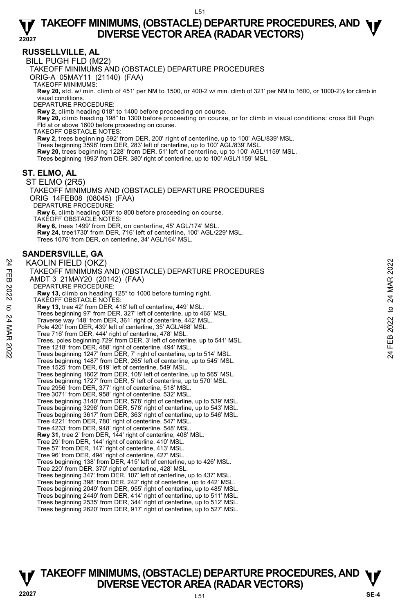#### **RUSSELLVILLE, AL**

BILL PUGH FLD (M22)

TAKEOFF MINIMUMS AND (OBSTACLE) DEPARTURE PROCEDURES

ORIG-A 05MAY11 (21140) (FAA)

TAKEOFF MINIMUMS:

**Rwy 20,** std. w/ min. climb of 451' per NM to 1500, or 400-2 w/ min. climb of 321' per NM to 1600, or 1000-2½ for climb in visual conditions.

DEPARTURE PROCEDURE:

**Rwy 2,** climb heading 018° to 1400 before proceeding on course.

**Rwy 20,** climb heading 198° to 1300 before proceeding on course, or for climb in visual conditions: cross Bill Pugh<br>Fld at or above 1600 before proceeding on course.

TAKEOFF OBSTACLE NOTES:

**Rwy 2,** trees beginning 592' from DER, 200' right of centerline, up to 100' AGL/839' MSL.<br>Trees beginning 3598' from DER, 283' left of centerline, up to 100' AGL/839' MSL.

**Rwy 20,** trees beginning 1228' from DER, 51' left of centerline, up to 100' AGL/1159' MSL.

Trees beginning 1993' from DER, 380' right of centerline, up to 100' AGL/1159' MSL.

#### **ST. ELMO, AL**

ST ELMO (2R5) TAKEOFF MINIMUMS AND (OBSTACLE) DEPARTURE PROCEDURES ORIG 14FEB08 (08045) (FAA) DEPARTURE PROCEDURE: **Rwy 6,** climb heading 059° to 800 before proceeding on course. TAKEOFF OBSTACLE NOTES: **Rwy 6,** trees 1499' from DER, on centerline, 45' AGL/174' MSL. **Rwy 24,** tree1730' from DER, 716' left of centerline, 100' AGL/229' MSL. Trees 1076' from DER, on centerline, 34' AGL/164' MSL.

#### **SANDERSVILLE, GA**

KAOLIN FIELD (OKZ) TAKEOFF MINIMUMS AND (OBSTACLE) DEPARTURE PROCEDURES AMDT 3 21MAY20 (20142) (FAA) DEPARTURE PROCEDURE: **Rwy 13,** climb on heading 125° to 1000 before turning right. TAKEOFF OBSTACLE NOTES: **Rwy 13,** tree 42' from DER, 418' left of centerline, 449' MSL. Trees beginning 97' from DER, 327' left of centerline, up to 465' MSL. Traverse way 148' from DER, 361' right of centerline, 442' MSL. Pole 420' from DER, 439' left of centerline, 35' AGL/468' MSL. Tree 716' from DER, 444' right of centerline, 478' MSL. Trees, poles beginning 729' from DER, 3' left of centerline, up to 541' MSL. Tree 1218' from DER, 488' right of centerline, 494' MSL. Trees beginning 1247' from DER, 7' right of centerline, up to 514' MSL. Trees beginning 1487' from DER, 265' left of centerline, up to 545' MSL. Tree 1525' from DER, 619' left of centerline, 549' MSL. Trees beginning 1602' from DER, 108' left of centerline, up to 565' MSL. Trees beginning 1727' from DER, 5' left of centerline, up to 570' MSL. Tree 2956' from DER, 377' right of centerline, 518' MSL. Tree 3071' from DER, 958' right of centerline, 532' MSL. Trees beginning 3140' from DER, 578' right of centerline, up to 539' MSL. Trees beginning 3296' from DER, 576' right of centerline, up to 543' MSL. Trees beginning 3617' from DER, 363' right of centerline, up to 546' MSL. Tree 4221' from DER, 780' right of centerline, 547' MSL. Tree 4233' from DER, 948' right of centerline, 548' MSL. **Rwy 31**, tree 2' from DER, 144' right of centerline, 408' MSL. Tree 29' from DER, 144' right of centerline, 410' MSL. Tree 57' from DER, 147' right of centerline, 413' MSL. Tree 96' from DER, 494' right of centerline, 427' MSL. Trees beginning 138' from DER, 415' left of centerline, up to 426' MSL. Tree 220' from DER, 370' right of centerline, 428' MSL. Trees beginning 347' from DER, 107' left of centerline, up to 437' MSL. Trees beginning 398' from DER, 242' right of centerline, up to 442' MSL. Trees beginning 2049' from DER, 955' right of centerline, up to 485' MSL. Trees beginning 2449' from DER, 414' right of centerline, up to 511' MSL. Trees beginning 2535' from DER, 344' right of centerline, up to 512' MSL. Trees beginning 2620' from DER, 917' right of centerline, up to 527' MSL. X KAOLIN FIELD (OKZ)<br>
TAKEOFF MINIMUMS AND (OBSTACLE) DEPARTURE PROCEDURES<br>
AMDT 3 21MAY20 (20142) (FAA)<br>
DEPARTURE PROCEDURE:<br>
Rwy 13, climb on heading 125° to 1000 before turning right.<br>
TAKEOFF OBSTACLE NOTES.<br>
TAKEOFF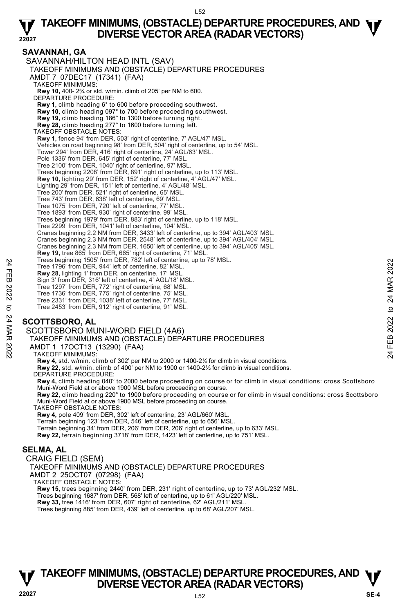#### **SAVANNAH, GA**

SAVANNAH/HILTON HEAD INTL (SAV) TAKEOFF MINIMUMS AND (OBSTACLE) DEPARTURE PROCEDURES AMDT 7 07DEC17 (17341) (FAA) TAKEOFF MINIMUMS: **Rwy 10,** 400- 2¾ or std. w/min. climb of 205' per NM to 600. DEPARTURE PROCEDURE: **Rwy 1,** climb heading 6° to 600 before proceeding southwest. **Rwy 10,** climb heading 097° to 700 before proceeding southwest. **Rwy 19,** climb heading 186° to 1300 before turning right. **Rwy 28,** climb heading 277° to 1600 before turning left. TAKEOFF OBSTACLE NOTES: **Rwy 1,** fence 94' from DER, 503' right of centerline, 7' AGL/47' MSL. Vehicles on road beginning 98' from DER, 504' right of centerline, up to 54' MSL. Tower 294' from DER, 416' right of centerline, 24' AGL/63' MSL. Pole 1336' from DER, 645' right of centerline, 77' MSL. Tree 2100' from DER, 1040' right of centerline, 97' MSL. Trees beginning 2208' from DER, 891' right of centerline, up to 113' MSL. **Rwy 10,** lighting 29' from DER, 152' right of centerline, 4' AGL/47' MSL. Lighting 29' from DER, 151' left of centerline, 4' AGL/48' MSL. Tree 200' from DER, 521' right of centerline, 65' MSL. Tree 743' from DER, 638' left of centerline, 69' MSL. Tree 1075' from DER, 720' left of centerline, 77' MSL. Tree 1893' from DER, 930' right of centerline, 99' MSL. Trees beginning 1979' from DER, 883' right of centerline, up to 118' MSL. Tree 2299' from DER, 1041' left of centerline, 104' MSL. Cranes beginning 2.2 NM from DER, 3433' left of centerline, up to 394' AGL/403' MSL. Cranes beginning 2.3 NM from DER, 2548' left of centerline, up to 394' AGL/404' MSL. Cranes beginning 2.3 NM from DER, 1650' left of centerline, up to 394' AGL/405' MSL. **Rwy 19,** tree 865' from DER, 665' right of centerline, 71' MSL. Trees beginning 1505' from DER, 782' left of centerline, up to 78' MSL. Tree 1796' from DER, 944' left of centerline, 82' MSL. **Rwy 28,** lighting 1' from DER, on centerline, 17' MSL. Sign 3' from DER, 316' left of centerline, 4' AGL/18' MSL. Tree 1297' from DER, 772' right of centerline, 68' MSL. Tree 1736' from DER, 775' right of centerline, 75' MSL. Tree 2331' from DER, 1038' left of centerline, 77' MSL. Tree 2453' from DER, 912' right of centerline, 91' MSL. Tree 1996 from DER, 944' left of centerine, 82' MSL.<br>
The 1796' from DER, 944' left of centerline, 82' MSL.<br>
Sign 3' from DER, 346' left of centerline, 47' MSL.<br>
Sign 3' from DER, 316' left of centerine, 46' AGL/18' MSL.<br>

#### **SCOTTSBORO, AL**

SCOTTSBORO MUNI-WORD FIELD (4A6)

TAKEOFF MINIMUMS AND (OBSTACLE) DEPARTURE PROCEDURES

AMDT 1 17OCT13 (13290) (FAA)

TAKEOFF MINIMUMS:

**Rwy 4,** std. w/min. climb of 302' per NM to 2000 or 1400-2½ for climb in visual conditions.

**Rwy 22,** std. w/min. climb of 400' per NM to 1900 or 1400-2½ for climb in visual conditions.

DEPARTURE PROCEDURE:

**Rwy 4,** climb heading 040° to 2000 before proceeding on course or for climb in visual conditions: cross Scottsboro Muni-Word Field at or above 1900 MSL before proceeding on course.

**Rwy 22,** climb heading 220° to 1900 before proceeding on course or for climb in visual conditions: cross Scottsboro Muni-Word Field at or above 1900 MSL before proceeding on course.

TAKEOFF OBSTACLE NOTES:

**Rwy 4,** pole 409' from DER, 302' left of centerline, 23' AGL/660' MSL. Terrain beginning 123' from DER, 546' left of centerline, up to 656' MSL. Terrain beginning 34' from DER, 206' from DER, 206' right of centerline, up to 633' MSL. **Rwy 22,** terrain beginning 3718' from DER, 1423' left of centerline, up to 751' MSL.

#### **SELMA, AL**

CRAIG FIELD (SEM) TAKEOFF MINIMUMS AND (OBSTACLE) DEPARTURE PROCEDURES AMDT 2 25OCT07 (07298) (FAA) TAKEOFF OBSTACLE NOTES: **Rwy 15,** trees beginning 2440' from DER, 231' right of centerline, up to 73' AGL/232' MSL. Trees beginning 1687' from DER, 568' left of centerline, up to 61' AGL/220' MSL. **Rwy 33,** tree 1416' from DER, 607' right of centerline, 62' AGL/211' MSL.

Trees beginning 885' from DER, 439' left of centerline, up to 68' AGL/207' MSL.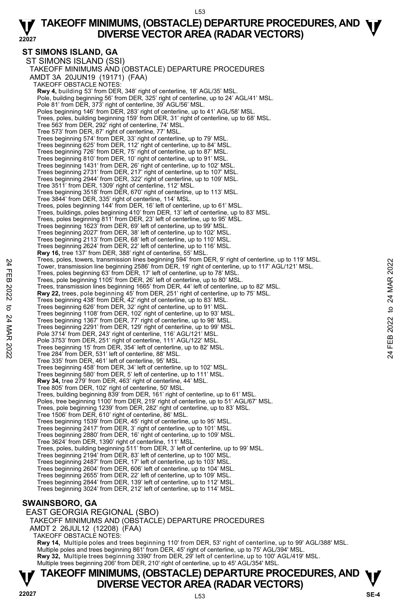#### **ST SIMONS ISLAND, GA**

ST SIMONS ISLAND (SSI) TAKEOFF MINIMUMS AND (OBSTACLE) DEPARTURE PROCEDURES AMDT 3A 20JUN19 (19171) (FAA) TAKEOFF OBSTACLE NOTES: **Rwy 4,** building 53' from DER, 348' right of centerline, 18' AGL/35' MSL.<br>Pole, building beginning 56' from DER, 325' right of centerline, up to 24' AGL/41' MSL. Pole 81' from DER, 373' right of centerline, 39' AGL/56' MSL. Poles beginning 146' from DER, 283' right of centerline, up to 41' AGL/58' MSL. Trees, poles, building beginning 159' from DER, 31' right of centerline, up to 68' MSL. Tree 563' from DER, 292' right of centerline, 74' MSL. Tree 573' from DER, 87' right of centerline, 77' MSL. Trees beginning 574' from DER, 33' right of centerline, up to 79' MSL. Trees beginning 625' from DER, 112' right of centerline, up to 84' MSL. Trees beginning 726' from DER, 75' right of centerline, up to 87' MSL. Trees beginning 810' from DER, 10' right of centerline, up to 91' MSL. Trees beginning 1431' from DER, 26' right of centerline, up to 102' MSL. Trees beginning 2731' from DER, 217' right of centerline, up to 107' MSL. Trees beginning 2944' from DER, 322' right of centerline, up to 109' MSL. Tree 3511' from DER, 1309' right of centerline, 112' MSL. Trees beginning 3518' from DER, 670' right of centerline, up to 113' MSL. Tree 3844' from DER, 335' right of centerline, 114' MSL. Trees, poles beginning 144' from DER, 16' left of centerline, up to 61' MSL. Trees, buildings, poles beginning 410' from DER, 13' left of centerline, up to 83' MSL. Trees, poles beginning 811' from DER, 23' left of centerline, up to 95' MSL. Trees beginning 1623' from DER, 69' left of centerline, up to 99' MSL. Trees beginning 2027' from DER, 38' left of centerline, up to 102' MSL. Trees beginning 2113' from DER, 68' left of centerline, up to 110' MSL. Trees beginning 2624' from DER, 22' left of centerline, up to 116' MSL. **Rwy 16,** tree 137' from DER, 388' right of centerline, 55' MSL. Trees, poles, towers, transmission lines beginning 594' from DER, 9' right of centerline, up to 119' MSL. Tower, transmission line beginning 2586' from DER, 19' right of centerline, up to 117' AGL/121' MSL. Trees, poles beginning 63' from DER, 17' left of centerline, up to 78' MSL. Trees, pole beginning 1105' from DER, 26' left of centerline, up to 80' MSL. Trees, transmission lines beginning 1665' from DER, 44' left of centerline, up to 82' MSL.<br>**Rwy 22,** trees, pole beginning 45' from DER, 251' right of centerline, up to 75' MSL. Trees beginning 438' from DER, 42' right of centerline, up to 83' MSL. Trees beginning 626' from DER, 32' right of centerline, up to 91' MSL. Trees beginning 1108' from DER, 102' right of centerline, up to 93' MSL. Trees beginning 1367' from DER, 77' right of centerline, up to 98' MSL. Trees beginning 2291' from DER, 129' right of centerline, up to 99' MSL. Pole 3714' from DER, 243' right of centerline, 116' AGL/121' MSL. Pole 3753' from DER, 251' right of centerline, 111' AGL/122' MSL. Trees beginning 15' from DER, 354' left of centerline, up to 82' MSL. Tree 284' from DER, 531' left of centerline, 88' MSL. Tree 335' from DER, 461' left of centerline, 95' MSL. Trees beginning 458' from DER, 34' left of centerline, up to 102' MSL. Trees beginning 580' from DER, 5' left of centerline, up to 111' MSL. **Rwy 34,** tree 279' from DER, 463' right of centerline, 44' MSL. Tree 805' from DER, 102' right of centerline, 50' MSL. Trees, building beginning 839' from DER, 161' right of centerline, up to 61' MSL. Poles, tree beginning 1100' from DER, 219' right of centerline, up to 51' AGL/67' MSL. Trees, pole beginning 1239' from DER, 282' right of centerline, up to 83' MSL. Tree 1506' from DER, 610' right of centerline, 86' MSL.<br>Trees beginning 1539' from DER, 45' right of centerline, up to 95' MSL.<br>Trees beginning 2417' from DER, 3' right of centerline, up to 101' MSL. Trees beginning 2880' from DER, 16' right of centerline, up to 109' MSL. Tree 3624' from DER, 1390' right of centerline, 111' MSL. Trees, poles, building beginning 511' from DER, 3' left of centerline, up to 99' MSL. Trees beginning 2194' from DER, 83' left of centerline, up to 100' MSL. Trees beginning 2487' from DER, 17' left of centerline, up to 103' MSL. Trees beginning 2604' from DER, 606' left of centerline, up to 104' MSL. Trees beginning 2655' from DER, 22' left of centerline, up to 109' MSL. Trees beginning 2844' from DER, 139' left of centerline, up to 112' MSL. Trees beginning 3024' from DER, 212' left of centerline, up to 114' MSL. Trees, poles have the beginning system (much the R. and or enterline, up to 119 MSL.<br>
Tower, transmission line beginning 3586' from DER, 19' right of centerline, up to 117' AGL/121' MSL.<br>
Trees, pole beginning 103' from DE

#### **SWAINSBORO, GA**

EAST GEORGIA REGIONAL (SBO) TAKEOFF MINIMUMS AND (OBSTACLE) DEPARTURE PROCEDURES AMDT 2 26JUL12 (12208) (FAA) TAKEOFF OBSTACLE NOTES: **Rwy 14,** Multiple poles and trees beginning 110' from DER, 53' right of centerline, up to 99' AGL/388' MSL. Multiple poles and trees beginning 861' from DER, 45' right of centerline, up to 75' AGL/394' MSL. **Rwy 32,** Multiple trees beginning 3390' from DER, 29' left of centerline, up to 100' AGL/419' MSL.<br>Multiple trees beginning 206' from DER, 210' right of centerline, up to 45' AGL/354' MSL.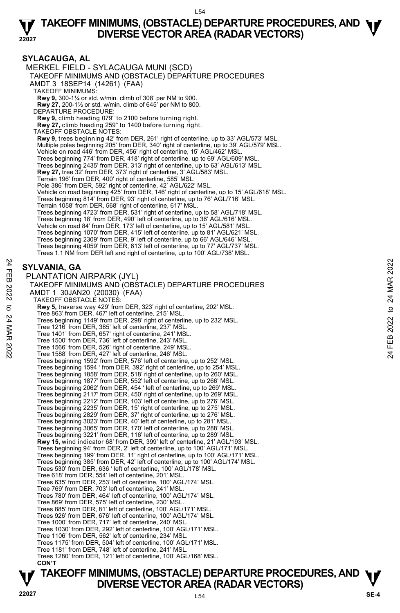**SYLACAUGA, AL**  MERKEL FIELD - SYLACAUGA MUNI (SCD) TAKEOFF MINIMUMS AND (OBSTACLE) DEPARTURE PROCEDURES AMDT 3 18SEP14 (14261) (FAA) TAKEOFF MINIMUMS: **Rwy 9,** 300-1¼ or std. w/min. climb of 308' per NM to 900. **Rwy 27,** 200-1½ or std. w/min. climb of 645' per NM to 800. DEPARTURE PROCEDURE: **Rwy 9,** climb heading 079° to 2100 before turning right. **Rwy 27,** climb heading 259° to 1400 before turning right. TAKEOFF OBSTACLE NOTES: **Rwy 9,** trees beginning 42' from DER, 261' right of centerline, up to 33' AGL/573' MSL. Multiple poles beginning 205' from DER, 340' right of centerline, up to 39' AGL/579' MSL. Vehicle on road 446' from DER, 456' right of centerline, 15' AGL/462' MSL. Trees beginning 774' from DER, 418' right of centerline, up to 69' AGL/609' MSL. Trees beginning 2435' from DER, 313' right of centerline, up to 63' AGL/613' MSL. **Rwy 27,** tree 32' from DER, 373' right of centerline, 3' AGL/583' MSL. Terrain 196' from DER, 400' right of centerline, 585' MSL. Pole 386' from DER, 592' right of centerline, 42' AGL/622' MSL. Vehicle on road beginning 425' from DER, 146' right of centerline, up to 15' AGL/618' MSL. Trees beginning 814' from DER, 93' right of centerline, up to 76' AGL/716' MSL. Terrain 1058' from DER, 568' right of centerline, 617' MSL. Trees beginning 4723' from DER, 531' right of centerline, up to 58' AGL/718' MSL. Trees beginning 18' from DER, 490' left of centerline, up to 36' AGL/616' MSL. Vehicle on road 84' from DER, 173' left of centerline, up to 15' AGL/581' MSL. Trees beginning 1070' from DER, 415' left of centerline, up to 81' AGL/621' MSL. Trees beginning 2309' from DER, 9' left of centerline, up to 66' AGL/646' MSL. Trees beginning 4059' from DER, 613' left of centerline, up to 77' AGL/737' MSL. Trees 1.1 NM from DER left and right of centerline, up to 100' AGL/738' MSL. **SYLVANIA, GA**  PLANTATION AIRPARK (JYL) TAKEOFF MINIMUMS AND (OBSTACLE) DEPARTURE PROCEDURES AMDT 1 30JAN20 (20030) (FAA) TAKEOFF OBSTACLE NOTES: **Rwy 5,** traverse way 429' from DER, 323' right of centerline, 202' MSL. Tree 863' from DER, 467' left of centerline, 215' MSL. Trees beginning 1149' from DER, 298' right of centerline, up to 232' MSL. Tree 1216' from DER, 385' left of centerline, 237' MSL. Tree 1401' from DER, 657' right of centerline, 241' MSL. Tree 1500' from DER, 736' left of centerline, 243' MSL. Tree 1566' from DER, 526' right of centerline, 249' MSL. Tree 1588' from DER, 427' left of centerline, 246' MSL. Trees beginning 1592' from DER, 576' left of centerline, up to 252' MSL. Trees beginning 1594 ' from DER, 392' right of centerline, up to 254' MSL. Trees beginning 1858' from DER, 518' right of centerline, up to 260' MSL. Trees beginning 1877' from DER, 552' left of centerline, up to 266' MSL. Trees beginning 2062' from DER, 454 ' left of centerline, up to 269' MSL. Trees beginning 2117' from DER, 450' right of centerline, up to 269' MSL. Trees beginning 2212' from DER, 103' left of centerline, up to 276' MSL. Trees beginning 2235' from DER, 15' right of centerline, up to 275' MSL. Trees beginning 2829' from DER, 37' right of centerline, up to 276' MSL.<br>Trees beginning 3023' from DER, 40' left of centerline, up to 281' MSL.<br>Trees beginning 3065' from DER, 170' left of centerline, up to 288' MSL. Trees beginning 3221' from DER, 116' left of centerline, up to 289' MSL.  **Rwy 15,** wind indicator 68' from DER, 399' left of centerline, 21' AGL/193' MSL. Trees beginning 94' from DER, 2' left of centerline, up to 100' AGL/171' MSL. Trees beginning 199' from DER, 11' right of centerline, up to 100' AGL/171' MSL. Trees beginning 385' from DER, 42' left of centerline, up to 100' AGL/174' MSL. Trees 530' from DER, 636 ' left of centerline, 100' AGL/178' MSL. Tree 618' from DER, 554' left of centerline, 201' MSL. Trees 635' from DER, 253' left of centerline, 100' AGL/174' MSL. Tree 769' from DER, 703' left of centerline, 241' MSL. Trees 780' from DER, 464' left of centerline, 100' AGL/174' MSL. Tree 869' from DER, 575' left of centerline, 230' MSL. Trees 885' from DER, 81' left of centerline, 100' AGL/171' MSL. Trees 926' from DER, 676' left of centerline, 100' AGL/174' MSL. Tree 1000' from DER, 717' left of centerline, 240' MSL. Trees 1030' from DER, 292' left of centerline, 100' AGL/171' MSL. Tree 1106' from DER, 562' left of centerline, 234' MSL. Trees 1175' from DER, 504' left of centerline, 100' AGL/171' MSL. Tree 1181' from DER, 748' left of centerline, 241' MSL. Trees 1280' from DER, 121' left of centerline, 100' AGL/168' MSL.  **CON'T SYLVANIA, GA**<br> **PLANTATION AIRPARK (JYL)**<br>
PLANTATION AIRPARK (JYL)<br>
TAKEOFF MINIMUMS AND (OBSTACLE) DEPARTURE PROCEDURES<br>
AMDT 1 30JAN20 (20030) (FAA)<br>
TAKEOFF MINIMUMS AND (SOFTACLE) DEPARTURE PROCEDURES<br>
AMDT 1 30JAN2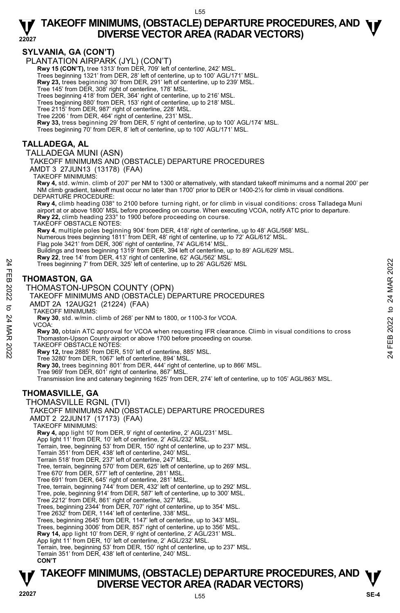#### **SYLVANIA, GA (CON'T)**

PLANTATION AIRPARK (JYL) (CON'T)

**Rwy 15 (CON'T),** tree 1313' from DÉR, 709' left of centerline, 242' MSL

Trees beginning 1321' from DER, 28' left of centerline, up to 100' AGL/171' MSL.

**Rwy 23,** trees beginning 30' from DER, 291' left of centerline, up to 239' MSL.

Tree 145' from DER, 308' right of centerline, 178' MSL.

Trees beginning 418' from DER, 364' right of centerline, up to 216' MSL.

Trees beginning 880' from DER, 153' right of centerline, up to 218' MSL.

Tree 2115' from DER, 987' right of centerline, 228' MSL.

Tree 2206 ' from DER, 464' right of centerline, 231' MSL. **Rwy 33,** tress beginning 29' from DER, 5' right of centerline, up to 100' AGL/174' MSL.

Trees beginning 70' from DER, 8' left of centerline, up to 100' AGL/171' MSL.

#### **TALLADEGA, AL**

TALLADEGA MUNI (ASN)

TAKEOFF MINIMUMS AND (OBSTACLE) DEPARTURE PROCEDURES

AMDT 3 27JUN13 (13178) (FAA)

TAKEOFF MINIMUMS:

**Rwy 4,** std. w/min. climb of 207' per NM to 1300 or alternatively, with standard takeoff minimums and a normal 200' per NM climb gradient, takeoff must occur no later than 1700' prior to DER or 1400-2½ for climb in visual conditions. DEPARTURE PROCEDURE:

**Rwy 4,** climb heading 038° to 2100 before turning right, or for climb in visual conditions: cross Talladega Muni airport at or above 1800' MSL before proceeding on course. When executing VCOA, notify ATC prior to departure.<br>**Rwy 22,** climb heading 233° to 1900 before proceeding on course.

TAKEOFF OBSTACLE NOTES:

**Rwy 4**, multiple poles beginning 904' from DER, 418' right of centerline, up to 48' AGL/568' MSL.<br>Numerous trees beginning 1811' from DER, 48' right of centerline, up to 72' AGL/612' MSL.<br>Flag pole 3421' from DER, 306' ri

Buildings and trees beginning 1319' from DER, 394 left of centerline, up to 89' AGL/629' MSL.

**Rwy 22**, tree 14' from DER, 413' right of centerline, 62' AGL/562' MSL.<br>Trees beginning 7' from DER, 325' left of centerline, up to 26' AGL/526' MSL

#### **THOMASTON, GA**

THOMASTON-UPSON COUNTY (OPN)

#### TAKEOFF MINIMUMS AND (OBSTACLE) DEPARTURE PROCEDURES AMDT 2A 12AUG21 (21224) (FAA)

TAKEOFF MINIMUMS:

**Rwy 30**, std. w/min. climb of 268' per NM to 1800, or 1100-3 for VCOA. VCOA:

**Rwy 30,** obtain ATC approval for VCOA when requesting IFR clearance. Climb in visual conditions to cross Thomaston-Upson County airport or above 1700 before proceeding on course. Trees beginning 7 from DER, 325'left of centerline, up to 26' AGL/526' MSL<br>
THOMASTON, GA<br>
THOMASTON-UPSON COUNTY (OPN)<br>
TAKEOFF MINIMUMS AND (OBSTACLE) DEPARTURE PROCEDURES<br>
AMDT 2A 12AUG21 (21224) (FAA)<br>
TAKEOFF MINIMUMS

TAKEOFF OBSTACLE NOTES:

**Rwy 12,** tree 2885' from DER, 510' left of centerline, 885' MSL.

Tree 3280' from DER, 1067' left of centerline, 894' MSL.

**Rwy 30,** trees beginning 801' from DER, 444' right of centerline, up to 866' MSL.

Tree 969' from DER, 601' right of centerline, 867' MSL. Transmission line and catenary beginning 1625' from DER, 274' left of centerline, up to 105' AGL/863' MSL.

#### **THOMASVILLE, GA**

THOMASVILLE RGNL (TVI)

TAKEOFF MINIMUMS AND (OBSTACLE) DEPARTURE PROCEDURES

AMDT 2 22JUN17 (17173) (FAA)

TAKEOFF MINIMUMS:

**Rwy 4,** app light 10' from DER, 9' right of centerline, 2' AGL/231' MSL.

App light 11' from DER, 10' left of centerline, 2' AGL/232' MSL. Terrain, tree, beginning 53' from DER, 150' right of centerline, up to 237' MSL.

Terrain 351' from DER, 438' left of centerline, 240' MSL.

Terrain 518' from DER, 237' left of centerline, 247' MSL.

Tree, terrain, beginning 570' from DER, 625' left of centerline, up to 269' MSL.

Tree 670' from DER, 577' left of centerline, 281' MSL.

Tree 691' from DER, 645' right of centerline, 281' MSL.

Tree, terrain, beginning 744' from DER, 432' left of centerline, up to 292' MSL. Tree, pole, beginning 914' from DER, 587' left of centerline, up to 300' MSL.

Tree 2212' from DER, 861' right of centerline, 327' MSL.

Trees, beginning 2344' from DER, 707' right of centerline, up to 354' MSL. Tree 2632' from DER, 1144' left of centerline, 338' MSL.

Trees, beginning 2645' from DER, 1147' left of centerline, up to 343' MSL.

Trees, beginning 3006' from DER, 857' right of centerline, up to 356' MSL.

**Rwy 14,** app light 10' from DER, 9' right of centerline, 2' AGL/231' MSL.

App light 11' from DER, 10' left of centerline, 2' AGL/232' MSL.

Terrain, tree, beginning 53' from DER, 150' right of centerline, up to 237' MSL.

Terrain 351' from DER, 438' left of centerline, 240' MSL.

#### **CON'T**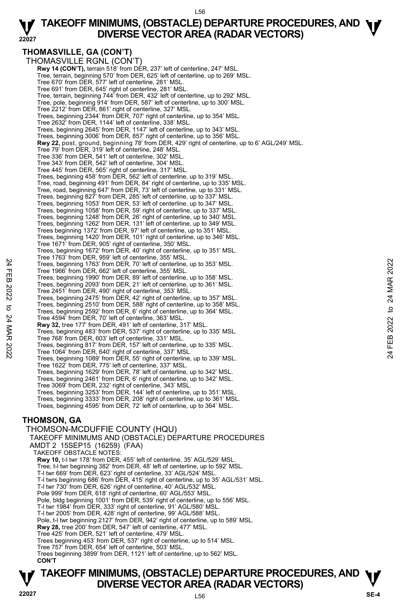#### **22027 TAKEOFF MINIMUMS, (OBSTACLE) DEPARTURE PROCEDURES, AND**  $\Psi$ **<br>DIVERSE VECTOR AREA (RADAR VECTORS) DIVERSE VECTOR AREA (RADAR VECTORS)**

#### **THOMASVILLE, GA (CON'T)**

THOMASVILLE RGNL (CON'T) **Rwy 14 (CON'T), terrain 518' from DÉR, 237' left of centerline, 247' MSL** Tree, terrain, beginning 570' from DER, 625' left of centerline, up to 269' MSL. Tree 670' from DER, 577' left of centerline, 281' MSL. Tree 691' from DER, 645' right of centerline, 281' MSL. Tree, terrain, beginning 744' from DER, 432' left of centerline, up to 292' MSL. Tree, pole, beginning 914' from DER, 587' left of centerline, up to 300' MSL. Tree 2212' from DER, 861' right of centerline, 327' MSL. Trees, beginning 2344' from DER, 707' right of centerline, up to 354' MSL. Tree 2632' from DER, 1144' left of centerline, 338' MSL. Trees, beginning 2645' from DER, 1147' left of centerline, up to 343' MSL. Trees, beginning 3006' from DER, 857' right of centerline, up to 356' MSL. **Rwy 22,** post, ground, beginning 78' from DER, 429' right of centerline, up to 6' AGL/249' MSL. Tree 79' from DER, 319' left of centerline, 248' MSL. Tree 336' from DER, 541' left of centerline, 302' MSL. Tree 343' from DER, 542' left of centerline, 304' MSL. Tree 445' from DER, 565' right of centerline, 317' MSL. Trees, beginning 458' from DER, 562' left of centerline, up to 319' MSL. Tree, road, beginning 491' from DER, 84' right of centerline, up to 335' MSL. Tree, road, beginning 647' from DER, 73' left of centerline, up to 331' MSL. Trees, beginning 827' from DER, 285' left of centerline, up to 337' MSL. Trees, beginning 1053' from DER, 53' left of centerline, up to 347' MSL. Trees, beginning 1058' from DER, 59' right of centerline, up to 337' MSL. Trees, beginning 1248' from DER, 26' right of centerline, up to 340' MSL. Trees, beginning 1262' from DER, 131' left of centerline, up to 349' MSL. Trees beginning 1372' from DER, 97' left of centerline, up to 351' MSL. Trees, beginning 1420' from DER, 101' right of centerline, up to 346' MSL. Tree 1671' from DER, 905' right of centerline, 350' MSL. Trees, beginning 1672' from DER, 40' right of centerline, up to 351' MSL. Tree 1763' from DER, 959' left of centerline, 355' MSL. Trees, beginning 1763' from DER, 70' left of centerline, up to 353' MSL. Tree 1966' from DER, 662' left of centerline, 355' MSL. Trees, beginning 1990' from DER, 89' left of centerline, up to 358' MSL. Trees, beginning 2093' from DER, 21' left of centerline, up to 361' MSL. Tree 2451' from DER, 490' right of centerline, 353' MSL. Trees, beginning 2475' from DER, 42' right of centerline, up to 357' MSL. Trees, beginning 2510' from DER, 588' right of centerline, up to 358' MSL. Trees, beginning 2592' from DER, 6' right of centerline, up to 364' MSL. Tree 4594' from DER, 70' left of centerline, 363' MSL. **Rwy 32,** tree 177' from DER, 491' left of centerline, 317' MSL. Trees, beginning 483' from DER, 537' right of centerline, up to 335' MSL. Tree 768' from DER, 603' left of centerline, 331' MSL. Trees, beginning 817' from DER, 157' left of centerline, up to 335' MSL. Tree 1064' from DER, 640' right of centerline, 337' MSL. Trees, beginning 1089' from DER, 55' right of centerline, up to 339' MSL. Tree 1622' from DER, 775' left of centerline, 337' MSL. Trees, beginning 1629' from DER, 78' left of centerline, up to 342' MSL. Trees, beginning 2461' from DER, 6' right of centerline, up to 342' MSL. Tree 3069' from DER, 232' right of centerline, 343' MSL. Trees, beginning 3253' from DER, 144' left of centerline, up to 351' MSL. Trees, beginning 3333' from DER, 208' right of centerline, up to 361' MSL. Trees, beginning 4595' from DER, 72' left of centerline, up to 364' MSL. **THOMSON, GA**  THOMSON-MCDUFFIE COUNTY (HQU) TAKEOFF MINIMUMS AND (OBSTACLE) DEPARTURE PROCEDURES AMDT 2 15SEP15 (16259) (FAA) TAKEOFF OBSTACLE NOTES: **Rwy 10,** t-l twr 178' from DER, 455' left of centerline, 35' AGL/529' MSL. Trees, beginning 1763 from DER, 70' left of centerline, up to 353' MSL.<br>
Tree 1966 from DER, 662' left of centerline, app to 358' MSL.<br>
Trees, beginning 1990' from DER, 29' left of centerline, up to 358' MSL.<br>
Trees, begin

Tree, t-l twr beginning 382' from DER, 48' left of centerline, up to 592' MSL. T-l twr 669' from DER, 623' right of centerline, 33' AGL/524' MSL. T-l twrs beginning 686' from DER, 415' right of centerline, up to 35' AGL/531' MSL. T-l twr 730' from DER, 626' right of centerline, 40' AGL/532' MSL. Pole 999' from DER, 618' right of centerline, 60' AGL/553' MSL. Pole, bldg beginning 1001' from DER, 539' right of centerline, up to 556' MSL. T-l twr 1984' from DER, 333' right of centerline, 91' AGL/580' MSL. T-l twr 2005' from DER, 428' right of centerline, 99' AGL/588' MSL. Pole, t-l twr beginning 2127' from DER, 942' right of centerline, up to 589' MSL. **Rwy 28,** tree 200' from DER, 547' left of centerline, 477' MSL. Tree 425' from DER, 521' left of centerline, 479' MSL. Trees beginning 453' from DER, 537' right of centerline, up to 514' MSL. Tree 757' from DER, 654' left of centerline, 503' MSL. Trees beginning 3899' from DER, 1121' left of centerline, up to 562' MSL. **CON'T**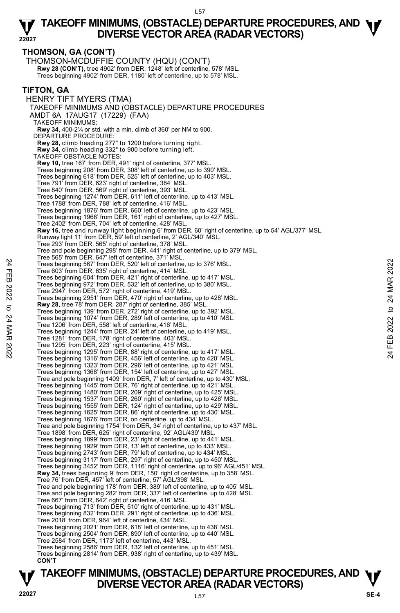**THOMSON, GA (CON'T)**  THOMSON-MCDUFFIE COUNTY (HQU) (CON'T) **Rwy 28 (CON'T),** tree 4902' from DER, 1248' left of centerline, 578' MSL.<br>Trees beginning 4902' from DER, 1180' left of centerline, up to 578' MSL. **TIFTON, GA**  HENRY TIFT MYERS (TMA) TAKEOFF MINIMUMS AND (OBSTACLE) DEPARTURE PROCEDURES AMDT 6A 17AUG17 (17229) (FAA) TAKEOFF MINIMUMS: **Rwy 34,** 400-2¼ or std. with a min. climb of 360' per NM to 900. DEPARTURE PROCEDURE: **Rwy 28,** climb heading 277° to 1200 before turning right. **Rwy 34,** climb heading 332° to 900 before turning left. TAKEOFF OBSTACLE NOTES: **Rwy 10,** tree 167' from DER, 491' right of centerline, 377' MSL. Trees beginning 208' from DER, 308' left of centerline, up to 390' MSL. Trees beginning 618' from DER, 525' left of centerline, up to 403' MSL. Tree 791' from DER, 623' right of centerline, 384' MSL. Tree 840' from DER, 569' right of centerline, 393' MSL. Trees beginning 1274' from DER, 611' left of centerline, up to 413' MSL. Tree 1788' from DER, 788' left of centerline, 416' MSL. Trees beginning 1876' from DER, 660' left of centerline, up to 423' MSL. Trees beginning 1968' from DER, 161' right of centerline, up to 427' MSL. Tree 2402' from DER, 704' left of centerline, 428' MSL. **Rwy 16,** tree and runway light beginning 6' from DER, 60' right of centerline, up to 54' AGL/377' MSL.<br>Runway light 11' from DER, 59' left of centerline, 2' AGL/340' MSL. Tree 293' from DER, 565' right of centerline, 378' MSL. Tree and pole beginning 298' from DER, 441' right of centerline, up to 379' MSL. Tree 565' from DER, 647' left of centerline, 371' MSL. Trees beginning 567' from DER, 520' left of centerline, up to 376' MSL. Tree 603' from DER, 635' right of centerline, 414' MSL. Trees beginning 604' from DER, 421' right of centerline, up to 417' MSL. Trees beginning 972' from DER, 532' left of centerline, up to 380' MSL. Tree 2947' from DER, 572' right of centerline, 419' MSL. Trees beginning 2951' from DER, 470' right of centerline, up to 428' MSL. **Rwy 28,** tree 78' from DER, 287' right of centerline, 385' MSL. Trees beginning 139' from DER, 272' right of centerline, up to 392' MSL. Trees beginning 1074' from DER, 289' left of centerline, up to 410' MSL. Tree 1206' from DER, 558' left of centerline, 416' MSL. Trees beginning 1244' from DER, 24' left of centerline, up to 419' MSL. Tree 1281' from DER, 178' right of centerline, 403' MSL. Tree 1295' from DER, 223' right of centerline, 415' MSL. Trees beginning 1295' from DER, 88' right of centerline, up to 417' MSL. Trees beginning 1316' from DER, 456' left of centerline, up to 420' MSL. Trees beginning 1323' from DER, 296' left of centerline, up to 421' MSL. Trees beginning 1368' from DER, 154' left of centerline, up to 427' MSL. Tree and pole beginning 1409' from DER, 7' left of centerline, up to 430' MSL. Trees beginning 1445' from DER, 76' right of centerline, up to 421' MSL. Trees beginning 1480' from DER, 209' right of centerline, up to 425' MSL. Trees beginning 1537' from DER, 260' right of centerline, up to 426' MSL. Trees beginning 1555' from DER, 124' right of centerline, up to 429' MSL. Trees beginning 1625' from DER, 86' right of centerline, up to 430' MSL. Trees beginning 1676' from DER, on centerline, up to 434' MSL. Tree and pole beginning 1754' from DER, 34' right of centerline, up to 437' MSL. Tree 1898' from DER, 625' right of centerline, 92' AGL/439' MSL. Trees beginning 1899' from DER, 23' right of centerline, up to 441' MSL. Trees beginning 1929' from DER, 13' left of centerline, up to 433' MSL. Trees beginning 2743' from DER, 79' left of centerline, up to 434' MSL. Trees beginning 3117' from DER, 297' right of centerline, up to 450' MSL. Trees beginning 3452' from DER, 1116' right of centerline, up to 96' AGL/451' MSL. **Rwy 34,** trees beginning 9' from DER, 150' right of centerline, up to 358' MSL. Tree 76' from DER, 457' left of centerline, 57' AGL/398' MSL. Tree and pole beginning 178' from DER, 389' left of centerline, up to 405' MSL. Tree and pole beginning 282' from DER, 337' left of centerline, up to 428' MSL. Tree 667' from DER, 642' right of centerline, 416' MSL. Trees beginning 713' from DER, 510' right of centerline, up to 431' MSL. Trees beginning 832' from DER, 291' right of centerline, up to 436' MSL. Tree 2018' from DER, 964' left of centerline, 434' MSL. Trees beginning 2021' from DER, 618' left of centerline, up to 438' MSL. Trees beginning 2504' from DER, 890' left of centerline, up to 440' MSL. Tree 2584' from DER, 1173' left of centerline, 443' MSL. Trees beginning 2586' from DER, 132' left of centerline, up to 451' MSL. Trees beginning 2814' from DER, 938' right of centerline, up to 439' MSL. **CON'T** Tree 603' from DER, 520' left of centerline, up to 376' MSL.<br>
Tree 603' from DER, 625' right of centerline, up to 376' MSL.<br>
Tree 603' from DER, 532' right of centerline, up to 417' MSL.<br>
Trees beginning 972' from DER, 532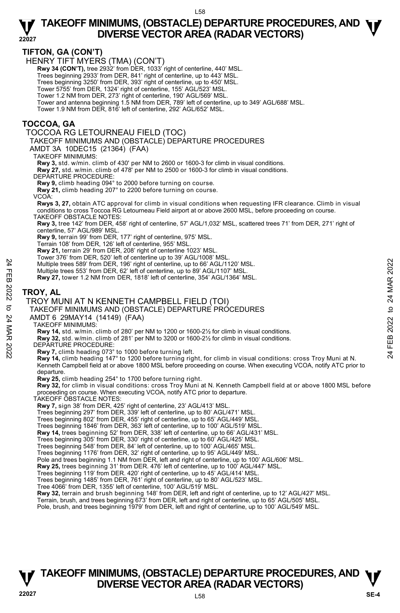**TIFTON, GA (CON'T)** 

HENRY TIFT MYERS (TMA) (CON'T)

 **Rwy 34 (CON'T),** tree 2932' from DER, 1033' right of centerline, 440' MSL.

Trees beginning 2933' from DER, 841' right of centerline, up to 443' MSL.

Trees beginning 3250' from DER, 393' right of centerline, up to 450' MSL.

Tower 5755' from DER, 1324' right of centerline, 155' AGL/523' MSL.

 Tower 1.2 NM from DER, 273' right of centerline, 190' AGL/569' MSL. Tower and antenna beginning 1.5 NM from DER, 789' left of centerline, up to 349' AGL/688' MSL.

Tower 1.9 NM from DER, 816' left of centerline, 292' AGL/652' MSL.

#### **TOCCOA, GA**

TOCCOA RG LETOURNEAU FIELD (TOC)

TAKEOFF MINIMUMS AND (OBSTACLE) DEPARTURE PROCEDURES

AMDT 3A 10DEC15 (21364) (FAA)

TAKEOFF MINIMUMS:

**Rwy 3,** std. w/min. climb of 430' per NM to 2600 or 1600-3 for climb in visual conditions. **Rwy 27,** std. w/min. climb of 478' per NM to 2500 or 1600-3 for climb in visual conditions.

DEPARTURE PROCEDURE:

**Rwy 9,** climb heading 094° to 2000 before turning on course.

**Rwy 21,** climb heading 207° to 2200 before turning on course.

VCOA:

**Rwys 3, 27,** obtain ATC approval for climb in visual conditions when requesting IFR clearance. Climb in visual conditions to cross Toccoa RG Letourneau Field airport at or above 2600 MSL, before proceeding on course. TAKEOFF OBSTACLE NOTES:

**Rwy 3,** tree 142' from DER, 458' right of centerline, 57' AGL/1,032' MSL, scattered trees 71' from DER, 271' right of centerline, 57' AGL/989' MSL.

**Rwy 9,** terrain 99' from DER, 177' right of centerline, 975' MSL.

Terrain 108' from DER, 126' left of centerline, 955' MSL.

**Rwy 21,** terrain 29' from DER, 208' right of centerline 1023' MSL.

Tower 376' from DER, 520' left of centerline up to 39' AGL/1008' MSL.

Multiple trees 589' from DER, 196' right of centerline, up to 66' AGL/1120' MSL.

Multiple trees 553' from DER, 62' left of centerline, up to 89' AGL/1107' MSL.

**Rwy 27,** tower 1.2 NM from DER, 1818' left of centerline, 354' AGL/1364' MSL.

#### **TROY, AL**

#### TROY MUNI AT N KENNETH CAMPBELL FIELD (TOI)

# TAKEOFF MINIMUMS AND (OBSTACLE) DEPARTURE PROCEDURES A<br>
Function the tees 589 from DER, 196 right of centerline, up to 66 AGL/1120' MSL.<br>
Multiple trees 589 from DER, 196 right of centerline, up to 89 AGL/1107' MSL.<br>
Rwy 27, tower 1.2 NM from DER, 1818' left of centerline,

AMDT 6 29MAY14 (14149) (FAA)

TAKEOFF MINIMUMS:

**Rwy 14,** std. w/min. climb of 280' per NM to 1200 or 1600-2½ for climb in visual conditions.

**Rwy 32,** std. w/min. climb of 281' per NM to 3200 or 1600-2½ for climb in visual conditions.

DEPARTURE PROCEDURE:

**Rwy 7,** climb heading 073° to 1000 before turning left.

**Rwy 14,** climb heading 147° to 1200 before turning right, for climb in visual conditions: cross Troy Muni at N. Kenneth Campbell field at or above 1800 MSL before proceeding on course. When executing VCOA, notify ATC prior to departure.

**Rwy 25,** climb heading 254° to 1700 before turning right.

**Rwy 32,** for climb in visual conditions: cross Troy Muni at N. Kenneth Campbell field at or above 1800 MSL before proceeding on course. When executing VCOA, notify ATC prior to departure. TAKEOFF OBSTACLE NOTES:

**Rwy 7,** sign 38' from DER, 425' right of centerline, 23' AGL/413' MSL.

Trees beginning 297' from DER, 339' left of centerline, up to 80' AGL/471' MSL. Trees beginning 802' from DER, 455' right of centerline, up to 65' AGL/449' MSL.

Trees beginning 1846' from DER, 363' left of centerline, up to 100' AGL/519' MSL.

**Rwy 14,** trees beginning 52' from DER, 338' left of centerline, up to 66' AGL/431' MSL.

Trees beginning 305' from DER, 330' right of centerline, up to 60' AGL/425' MSL. Trees beginning 548' from DER, 84' left of centerline, up to 100' AGL/465' MSL.

Trees beginning 1176' from DER, 32' right of centerline, up to 95' AGL/449' MSL.

Pole and trees beginning 1.1 NM from DER, left and right of centerline, up to 100' AGL/606' MSL.<br>**Rwy 25,** trees beginning 31' from DER. 476' left of centerline, up to 100' AGL/447' MSL.

Trees beginning 119' from DER. 420' right of centerline, up to 45' AGL/414' MSL.

Trees beginning 1485' from DER, 761' right of centerline, up to 80' AGL/523' MSL.

Tree 4066' from DER, 1355' left of centerline, 100' AGL/519' MSL.

**Rwy 32,** terrain and brush beginning 148' from DER, left and right of centerline, up to 12' AGL/427' MSL.

Terrain, brush, and trees beginning 673' from DER, left and right of centerline, up to 65' AGL/505' MSL.

Pole, brush, and trees beginning 1979' from DER, left and right of centerline, up to 100' AGL/549' MSL.

## **TAKEOFF MINIMUMS, (OBSTACLE) DEPARTURE PROCEDURES, AND**  $\Psi$ **<br>DIVERSE VECTOR AREA (RADAR VECTORS) DIVERSE VECTOR AREA (RADAR VECTORS) 22027 SE-4**

L58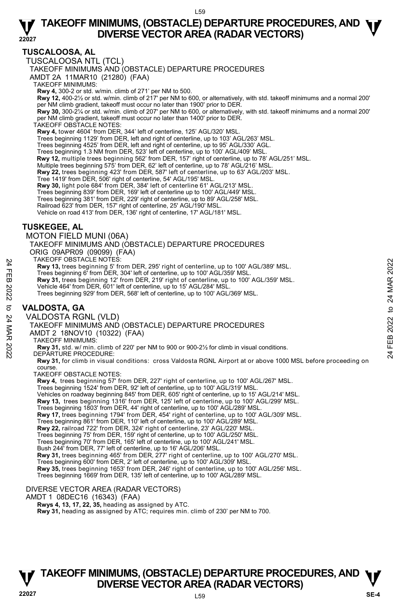#### **TUSCALOOSA, AL**

TUSCALOOSA NTL (TCL)

TAKEOFF MINIMUMS AND (OBSTACLE) DEPARTURE PROCEDURES

AMDT 2A 11MAR10 (21280) (FAA)

TAKEOFF MINIMUMS:

**Rwy 4,** 300-2 or std. w/min. climb of 271' per NM to 500. **Rwy 12,** 400-2½ or std. w/min. climb of 217' per NM to 600, or alternatively, with std. takeoff minimums and a normal 200' per NM climb gradient, takeoff must occur no later than 1900' prior to DER.

**Rwy 30,** 300-2¼ or std. w/min. climb of 207' per NM to 600, or alternatively, with std. takeoff minimums and a normal 200' per NM climb gradient, takeoff must occur no later than 1400' prior to DER. TAKEOFF OBSTACLE NOTES:

**Rwy 4,** tower 4604' from DER, 344' left of centerline, 125' AGL/320' MSL.

Trees beginning 1129' from DER, left and right of centerline, up to 103' AGL/263' MSL. Trees beginning 4525' from DER, left and right of centerline, up to 95' AGL/330' AGL.

Trees beginning 1.3 NM from DER, 523' left of centerline, up to 100' AGL/409' MSL.

**Rwy 12,** multiple trees beginning 562' from DER, 157' right of centerline, up to 78' AGL/251' MSL.<br>Multiple trees beginning 575' from DER, 62' left of centerline, up to 78' AGL/216' MSL.

**Rwy 22,** trees beginning 423' from DER, 587' left of centerline, up to 63' AGL/203' MSL.

Tree 1419' from DER, 506' right of centerline, 54' AGL/195' MSL.

**Rwy 30,** light pole 684' from DER, 384' left of centerline 61' AGL/213' MSL.

Trees beginning 839' from DER, 169' left of centerline up to 100' AGL/449' MSL. Trees beginning 381' from DER, 229' right of centerline, up to 89' AGL/258' MSL.

Railroad 623' from DER, 157' right of centerline, 25' AGL/190' MSL. Vehicle on road 413' from DER, 136' right of centerline, 17' AGL/181' MSL.

#### **TUSKEGEE, AL**

MOTON FIELD MUNI (06A)

TAKEOFF MINIMUMS AND (OBSTACLE) DEPARTURE PROCEDURES ORIG 09APR09 (09099) (FAA)

TAKEOFF OBSTACLE NOTES:

**Rwy 13,** trees beginning 5' from DER, 295' right of centerline, up to 100' AGL/389' MSL.

Trees beginning 6' from DER, 304' left of centerline, up to 100' AGL/359' MSL.<br>**Rwy 31,** trees beginning 12' from DER, 219' right of centerline, up to 100' AGL/359' MSL.

Vehicle 464' from DER, 601' left of centerline, up to 15' AGL/284' MSL.

Trees beginning 929' from DER, 568' left of centerline, up to 100' AGL/369' MSL.

#### **VALDOSTA, GA**

VALDOSTA RGNL (VLD)

TAKEOFF MINIMUMS AND (OBSTACLE) DEPARTURE PROCEDURES PARCUFF USINCLE NOTES (2922) FOR A FROM THAT THE RESTONDING STONDALLY THE THE SEEDINING STONDER, 2022 TO 2222 TO 2222 TO 2222 TO 2222 TO 2222 TO 2222 TO 2222 TO 2222 TO 2222 TO 2222 TO 2222 TO 2222 TO 2222 TO 2222 TO 2222

AMDT 2 18NOV10 (10322) (FAA)

TAKEOFF MINIMUMS:

**Rwy 31,** std. w/ min. climb of 220' per NM to 900 or 900-2½ for climb in visual conditions. DEPARTURE PROCEDURE:

**Rwy 31,** for climb in visual conditions: cross Valdosta RGNL Airport at or above 1000 MSL before proceeding on course.

TAKEOFF OBSTACLE NOTES:

**Rwy 4,** trees beginning 57' from DER, 227' right of centerline, up to 100' AGL/267' MSL. Trees beginning 1524' from DER, 92' left of centerline, up to 100' AGL/319' MSL. Vehicles on roadway beginning 845' from DER, 605' right of centerline, up to 15' AGL/214' MSL. **Rwy 13,** trees beginning 1316' from DER, 125' left of centerline, up to 100' AGL/299' MSL. Trees beginning 1803' from DER, 44' right of centerline, up to 100' AGL/289' MSL. **Rwy 17,** trees beginning 1794' from DER, 454' right of centerline, up to 100' AGL/309' MSL. Trees beginning 861' from DER, 110' left of centerline, up to 100' AGL/289' MSL. **Rwy 22,** railroad 722' from DER, 324' right of centerline, 23' AGL/220' MSL. Trees beginning 75' from DER, 159' right of centerline, up to 100' AGL/250' MSL. Trees beginning 70' from DER, 165' left of centerline, up to 100' AGL/241' MSL. Bush 244' from DER, 77' left of centerline, up to 16' AGL/206' MSL. **Rwy 31,** trees beginning 465' from DER, 277' right of centerline, up to 100' AGL/270' MSL. Trees beginning 600' from DER, 2' left of centerline, up to 100' AGL/309' MSL. **Rwy 35,** trees beginning 1653' from DER, 246' right of centerline, up to 100' AGL/256' MSL. Trees beginning 1669' from DER, 135' left of centerline, up to 100' AGL/289' MSL. DIVERSE VECTOR AREA (RADAR VECTORS)

AMDT 1 08DEC16 (16343) (FAA)

 **Rwys 4, 13, 17, 22, 35,** heading as assigned by ATC.

 **Rwy 31,** heading as assigned by ATC; requires min. climb of 230' per NM to 700.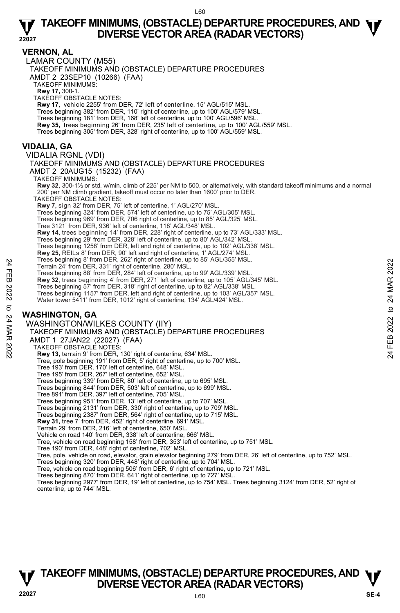#### **VERNON, AL**

**22027**  LAMAR COUNTY (M55) TAKEOFF MINIMUMS AND (OBSTACLE) DEPARTURE PROCEDURES AMDT 2 23SEP10 (10266) (FAA) TAKEOFF MINIMUMS: **Rwy 17,** 300-1. TAKEOFF OBSTACLE NOTES: **Rwy 17,** vehicle 2255' from DER, 72' left of centerline, 15' AGL/515' MSL. Trees beginning 382' from DER, 110' right of centerline, up to 100' AGL/579' MSL. Trees beginning 181' from DER, 168' left of centerline, up to 100' AGL/596' MSL. **Rwy 35,** trees beginning 26' from DER, 235' left of centerline, up to 100' AGL/559' MSL. Trees beginning 305' from DER, 328' right of centerline, up to 100' AGL/559' MSL. **VIDALIA, GA**  VIDALIA RGNL (VDI) TAKEOFF MINIMUMS AND (OBSTACLE) DEPARTURE PROCEDURES AMDT 2 20AUG15 (15232) (FAA) TAKEOFF MINIMUMS: **Rwy 32,** 300-1½ or std. w/min. climb of 225' per NM to 500, or alternatively, with standard takeoff minimums and a normal 200' per NM climb gradient, takeoff must occur no later than 1600' prior to DER. TAKEOFF OBSTACLE NOTES: **Rwy 7,** sign 32' from DER, 75' left of centerline, 1' AGL/270' MSL.<br>Trees beginning 324' from DER, 574' left of centerline, up to 75' AGL/305' MSL. Trees beginning 969' from DER, 706 right of centerline, up to 85' AGL/325' MSL. Tree 3121' from DER, 936' left of centerline, 118' AGL/348' MSL. **Rwy 14,** trees beginning 14' from DER, 228' right of centerline, up to 73' AGL/333' MSL.<br>Trees beginning 29' from DER, 328' left of centerline, up to 80' AGL/342' MSL. Trees beginning 1258' from DER, left and right of centerline, up to 102' AGL/338' MSL. **Rwy 25,** REILs 8' from DER, 90' left and right of centerline, 1' AGL/274' MSL. Trees beginning 8' from DER, 262' right of centerline, up to 85' AGL/355' MSL. Terrain 24' from DER, 331' right of centerline, 280' MSL. Trees beginning 88' from DER, 284' left of centerline, up to 99' AGL/339' MSL. **Rwy 32**, trees beginning 4' from DER, 271' left of centerline, up to 105' AGL/345' MSL. Trees beginning 57' from DER, 318' right of centerline, up to 82' AGL/338' MSL. Trees beginning 1157' from DER, left and right of centerline, up to 103' AGL/357' MSL. Water tower 5411' from DER, 1012' right of centerline, 134' AGL/424' MSL. **WASHINGTON, GA**  WASHINGTON/WILKES COUNTY (IIY) TAKEOFF MINIMUMS AND (OBSTACLE) DEPARTURE PROCEDURES AMDT 1 27JAN22 (22027) (FAA) TAKEOFF OBSTACLE NOTES: **Rwy 13,** terrain 9' from DER, 130' right of centerline, 634' MSL. Tree, pole beginning 191' from DER, 5' right of centerline, up to 700' MSL. Tree 193' from DER, 170' left of centerline, 648' MSL. Tree 195' from DER, 267' left of centerline, 652' MSL. Trees beginning 339' from DER, 80' left of centerline, up to 695' MSL. Trees beginning 844' from DER, 503' left of centerline, up to 699' MSL. Tree 891' from DER, 397' left of centerline, 705' MSL. Trees beginning 951' from DER, 13' left of centerline, up to 707' MSL. Trees beginning 2131' from DER, 330' right of centerline, up to 709' MSL. Trees beginning 2387' from DER, 564' right of centerline, up to 715' MSL.<br>**Rwy 31,** tree 7' from DER, 452' right of centerline, 691' MSL. Terrain 29' from DER, 216' left of centerline, 650' MSL. Vehicle on road 140' from DER, 338' left of centerline, 666' MSL. Tree, vehicle on road beginning 158' from DER, 353' left of centerline, up to 751' MSL. Tree 190' from DER, 448' right of centerline, 702' MSL. Tree, pole, vehicle on road, elevator, grain elevator beginning 279' from DER, 26' left of centerline, up to 752' MSL. Term 24 From DER, 331 right of centerline, ap to 39 AGL/339 MSL.<br>
Term 24 from DER, 331 right of centerline, up to 99' AGL/339' MSL.<br>
Trees beginning 88' from DER, 284' left of centerline, up to 105' AGL/334' MSL.<br> **EXECUT** 

Trees beginning 320' from DER, 448' right of centerline, up to 704' MSL. Tree, vehicle on road beginning 506' from DER, 6' right of centerline, up to 721' MSL.

Trees beginning 870' from DER, 641' right of centerline, up to 727' MSL.

Trees beginning 2977' from DER, 19' left of centerline, up to 754' MSL. Trees beginning 3124' from DER, 52' right of centerline, up to 744' MSL.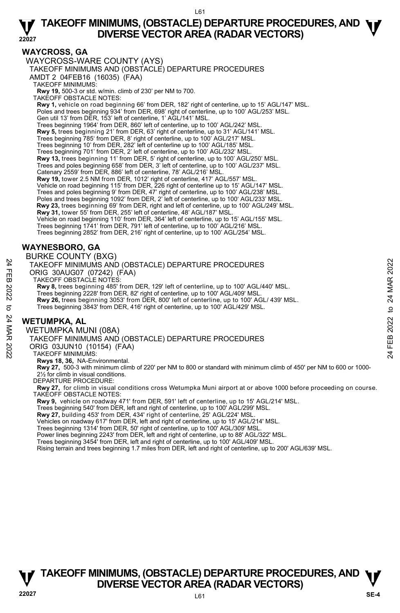#### **WAYCROSS, GA**

WAYCROSS-WARE COUNTY (AYS) TAKEOFF MINIMUMS AND (OBSTACLE) DEPARTURE PROCEDURES AMDT 2 04FEB16 (16035) (FAA) TAKEOFF MINIMUMS: **Rwy 19,** 500-3 or std. w/min. climb of 230' per NM to 700. TAKEOFF OBSTACLE NOTES: **Rwy 1,** vehicle on road beginning 66' from DER, 182' right of centerline, up to 15' AGL/147' MSL. Poles and trees beginning 934' from DER, 698' right of centerline, up to 100' AGL/253' MSL. Gen util 13' from DER, 153' left of centerline, 1' AGL/141' MSL. Trees beginning 1964' from DER, 860' left of centerline, up to 100' AGL/242' MSL. **Rwy 5,** trees beginning 21' from DER, 63' right of centerline, up to 31' AGL/141' MSL. Trees beginning 785' from DER, 8' right of centerline, up to 100' AGL/217' MSL. Trees beginning 10' from DER, 282' left of centerline up to 100' AGL/185' MSL. Trees beginning 701' from DER, 2' left of centerline, up to 100' AGL/232' MSL. **Rwy 13,** trees beginning 11' from DER, 5' right of centerline, up to 100' AGL/250' MSL.<br>Trees and poles beginning 658' from DER, 3' left of centerline, up to 100' AGL/237' MSL. Catenary 2559' from DER, 886' left of centerline, 78' AGL/216' MSL. **Rwy 19,** tower 2.5 NM from DER, 1012' right of centerline, 417' AGL/557' MSL. Vehicle on road beginning 115' from DER, 226 right of centerline up to 15' AGL/147' MSL. Trees and poles beginning 9' from DER, 47' right of centerline, up to 100' AGL/238' MSL. Poles and trees beginning 1092' from DER, 2' left of centerline, up to 100' AGL/233' MSL. **Rwy 23,** trees beginning 69' from DER, right and left of centerline, up to 100' AGL/249' MSL. **Rwy 31,** tower 55' from DER, 255' left of centerline, 48' AGL/187' MSL. Vehicle on road beginning 110' from DER, 364' left of centerline, up to 15' AGL/155' MSL. Trees beginning 1741' from DER, 791' left of centerline, up to 100' AGL/216' MSL. Trees beginning 2852' from DER, 216' right of centerline, up to 100' AGL/254' MSL. **WAYNESBORO, GA**  BURKE COUNTY (BXG) TAKEOFF MINIMUMS AND (OBSTACLE) DEPARTURE PROCEDURES

# ORIG 30AUG07 (07242) (FAA) TAKEOFF OBSTACLE NOTES:

**Rwy 8,** trees beginning 485' from DER, 129' left of centerline, up to 100' AGL/440' MSL. Trees beginning 2228' from DER, 82' right of centerline, up to 100' AGL/409' MSL. **Rwy 26,** trees beginning 3053' from DER, 800' left of centerline, up to 100' AGL/ 439' MSL. Trees beginning 3843' from DER, 416' right of centerline, up to 100' AGL/429' MSL. TAKEOFF MINIMUMS AND (OBSTACLE) DEPARTURE PROCEDURES<br>
TAKEOFF MINIMUMS AND (OBSTACLE) DEPARTURE PROCEDURES<br>
TAKEOFF MINIMUMS AND (OBSTACLE) DEPARTURE PROCEDURES<br>
22 Trees beginning 485' from DER, 129' left of centerline,

## **WETUMPKA, AL**

WETUMPKA MUNI (08A)

TAKEOFF MINIMUMS AND (OBSTACLE) DEPARTURE PROCEDURES

ORIG 03JUN10 (10154) (FAA)

TAKEOFF MINIMUMS:

**Rwys 18, 36,** NA-Environmental.

**Rwy 27,** 500-3 with minimum climb of 220' per NM to 800 or standard with minimum climb of 450' per NM to 600 or 1000-<br>2½ for climb in visual conditions.

DEPARTURE PROCEDURE:

**Rwy 27,** for climb in visual conditions cross Wetumpka Muni airport at or above 1000 before proceeding on course. TAKEOFF OBSTACLE NOTES:

**Rwy 9,** vehicle on roadway 471' from DER, 591' left of centerline, up to 15' AGL/214' MSL.

Trees beginning 540' from DER, left and right of centerline, up to 100' AGL/299' MSL.

**Rwy 27,** building 453' from DER, 434' right of centerline, 25' AGL/224' MSL.

Vehicles on roadway 617' from DER, left and right of centerline, up to 15' AGL/214' MSL.

Trees beginning 1314' from DER, 50' right of centerline, up to 100' AGL/309' MSL.

Power lines beginning 2243' from DER, left and right of centerline, up to 88' AGL/322' MSL. Trees beginning 3454' from DER, left and right of centerline, up to 100' AGL/409' MSL.

Rising terrain and trees beginning 1.7 miles from DER, left and right of centerline, up to 200' AGL/639' MSL.